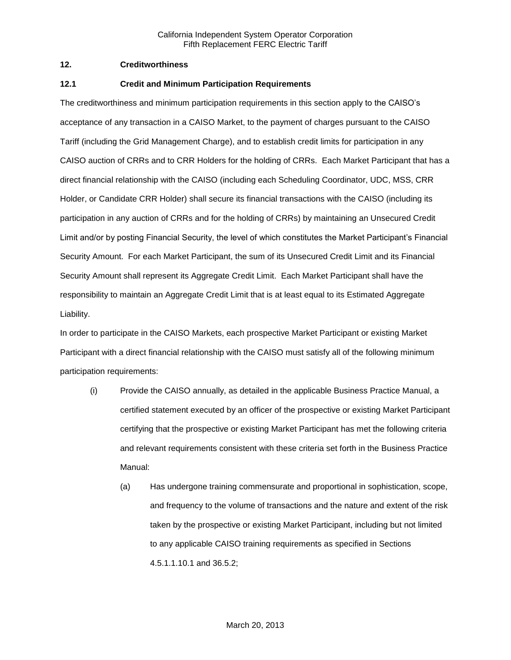## **12. Creditworthiness**

#### **12.1 Credit and Minimum Participation Requirements**

The creditworthiness and minimum participation requirements in this section apply to the CAISO's acceptance of any transaction in a CAISO Market, to the payment of charges pursuant to the CAISO Tariff (including the Grid Management Charge), and to establish credit limits for participation in any CAISO auction of CRRs and to CRR Holders for the holding of CRRs. Each Market Participant that has a direct financial relationship with the CAISO (including each Scheduling Coordinator, UDC, MSS, CRR Holder, or Candidate CRR Holder) shall secure its financial transactions with the CAISO (including its participation in any auction of CRRs and for the holding of CRRs) by maintaining an Unsecured Credit Limit and/or by posting Financial Security, the level of which constitutes the Market Participant's Financial Security Amount. For each Market Participant, the sum of its Unsecured Credit Limit and its Financial Security Amount shall represent its Aggregate Credit Limit. Each Market Participant shall have the responsibility to maintain an Aggregate Credit Limit that is at least equal to its Estimated Aggregate Liability.

In order to participate in the CAISO Markets, each prospective Market Participant or existing Market Participant with a direct financial relationship with the CAISO must satisfy all of the following minimum participation requirements:

- (i) Provide the CAISO annually, as detailed in the applicable Business Practice Manual, a certified statement executed by an officer of the prospective or existing Market Participant certifying that the prospective or existing Market Participant has met the following criteria and relevant requirements consistent with these criteria set forth in the Business Practice Manual:
	- (a) Has undergone training commensurate and proportional in sophistication, scope, and frequency to the volume of transactions and the nature and extent of the risk taken by the prospective or existing Market Participant, including but not limited to any applicable CAISO training requirements as specified in Sections 4.5.1.1.10.1 and 36.5.2;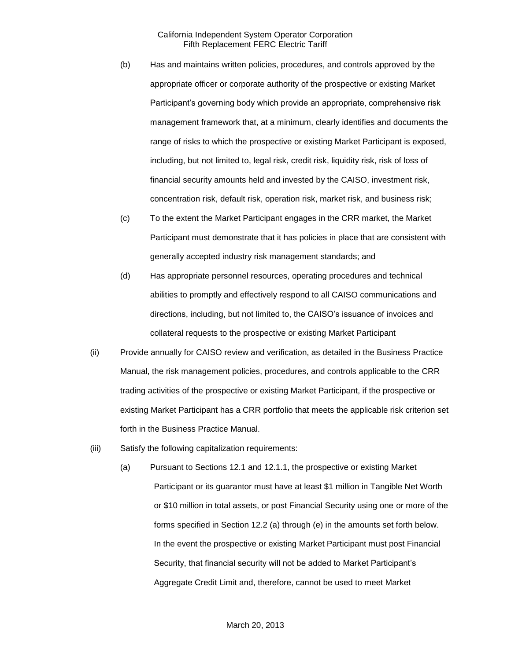- (b) Has and maintains written policies, procedures, and controls approved by the appropriate officer or corporate authority of the prospective or existing Market Participant's governing body which provide an appropriate, comprehensive risk management framework that, at a minimum, clearly identifies and documents the range of risks to which the prospective or existing Market Participant is exposed, including, but not limited to, legal risk, credit risk, liquidity risk, risk of loss of financial security amounts held and invested by the CAISO, investment risk, concentration risk, default risk, operation risk, market risk, and business risk;
- (c) To the extent the Market Participant engages in the CRR market, the Market Participant must demonstrate that it has policies in place that are consistent with generally accepted industry risk management standards; and
- (d) Has appropriate personnel resources, operating procedures and technical abilities to promptly and effectively respond to all CAISO communications and directions, including, but not limited to, the CAISO's issuance of invoices and collateral requests to the prospective or existing Market Participant
- (ii) Provide annually for CAISO review and verification, as detailed in the Business Practice Manual, the risk management policies, procedures, and controls applicable to the CRR trading activities of the prospective or existing Market Participant, if the prospective or existing Market Participant has a CRR portfolio that meets the applicable risk criterion set forth in the Business Practice Manual.
- (iii) Satisfy the following capitalization requirements:
	- (a) Pursuant to Sections 12.1 and 12.1.1, the prospective or existing Market Participant or its guarantor must have at least \$1 million in Tangible Net Worth or \$10 million in total assets, or post Financial Security using one or more of the forms specified in Section 12.2 (a) through (e) in the amounts set forth below. In the event the prospective or existing Market Participant must post Financial Security, that financial security will not be added to Market Participant's Aggregate Credit Limit and, therefore, cannot be used to meet Market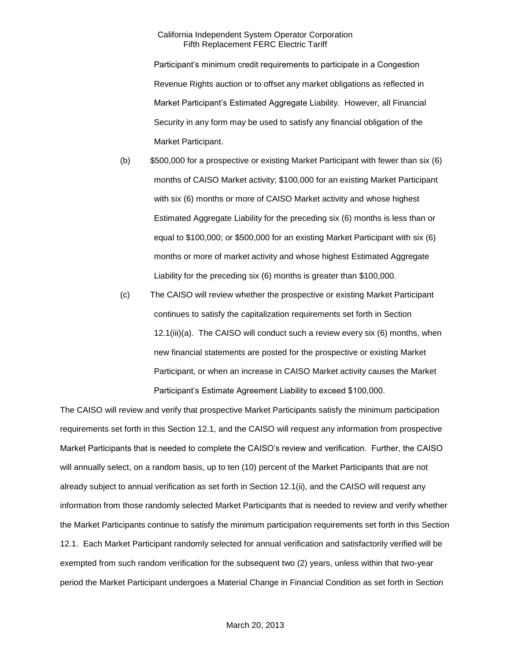Participant's minimum credit requirements to participate in a Congestion Revenue Rights auction or to offset any market obligations as reflected in Market Participant's Estimated Aggregate Liability. However, all Financial Security in any form may be used to satisfy any financial obligation of the Market Participant.

- (b) \$500,000 for a prospective or existing Market Participant with fewer than six (6) months of CAISO Market activity; \$100,000 for an existing Market Participant with six (6) months or more of CAISO Market activity and whose highest Estimated Aggregate Liability for the preceding six (6) months is less than or equal to \$100,000; or \$500,000 for an existing Market Participant with six (6) months or more of market activity and whose highest Estimated Aggregate Liability for the preceding six (6) months is greater than \$100,000.
- (c) The CAISO will review whether the prospective or existing Market Participant continues to satisfy the capitalization requirements set forth in Section 12.1(iii)(a). The CAISO will conduct such a review every six (6) months, when new financial statements are posted for the prospective or existing Market Participant, or when an increase in CAISO Market activity causes the Market Participant's Estimate Agreement Liability to exceed \$100,000.

The CAISO will review and verify that prospective Market Participants satisfy the minimum participation requirements set forth in this Section 12.1, and the CAISO will request any information from prospective Market Participants that is needed to complete the CAISO's review and verification. Further, the CAISO will annually select, on a random basis, up to ten (10) percent of the Market Participants that are not already subject to annual verification as set forth in Section 12.1(ii), and the CAISO will request any information from those randomly selected Market Participants that is needed to review and verify whether the Market Participants continue to satisfy the minimum participation requirements set forth in this Section 12.1. Each Market Participant randomly selected for annual verification and satisfactorily verified will be exempted from such random verification for the subsequent two (2) years, unless within that two-year period the Market Participant undergoes a Material Change in Financial Condition as set forth in Section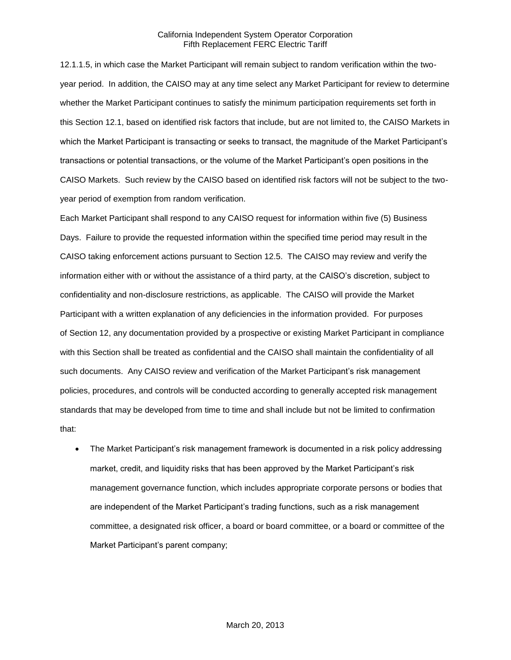12.1.1.5, in which case the Market Participant will remain subject to random verification within the twoyear period. In addition, the CAISO may at any time select any Market Participant for review to determine whether the Market Participant continues to satisfy the minimum participation requirements set forth in this Section 12.1, based on identified risk factors that include, but are not limited to, the CAISO Markets in which the Market Participant is transacting or seeks to transact, the magnitude of the Market Participant's transactions or potential transactions, or the volume of the Market Participant's open positions in the CAISO Markets. Such review by the CAISO based on identified risk factors will not be subject to the twoyear period of exemption from random verification.

Each Market Participant shall respond to any CAISO request for information within five (5) Business Days. Failure to provide the requested information within the specified time period may result in the CAISO taking enforcement actions pursuant to Section 12.5. The CAISO may review and verify the information either with or without the assistance of a third party, at the CAISO's discretion, subject to confidentiality and non-disclosure restrictions, as applicable. The CAISO will provide the Market Participant with a written explanation of any deficiencies in the information provided. For purposes of Section 12, any documentation provided by a prospective or existing Market Participant in compliance with this Section shall be treated as confidential and the CAISO shall maintain the confidentiality of all such documents. Any CAISO review and verification of the Market Participant's risk management policies, procedures, and controls will be conducted according to generally accepted risk management standards that may be developed from time to time and shall include but not be limited to confirmation that:

 The Market Participant's risk management framework is documented in a risk policy addressing market, credit, and liquidity risks that has been approved by the Market Participant's risk management governance function, which includes appropriate corporate persons or bodies that are independent of the Market Participant's trading functions, such as a risk management committee, a designated risk officer, a board or board committee, or a board or committee of the Market Participant's parent company;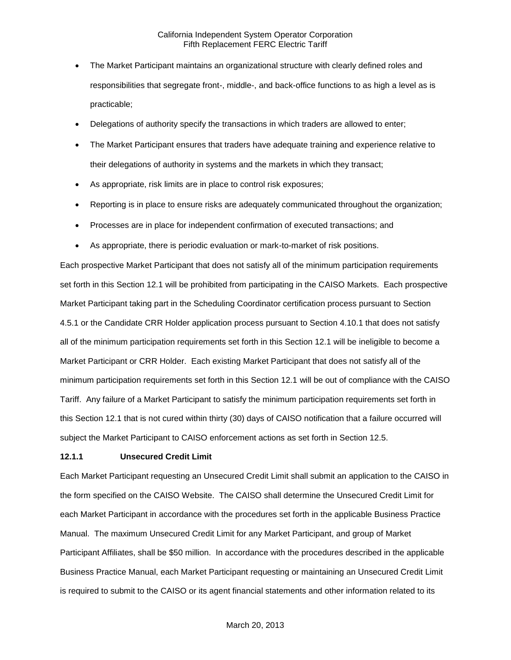- The Market Participant maintains an organizational structure with clearly defined roles and responsibilities that segregate front-, middle-, and back-office functions to as high a level as is practicable;
- Delegations of authority specify the transactions in which traders are allowed to enter;
- The Market Participant ensures that traders have adequate training and experience relative to their delegations of authority in systems and the markets in which they transact;
- As appropriate, risk limits are in place to control risk exposures;
- Reporting is in place to ensure risks are adequately communicated throughout the organization;
- Processes are in place for independent confirmation of executed transactions; and
- As appropriate, there is periodic evaluation or mark-to-market of risk positions.

Each prospective Market Participant that does not satisfy all of the minimum participation requirements set forth in this Section 12.1 will be prohibited from participating in the CAISO Markets. Each prospective Market Participant taking part in the Scheduling Coordinator certification process pursuant to Section 4.5.1 or the Candidate CRR Holder application process pursuant to Section 4.10.1 that does not satisfy all of the minimum participation requirements set forth in this Section 12.1 will be ineligible to become a Market Participant or CRR Holder. Each existing Market Participant that does not satisfy all of the minimum participation requirements set forth in this Section 12.1 will be out of compliance with the CAISO Tariff. Any failure of a Market Participant to satisfy the minimum participation requirements set forth in this Section 12.1 that is not cured within thirty (30) days of CAISO notification that a failure occurred will subject the Market Participant to CAISO enforcement actions as set forth in Section 12.5.

#### **12.1.1 Unsecured Credit Limit**

Each Market Participant requesting an Unsecured Credit Limit shall submit an application to the CAISO in the form specified on the CAISO Website. The CAISO shall determine the Unsecured Credit Limit for each Market Participant in accordance with the procedures set forth in the applicable Business Practice Manual. The maximum Unsecured Credit Limit for any Market Participant, and group of Market Participant Affiliates, shall be \$50 million. In accordance with the procedures described in the applicable Business Practice Manual, each Market Participant requesting or maintaining an Unsecured Credit Limit is required to submit to the CAISO or its agent financial statements and other information related to its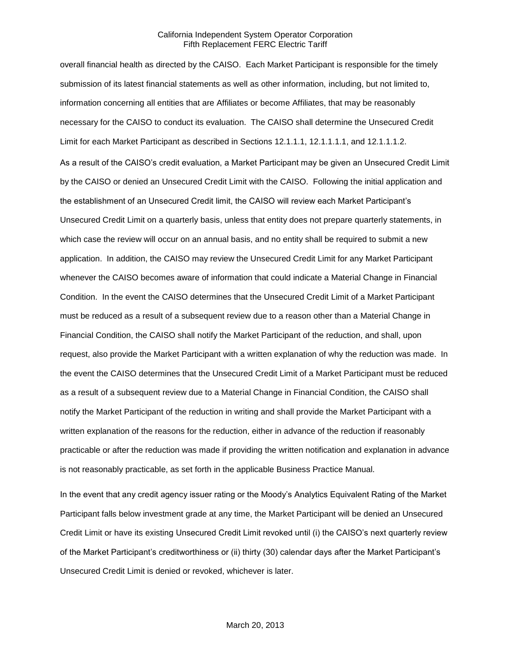overall financial health as directed by the CAISO. Each Market Participant is responsible for the timely submission of its latest financial statements as well as other information, including, but not limited to, information concerning all entities that are Affiliates or become Affiliates, that may be reasonably necessary for the CAISO to conduct its evaluation. The CAISO shall determine the Unsecured Credit Limit for each Market Participant as described in Sections 12.1.1.1, 12.1.1.1.1, and 12.1.1.1.2.

As a result of the CAISO's credit evaluation, a Market Participant may be given an Unsecured Credit Limit by the CAISO or denied an Unsecured Credit Limit with the CAISO. Following the initial application and the establishment of an Unsecured Credit limit, the CAISO will review each Market Participant's Unsecured Credit Limit on a quarterly basis, unless that entity does not prepare quarterly statements, in which case the review will occur on an annual basis, and no entity shall be required to submit a new application. In addition, the CAISO may review the Unsecured Credit Limit for any Market Participant whenever the CAISO becomes aware of information that could indicate a Material Change in Financial Condition. In the event the CAISO determines that the Unsecured Credit Limit of a Market Participant must be reduced as a result of a subsequent review due to a reason other than a Material Change in Financial Condition, the CAISO shall notify the Market Participant of the reduction, and shall, upon request, also provide the Market Participant with a written explanation of why the reduction was made. In the event the CAISO determines that the Unsecured Credit Limit of a Market Participant must be reduced as a result of a subsequent review due to a Material Change in Financial Condition, the CAISO shall notify the Market Participant of the reduction in writing and shall provide the Market Participant with a written explanation of the reasons for the reduction, either in advance of the reduction if reasonably practicable or after the reduction was made if providing the written notification and explanation in advance is not reasonably practicable, as set forth in the applicable Business Practice Manual.

In the event that any credit agency issuer rating or the Moody's Analytics Equivalent Rating of the Market Participant falls below investment grade at any time, the Market Participant will be denied an Unsecured Credit Limit or have its existing Unsecured Credit Limit revoked until (i) the CAISO's next quarterly review of the Market Participant's creditworthiness or (ii) thirty (30) calendar days after the Market Participant's Unsecured Credit Limit is denied or revoked, whichever is later.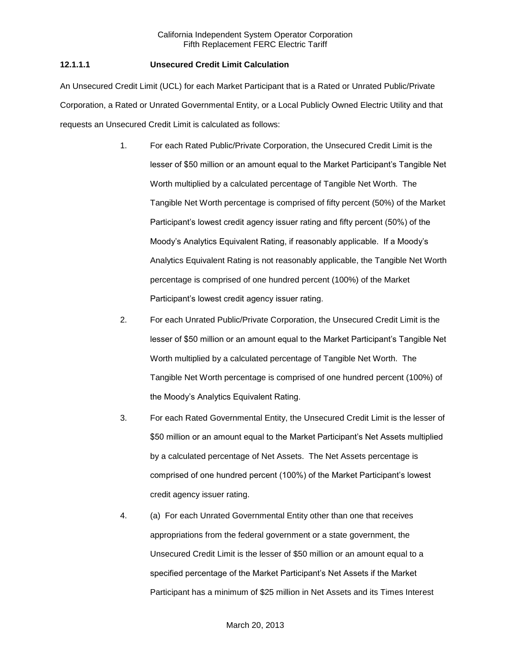# **12.1.1.1 Unsecured Credit Limit Calculation**

An Unsecured Credit Limit (UCL) for each Market Participant that is a Rated or Unrated Public/Private Corporation, a Rated or Unrated Governmental Entity, or a Local Publicly Owned Electric Utility and that requests an Unsecured Credit Limit is calculated as follows:

- 1. For each Rated Public/Private Corporation, the Unsecured Credit Limit is the lesser of \$50 million or an amount equal to the Market Participant's Tangible Net Worth multiplied by a calculated percentage of Tangible Net Worth. The Tangible Net Worth percentage is comprised of fifty percent (50%) of the Market Participant's lowest credit agency issuer rating and fifty percent (50%) of the Moody's Analytics Equivalent Rating, if reasonably applicable. If a Moody's Analytics Equivalent Rating is not reasonably applicable, the Tangible Net Worth percentage is comprised of one hundred percent (100%) of the Market Participant's lowest credit agency issuer rating.
- 2. For each Unrated Public/Private Corporation, the Unsecured Credit Limit is the lesser of \$50 million or an amount equal to the Market Participant's Tangible Net Worth multiplied by a calculated percentage of Tangible Net Worth. The Tangible Net Worth percentage is comprised of one hundred percent (100%) of the Moody's Analytics Equivalent Rating.
- 3. For each Rated Governmental Entity, the Unsecured Credit Limit is the lesser of \$50 million or an amount equal to the Market Participant's Net Assets multiplied by a calculated percentage of Net Assets. The Net Assets percentage is comprised of one hundred percent (100%) of the Market Participant's lowest credit agency issuer rating.
- 4. (a) For each Unrated Governmental Entity other than one that receives appropriations from the federal government or a state government, the Unsecured Credit Limit is the lesser of \$50 million or an amount equal to a specified percentage of the Market Participant's Net Assets if the Market Participant has a minimum of \$25 million in Net Assets and its Times Interest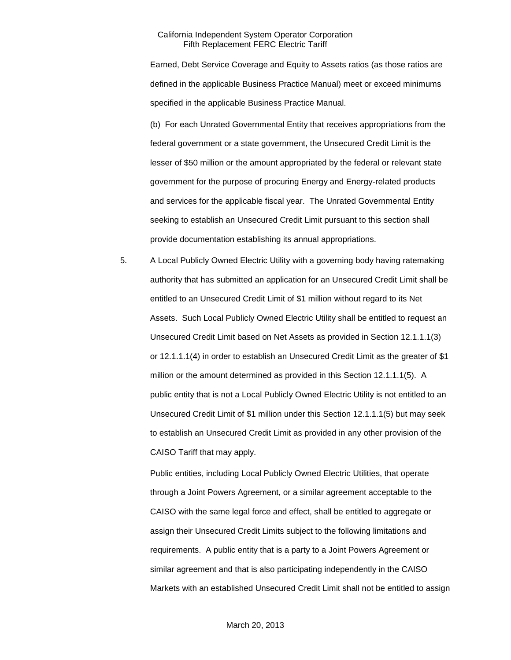Earned, Debt Service Coverage and Equity to Assets ratios (as those ratios are defined in the applicable Business Practice Manual) meet or exceed minimums specified in the applicable Business Practice Manual.

(b) For each Unrated Governmental Entity that receives appropriations from the federal government or a state government, the Unsecured Credit Limit is the lesser of \$50 million or the amount appropriated by the federal or relevant state government for the purpose of procuring Energy and Energy-related products and services for the applicable fiscal year. The Unrated Governmental Entity seeking to establish an Unsecured Credit Limit pursuant to this section shall provide documentation establishing its annual appropriations.

5. A Local Publicly Owned Electric Utility with a governing body having ratemaking authority that has submitted an application for an Unsecured Credit Limit shall be entitled to an Unsecured Credit Limit of \$1 million without regard to its Net Assets. Such Local Publicly Owned Electric Utility shall be entitled to request an Unsecured Credit Limit based on Net Assets as provided in Section 12.1.1.1(3) or 12.1.1.1(4) in order to establish an Unsecured Credit Limit as the greater of \$1 million or the amount determined as provided in this Section 12.1.1.1(5). A public entity that is not a Local Publicly Owned Electric Utility is not entitled to an Unsecured Credit Limit of \$1 million under this Section 12.1.1.1(5) but may seek to establish an Unsecured Credit Limit as provided in any other provision of the CAISO Tariff that may apply.

Public entities, including Local Publicly Owned Electric Utilities, that operate through a Joint Powers Agreement, or a similar agreement acceptable to the CAISO with the same legal force and effect, shall be entitled to aggregate or assign their Unsecured Credit Limits subject to the following limitations and requirements. A public entity that is a party to a Joint Powers Agreement or similar agreement and that is also participating independently in the CAISO Markets with an established Unsecured Credit Limit shall not be entitled to assign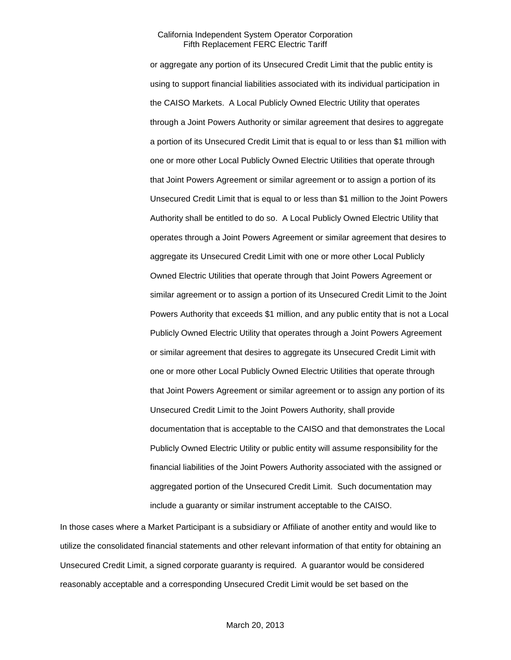or aggregate any portion of its Unsecured Credit Limit that the public entity is using to support financial liabilities associated with its individual participation in the CAISO Markets. A Local Publicly Owned Electric Utility that operates through a Joint Powers Authority or similar agreement that desires to aggregate a portion of its Unsecured Credit Limit that is equal to or less than \$1 million with one or more other Local Publicly Owned Electric Utilities that operate through that Joint Powers Agreement or similar agreement or to assign a portion of its Unsecured Credit Limit that is equal to or less than \$1 million to the Joint Powers Authority shall be entitled to do so. A Local Publicly Owned Electric Utility that operates through a Joint Powers Agreement or similar agreement that desires to aggregate its Unsecured Credit Limit with one or more other Local Publicly Owned Electric Utilities that operate through that Joint Powers Agreement or similar agreement or to assign a portion of its Unsecured Credit Limit to the Joint Powers Authority that exceeds \$1 million, and any public entity that is not a Local Publicly Owned Electric Utility that operates through a Joint Powers Agreement or similar agreement that desires to aggregate its Unsecured Credit Limit with one or more other Local Publicly Owned Electric Utilities that operate through that Joint Powers Agreement or similar agreement or to assign any portion of its Unsecured Credit Limit to the Joint Powers Authority, shall provide documentation that is acceptable to the CAISO and that demonstrates the Local Publicly Owned Electric Utility or public entity will assume responsibility for the financial liabilities of the Joint Powers Authority associated with the assigned or aggregated portion of the Unsecured Credit Limit. Such documentation may include a guaranty or similar instrument acceptable to the CAISO.

In those cases where a Market Participant is a subsidiary or Affiliate of another entity and would like to utilize the consolidated financial statements and other relevant information of that entity for obtaining an Unsecured Credit Limit, a signed corporate guaranty is required. A guarantor would be considered reasonably acceptable and a corresponding Unsecured Credit Limit would be set based on the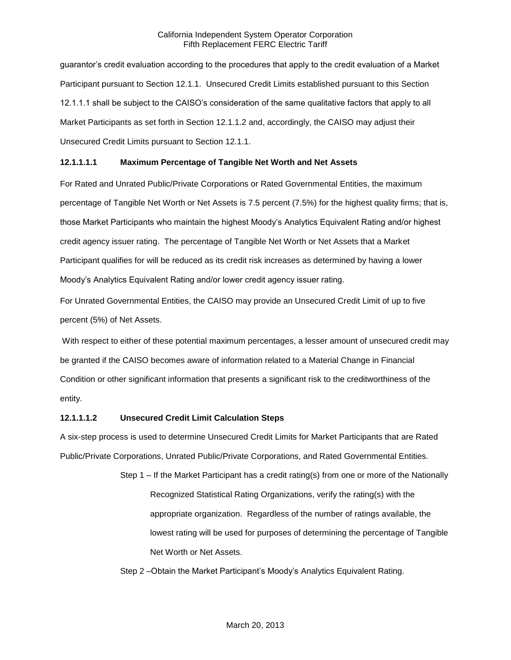guarantor's credit evaluation according to the procedures that apply to the credit evaluation of a Market Participant pursuant to Section 12.1.1. Unsecured Credit Limits established pursuant to this Section 12.1.1.1 shall be subject to the CAISO's consideration of the same qualitative factors that apply to all Market Participants as set forth in Section 12.1.1.2 and, accordingly, the CAISO may adjust their Unsecured Credit Limits pursuant to Section 12.1.1.

# **12.1.1.1.1 Maximum Percentage of Tangible Net Worth and Net Assets**

For Rated and Unrated Public/Private Corporations or Rated Governmental Entities, the maximum percentage of Tangible Net Worth or Net Assets is 7.5 percent (7.5%) for the highest quality firms; that is, those Market Participants who maintain the highest Moody's Analytics Equivalent Rating and/or highest credit agency issuer rating. The percentage of Tangible Net Worth or Net Assets that a Market Participant qualifies for will be reduced as its credit risk increases as determined by having a lower Moody's Analytics Equivalent Rating and/or lower credit agency issuer rating.

For Unrated Governmental Entities, the CAISO may provide an Unsecured Credit Limit of up to five percent (5%) of Net Assets.

With respect to either of these potential maximum percentages, a lesser amount of unsecured credit may be granted if the CAISO becomes aware of information related to a Material Change in Financial Condition or other significant information that presents a significant risk to the creditworthiness of the entity.

## **12.1.1.1.2 Unsecured Credit Limit Calculation Steps**

A six-step process is used to determine Unsecured Credit Limits for Market Participants that are Rated Public/Private Corporations, Unrated Public/Private Corporations, and Rated Governmental Entities.

> Step 1 – If the Market Participant has a credit rating(s) from one or more of the Nationally Recognized Statistical Rating Organizations, verify the rating(s) with the appropriate organization. Regardless of the number of ratings available, the lowest rating will be used for purposes of determining the percentage of Tangible Net Worth or Net Assets.

Step 2 –Obtain the Market Participant's Moody's Analytics Equivalent Rating.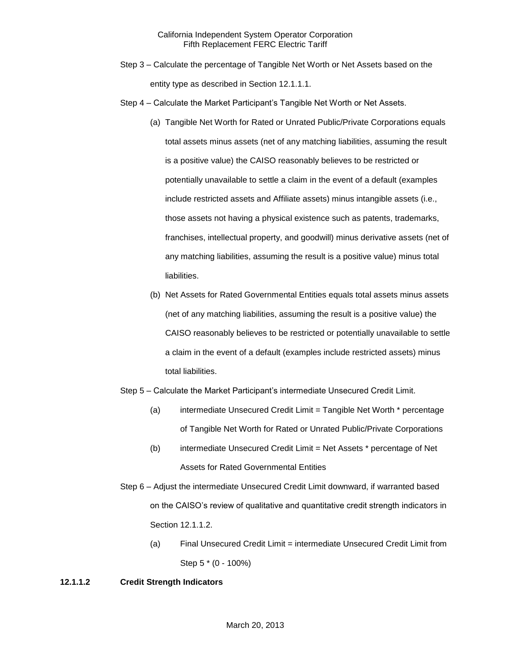- Step 3 Calculate the percentage of Tangible Net Worth or Net Assets based on the entity type as described in Section 12.1.1.1.
- Step 4 Calculate the Market Participant's Tangible Net Worth or Net Assets.
	- (a) Tangible Net Worth for Rated or Unrated Public/Private Corporations equals total assets minus assets (net of any matching liabilities, assuming the result is a positive value) the CAISO reasonably believes to be restricted or potentially unavailable to settle a claim in the event of a default (examples include restricted assets and Affiliate assets) minus intangible assets (i.e., those assets not having a physical existence such as patents, trademarks, franchises, intellectual property, and goodwill) minus derivative assets (net of any matching liabilities, assuming the result is a positive value) minus total liabilities.
	- (b) Net Assets for Rated Governmental Entities equals total assets minus assets (net of any matching liabilities, assuming the result is a positive value) the CAISO reasonably believes to be restricted or potentially unavailable to settle a claim in the event of a default (examples include restricted assets) minus total liabilities.
- Step 5 Calculate the Market Participant's intermediate Unsecured Credit Limit.
	- (a) intermediate Unsecured Credit Limit = Tangible Net Worth \* percentage of Tangible Net Worth for Rated or Unrated Public/Private Corporations
	- (b) intermediate Unsecured Credit Limit = Net Assets \* percentage of Net Assets for Rated Governmental Entities
- Step 6 Adjust the intermediate Unsecured Credit Limit downward, if warranted based on the CAISO's review of qualitative and quantitative credit strength indicators in Section 12.1.1.2.
	- (a) Final Unsecured Credit Limit = intermediate Unsecured Credit Limit from Step 5 \* (0 - 100%)

## **12.1.1.2 Credit Strength Indicators**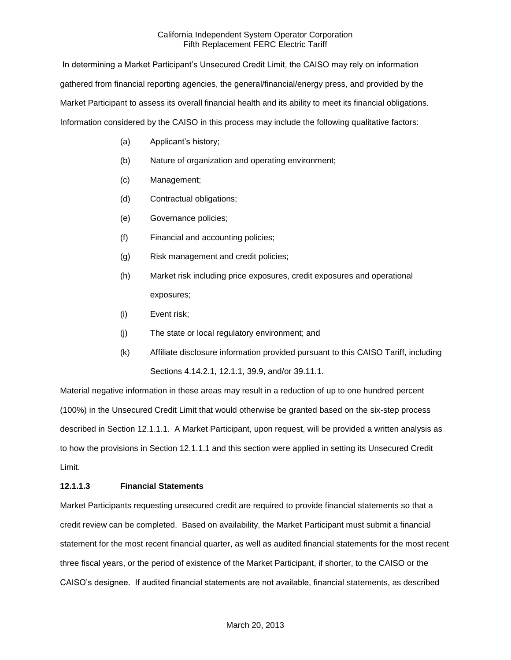In determining a Market Participant's Unsecured Credit Limit, the CAISO may rely on information gathered from financial reporting agencies, the general/financial/energy press, and provided by the Market Participant to assess its overall financial health and its ability to meet its financial obligations. Information considered by the CAISO in this process may include the following qualitative factors:

- (a) Applicant's history;
- (b) Nature of organization and operating environment;
- (c) Management;
- (d) Contractual obligations;
- (e) Governance policies;
- (f) Financial and accounting policies;
- (g) Risk management and credit policies;
- (h) Market risk including price exposures, credit exposures and operational exposures;
- (i) Event risk;
- (j) The state or local regulatory environment; and
- (k) Affiliate disclosure information provided pursuant to this CAISO Tariff, including Sections 4.14.2.1, 12.1.1, 39.9, and/or 39.11.1.

Material negative information in these areas may result in a reduction of up to one hundred percent (100%) in the Unsecured Credit Limit that would otherwise be granted based on the six-step process described in Section 12.1.1.1. A Market Participant, upon request, will be provided a written analysis as to how the provisions in Section 12.1.1.1 and this section were applied in setting its Unsecured Credit Limit.

# **12.1.1.3 Financial Statements**

Market Participants requesting unsecured credit are required to provide financial statements so that a credit review can be completed. Based on availability, the Market Participant must submit a financial statement for the most recent financial quarter, as well as audited financial statements for the most recent three fiscal years, or the period of existence of the Market Participant, if shorter, to the CAISO or the CAISO's designee. If audited financial statements are not available, financial statements, as described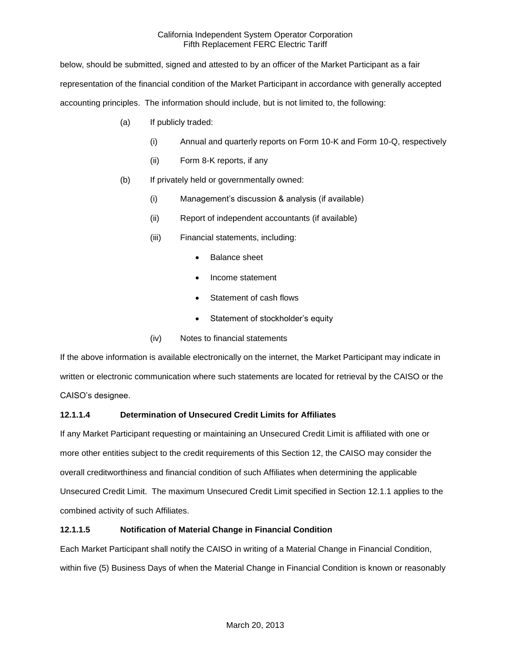below, should be submitted, signed and attested to by an officer of the Market Participant as a fair representation of the financial condition of the Market Participant in accordance with generally accepted accounting principles. The information should include, but is not limited to, the following:

- (a) If publicly traded:
	- (i) Annual and quarterly reports on Form 10-K and Form 10-Q, respectively
	- (ii) Form 8-K reports, if any
- (b) If privately held or governmentally owned:
	- (i) Management's discussion & analysis (if available)
	- (ii) Report of independent accountants (if available)
	- (iii) Financial statements, including:
		- Balance sheet
		- Income statement
		- Statement of cash flows
		- Statement of stockholder's equity
	- (iv) Notes to financial statements

If the above information is available electronically on the internet, the Market Participant may indicate in written or electronic communication where such statements are located for retrieval by the CAISO or the CAISO's designee.

# **12.1.1.4 Determination of Unsecured Credit Limits for Affiliates**

If any Market Participant requesting or maintaining an Unsecured Credit Limit is affiliated with one or more other entities subject to the credit requirements of this Section 12, the CAISO may consider the overall creditworthiness and financial condition of such Affiliates when determining the applicable Unsecured Credit Limit. The maximum Unsecured Credit Limit specified in Section 12.1.1 applies to the combined activity of such Affiliates.

# **12.1.1.5 Notification of Material Change in Financial Condition**

Each Market Participant shall notify the CAISO in writing of a Material Change in Financial Condition, within five (5) Business Days of when the Material Change in Financial Condition is known or reasonably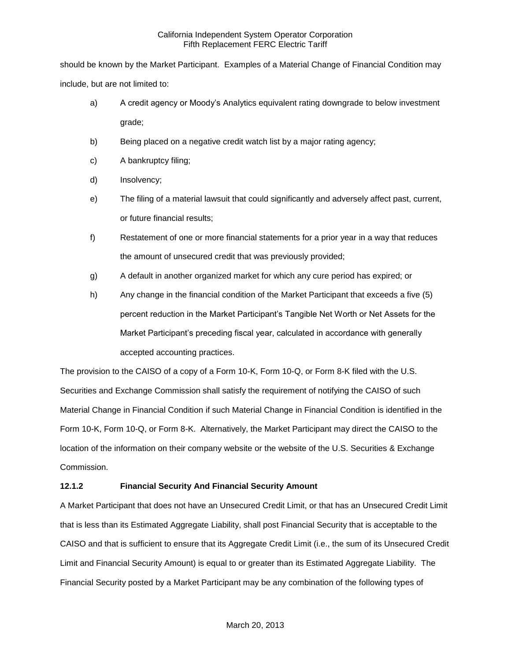should be known by the Market Participant. Examples of a Material Change of Financial Condition may include, but are not limited to:

- a) A credit agency or Moody's Analytics equivalent rating downgrade to below investment grade;
- b) Being placed on a negative credit watch list by a major rating agency;
- c) A bankruptcy filing;
- d) Insolvency;
- e) The filing of a material lawsuit that could significantly and adversely affect past, current, or future financial results;
- f) Restatement of one or more financial statements for a prior year in a way that reduces the amount of unsecured credit that was previously provided;
- g) A default in another organized market for which any cure period has expired; or
- h) Any change in the financial condition of the Market Participant that exceeds a five (5) percent reduction in the Market Participant's Tangible Net Worth or Net Assets for the Market Participant's preceding fiscal year, calculated in accordance with generally accepted accounting practices.

The provision to the CAISO of a copy of a Form 10-K, Form 10-Q, or Form 8-K filed with the U.S. Securities and Exchange Commission shall satisfy the requirement of notifying the CAISO of such Material Change in Financial Condition if such Material Change in Financial Condition is identified in the Form 10-K, Form 10-Q, or Form 8-K. Alternatively, the Market Participant may direct the CAISO to the location of the information on their company website or the website of the U.S. Securities & Exchange Commission.

# **12.1.2 Financial Security And Financial Security Amount**

A Market Participant that does not have an Unsecured Credit Limit, or that has an Unsecured Credit Limit that is less than its Estimated Aggregate Liability, shall post Financial Security that is acceptable to the CAISO and that is sufficient to ensure that its Aggregate Credit Limit (i.e., the sum of its Unsecured Credit Limit and Financial Security Amount) is equal to or greater than its Estimated Aggregate Liability. The Financial Security posted by a Market Participant may be any combination of the following types of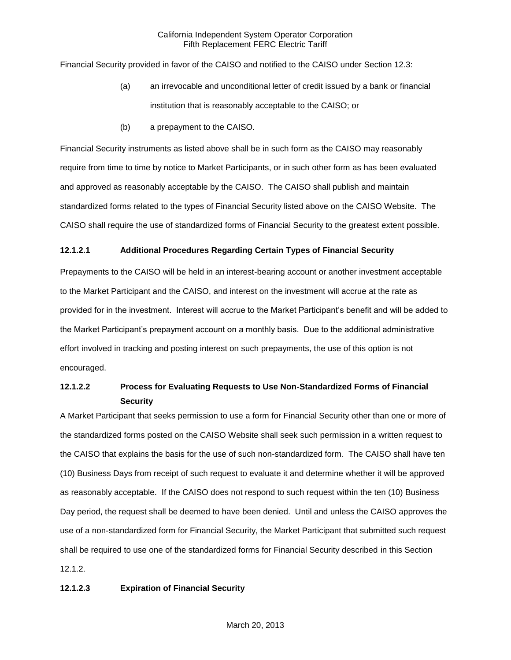Financial Security provided in favor of the CAISO and notified to the CAISO under Section 12.3:

- (a) an irrevocable and unconditional letter of credit issued by a bank or financial institution that is reasonably acceptable to the CAISO; or
- (b) a prepayment to the CAISO.

Financial Security instruments as listed above shall be in such form as the CAISO may reasonably require from time to time by notice to Market Participants, or in such other form as has been evaluated and approved as reasonably acceptable by the CAISO. The CAISO shall publish and maintain standardized forms related to the types of Financial Security listed above on the CAISO Website. The CAISO shall require the use of standardized forms of Financial Security to the greatest extent possible.

#### **12.1.2.1 Additional Procedures Regarding Certain Types of Financial Security**

Prepayments to the CAISO will be held in an interest-bearing account or another investment acceptable to the Market Participant and the CAISO, and interest on the investment will accrue at the rate as provided for in the investment. Interest will accrue to the Market Participant's benefit and will be added to the Market Participant's prepayment account on a monthly basis. Due to the additional administrative effort involved in tracking and posting interest on such prepayments, the use of this option is not encouraged.

# **12.1.2.2 Process for Evaluating Requests to Use Non-Standardized Forms of Financial Security**

A Market Participant that seeks permission to use a form for Financial Security other than one or more of the standardized forms posted on the CAISO Website shall seek such permission in a written request to the CAISO that explains the basis for the use of such non-standardized form. The CAISO shall have ten (10) Business Days from receipt of such request to evaluate it and determine whether it will be approved as reasonably acceptable. If the CAISO does not respond to such request within the ten (10) Business Day period, the request shall be deemed to have been denied. Until and unless the CAISO approves the use of a non-standardized form for Financial Security, the Market Participant that submitted such request shall be required to use one of the standardized forms for Financial Security described in this Section 12.1.2.

## **12.1.2.3 Expiration of Financial Security**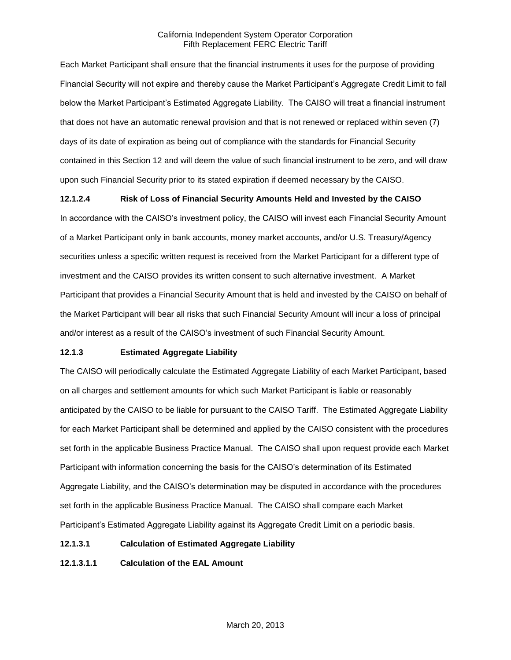Each Market Participant shall ensure that the financial instruments it uses for the purpose of providing Financial Security will not expire and thereby cause the Market Participant's Aggregate Credit Limit to fall below the Market Participant's Estimated Aggregate Liability. The CAISO will treat a financial instrument that does not have an automatic renewal provision and that is not renewed or replaced within seven (7) days of its date of expiration as being out of compliance with the standards for Financial Security contained in this Section 12 and will deem the value of such financial instrument to be zero, and will draw upon such Financial Security prior to its stated expiration if deemed necessary by the CAISO.

## **12.1.2.4 Risk of Loss of Financial Security Amounts Held and Invested by the CAISO**

In accordance with the CAISO's investment policy, the CAISO will invest each Financial Security Amount of a Market Participant only in bank accounts, money market accounts, and/or U.S. Treasury/Agency securities unless a specific written request is received from the Market Participant for a different type of investment and the CAISO provides its written consent to such alternative investment. A Market Participant that provides a Financial Security Amount that is held and invested by the CAISO on behalf of the Market Participant will bear all risks that such Financial Security Amount will incur a loss of principal and/or interest as a result of the CAISO's investment of such Financial Security Amount.

# **12.1.3 Estimated Aggregate Liability**

The CAISO will periodically calculate the Estimated Aggregate Liability of each Market Participant, based on all charges and settlement amounts for which such Market Participant is liable or reasonably anticipated by the CAISO to be liable for pursuant to the CAISO Tariff. The Estimated Aggregate Liability for each Market Participant shall be determined and applied by the CAISO consistent with the procedures set forth in the applicable Business Practice Manual. The CAISO shall upon request provide each Market Participant with information concerning the basis for the CAISO's determination of its Estimated Aggregate Liability, and the CAISO's determination may be disputed in accordance with the procedures set forth in the applicable Business Practice Manual. The CAISO shall compare each Market Participant's Estimated Aggregate Liability against its Aggregate Credit Limit on a periodic basis.

## **12.1.3.1 Calculation of Estimated Aggregate Liability**

**12.1.3.1.1 Calculation of the EAL Amount**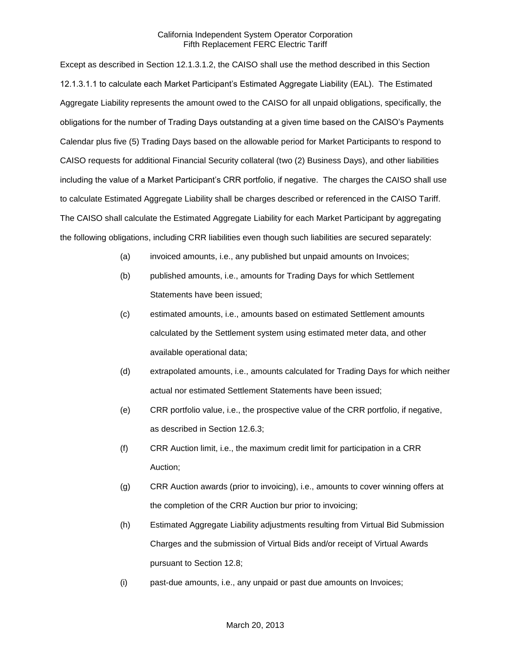Except as described in Section 12.1.3.1.2, the CAISO shall use the method described in this Section 12.1.3.1.1 to calculate each Market Participant's Estimated Aggregate Liability (EAL). The Estimated Aggregate Liability represents the amount owed to the CAISO for all unpaid obligations, specifically, the obligations for the number of Trading Days outstanding at a given time based on the CAISO's Payments Calendar plus five (5) Trading Days based on the allowable period for Market Participants to respond to CAISO requests for additional Financial Security collateral (two (2) Business Days), and other liabilities including the value of a Market Participant's CRR portfolio, if negative. The charges the CAISO shall use to calculate Estimated Aggregate Liability shall be charges described or referenced in the CAISO Tariff. The CAISO shall calculate the Estimated Aggregate Liability for each Market Participant by aggregating the following obligations, including CRR liabilities even though such liabilities are secured separately:

- (a) invoiced amounts, i.e., any published but unpaid amounts on Invoices;
- (b) published amounts, i.e., amounts for Trading Days for which Settlement Statements have been issued;
- (c) estimated amounts, i.e., amounts based on estimated Settlement amounts calculated by the Settlement system using estimated meter data, and other available operational data;
- (d) extrapolated amounts, i.e., amounts calculated for Trading Days for which neither actual nor estimated Settlement Statements have been issued;
- (e) CRR portfolio value, i.e., the prospective value of the CRR portfolio, if negative, as described in Section 12.6.3;
- (f) CRR Auction limit, i.e., the maximum credit limit for participation in a CRR Auction;
- (g) CRR Auction awards (prior to invoicing), i.e., amounts to cover winning offers at the completion of the CRR Auction bur prior to invoicing;
- (h) Estimated Aggregate Liability adjustments resulting from Virtual Bid Submission Charges and the submission of Virtual Bids and/or receipt of Virtual Awards pursuant to Section 12.8;
- (i) past-due amounts, i.e., any unpaid or past due amounts on Invoices;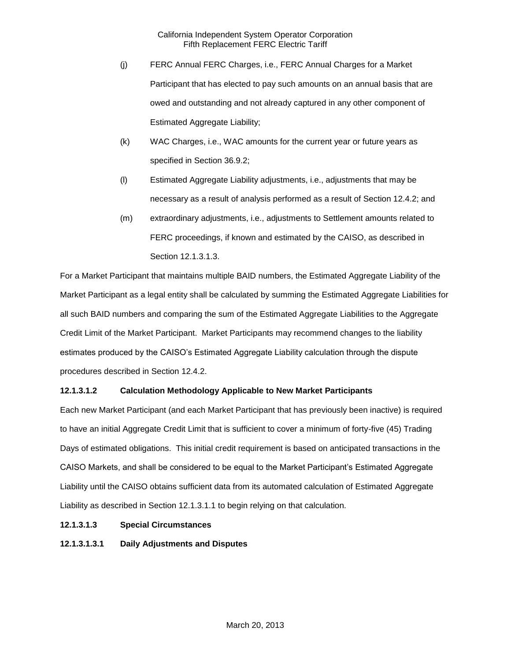- (j) FERC Annual FERC Charges, i.e., FERC Annual Charges for a Market Participant that has elected to pay such amounts on an annual basis that are owed and outstanding and not already captured in any other component of Estimated Aggregate Liability;
- (k) WAC Charges, i.e., WAC amounts for the current year or future years as specified in Section 36.9.2;
- (l) Estimated Aggregate Liability adjustments, i.e., adjustments that may be necessary as a result of analysis performed as a result of Section 12.4.2; and
- (m) extraordinary adjustments, i.e., adjustments to Settlement amounts related to FERC proceedings, if known and estimated by the CAISO, as described in Section 12.1.3.1.3.

For a Market Participant that maintains multiple BAID numbers, the Estimated Aggregate Liability of the Market Participant as a legal entity shall be calculated by summing the Estimated Aggregate Liabilities for all such BAID numbers and comparing the sum of the Estimated Aggregate Liabilities to the Aggregate Credit Limit of the Market Participant. Market Participants may recommend changes to the liability estimates produced by the CAISO's Estimated Aggregate Liability calculation through the dispute procedures described in Section 12.4.2.

# **12.1.3.1.2 Calculation Methodology Applicable to New Market Participants**

Each new Market Participant (and each Market Participant that has previously been inactive) is required to have an initial Aggregate Credit Limit that is sufficient to cover a minimum of forty-five (45) Trading Days of estimated obligations. This initial credit requirement is based on anticipated transactions in the CAISO Markets, and shall be considered to be equal to the Market Participant's Estimated Aggregate Liability until the CAISO obtains sufficient data from its automated calculation of Estimated Aggregate Liability as described in Section 12.1.3.1.1 to begin relying on that calculation.

- **12.1.3.1.3 Special Circumstances**
- **12.1.3.1.3.1 Daily Adjustments and Disputes**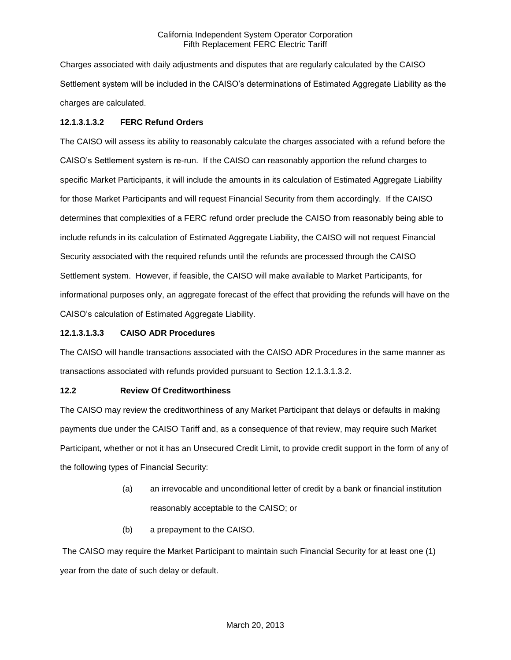Charges associated with daily adjustments and disputes that are regularly calculated by the CAISO Settlement system will be included in the CAISO's determinations of Estimated Aggregate Liability as the charges are calculated.

# **12.1.3.1.3.2 FERC Refund Orders**

The CAISO will assess its ability to reasonably calculate the charges associated with a refund before the CAISO's Settlement system is re-run. If the CAISO can reasonably apportion the refund charges to specific Market Participants, it will include the amounts in its calculation of Estimated Aggregate Liability for those Market Participants and will request Financial Security from them accordingly. If the CAISO determines that complexities of a FERC refund order preclude the CAISO from reasonably being able to include refunds in its calculation of Estimated Aggregate Liability, the CAISO will not request Financial Security associated with the required refunds until the refunds are processed through the CAISO Settlement system. However, if feasible, the CAISO will make available to Market Participants, for informational purposes only, an aggregate forecast of the effect that providing the refunds will have on the CAISO's calculation of Estimated Aggregate Liability.

## **12.1.3.1.3.3 CAISO ADR Procedures**

The CAISO will handle transactions associated with the CAISO ADR Procedures in the same manner as transactions associated with refunds provided pursuant to Section 12.1.3.1.3.2.

## **12.2 Review Of Creditworthiness**

The CAISO may review the creditworthiness of any Market Participant that delays or defaults in making payments due under the CAISO Tariff and, as a consequence of that review, may require such Market Participant, whether or not it has an Unsecured Credit Limit, to provide credit support in the form of any of the following types of Financial Security:

- (a) an irrevocable and unconditional letter of credit by a bank or financial institution reasonably acceptable to the CAISO; or
- (b) a prepayment to the CAISO.

The CAISO may require the Market Participant to maintain such Financial Security for at least one (1) year from the date of such delay or default.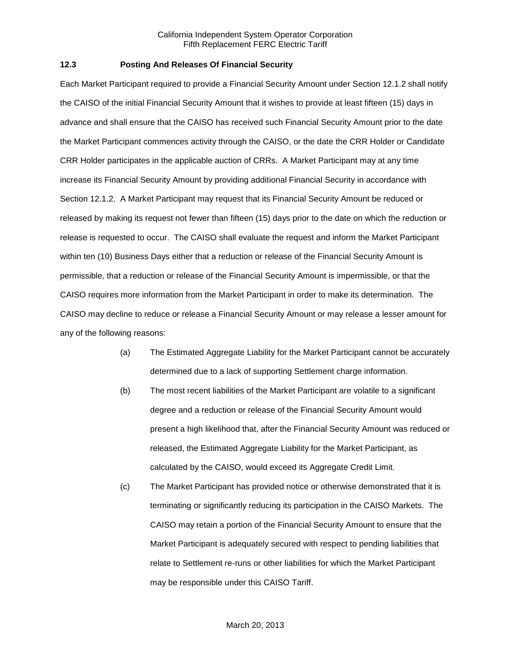#### **12.3 Posting And Releases Of Financial Security**

Each Market Participant required to provide a Financial Security Amount under Section 12.1.2 shall notify the CAISO of the initial Financial Security Amount that it wishes to provide at least fifteen (15) days in advance and shall ensure that the CAISO has received such Financial Security Amount prior to the date the Market Participant commences activity through the CAISO, or the date the CRR Holder or Candidate CRR Holder participates in the applicable auction of CRRs. A Market Participant may at any time increase its Financial Security Amount by providing additional Financial Security in accordance with Section 12.1.2. A Market Participant may request that its Financial Security Amount be reduced or released by making its request not fewer than fifteen (15) days prior to the date on which the reduction or release is requested to occur. The CAISO shall evaluate the request and inform the Market Participant within ten (10) Business Days either that a reduction or release of the Financial Security Amount is permissible, that a reduction or release of the Financial Security Amount is impermissible, or that the CAISO requires more information from the Market Participant in order to make its determination. The CAISO may decline to reduce or release a Financial Security Amount or may release a lesser amount for any of the following reasons:

- (a) The Estimated Aggregate Liability for the Market Participant cannot be accurately determined due to a lack of supporting Settlement charge information.
- (b) The most recent liabilities of the Market Participant are volatile to a significant degree and a reduction or release of the Financial Security Amount would present a high likelihood that, after the Financial Security Amount was reduced or released, the Estimated Aggregate Liability for the Market Participant, as calculated by the CAISO, would exceed its Aggregate Credit Limit.
- (c) The Market Participant has provided notice or otherwise demonstrated that it is terminating or significantly reducing its participation in the CAISO Markets. The CAISO may retain a portion of the Financial Security Amount to ensure that the Market Participant is adequately secured with respect to pending liabilities that relate to Settlement re-runs or other liabilities for which the Market Participant may be responsible under this CAISO Tariff.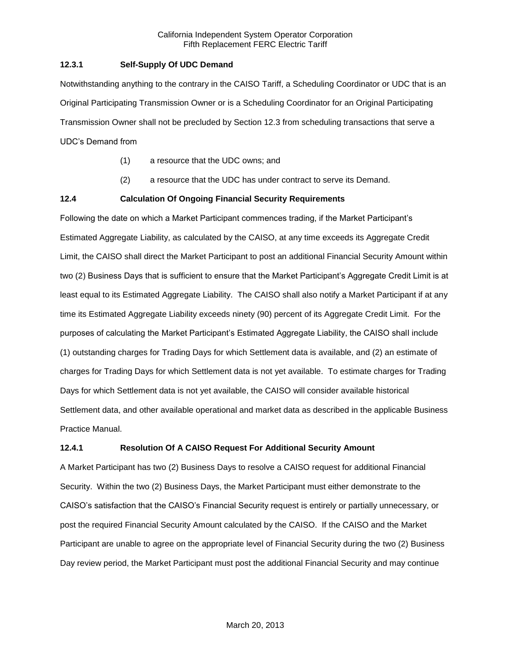## **12.3.1 Self-Supply Of UDC Demand**

Notwithstanding anything to the contrary in the CAISO Tariff, a Scheduling Coordinator or UDC that is an Original Participating Transmission Owner or is a Scheduling Coordinator for an Original Participating Transmission Owner shall not be precluded by Section 12.3 from scheduling transactions that serve a UDC's Demand from

- (1) a resource that the UDC owns; and
- (2) a resource that the UDC has under contract to serve its Demand.

## **12.4 Calculation Of Ongoing Financial Security Requirements**

Following the date on which a Market Participant commences trading, if the Market Participant's Estimated Aggregate Liability, as calculated by the CAISO, at any time exceeds its Aggregate Credit Limit, the CAISO shall direct the Market Participant to post an additional Financial Security Amount within two (2) Business Days that is sufficient to ensure that the Market Participant's Aggregate Credit Limit is at least equal to its Estimated Aggregate Liability. The CAISO shall also notify a Market Participant if at any time its Estimated Aggregate Liability exceeds ninety (90) percent of its Aggregate Credit Limit. For the purposes of calculating the Market Participant's Estimated Aggregate Liability, the CAISO shall include (1) outstanding charges for Trading Days for which Settlement data is available, and (2) an estimate of charges for Trading Days for which Settlement data is not yet available. To estimate charges for Trading Days for which Settlement data is not yet available, the CAISO will consider available historical Settlement data, and other available operational and market data as described in the applicable Business Practice Manual.

## **12.4.1 Resolution Of A CAISO Request For Additional Security Amount**

A Market Participant has two (2) Business Days to resolve a CAISO request for additional Financial Security. Within the two (2) Business Days, the Market Participant must either demonstrate to the CAISO's satisfaction that the CAISO's Financial Security request is entirely or partially unnecessary, or post the required Financial Security Amount calculated by the CAISO. If the CAISO and the Market Participant are unable to agree on the appropriate level of Financial Security during the two (2) Business Day review period, the Market Participant must post the additional Financial Security and may continue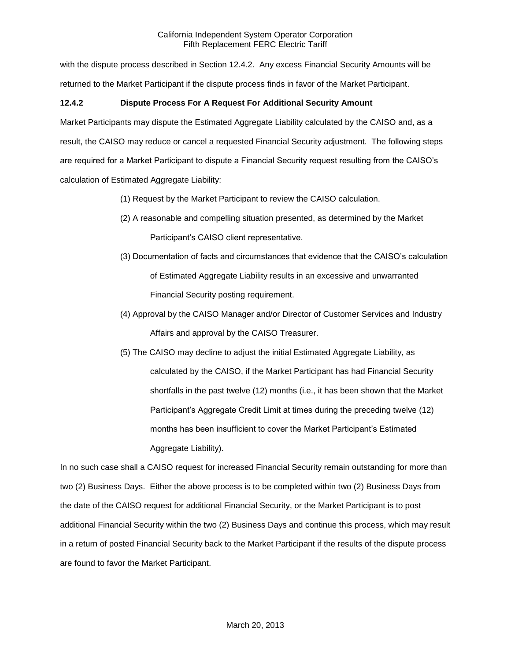with the dispute process described in Section 12.4.2. Any excess Financial Security Amounts will be returned to the Market Participant if the dispute process finds in favor of the Market Participant.

# **12.4.2 Dispute Process For A Request For Additional Security Amount**

Market Participants may dispute the Estimated Aggregate Liability calculated by the CAISO and, as a result, the CAISO may reduce or cancel a requested Financial Security adjustment. The following steps are required for a Market Participant to dispute a Financial Security request resulting from the CAISO's calculation of Estimated Aggregate Liability:

- (1) Request by the Market Participant to review the CAISO calculation.
- (2) A reasonable and compelling situation presented, as determined by the Market Participant's CAISO client representative.
- (3) Documentation of facts and circumstances that evidence that the CAISO's calculation of Estimated Aggregate Liability results in an excessive and unwarranted Financial Security posting requirement.
- (4) Approval by the CAISO Manager and/or Director of Customer Services and Industry Affairs and approval by the CAISO Treasurer.
- (5) The CAISO may decline to adjust the initial Estimated Aggregate Liability, as calculated by the CAISO, if the Market Participant has had Financial Security shortfalls in the past twelve (12) months (i.e., it has been shown that the Market Participant's Aggregate Credit Limit at times during the preceding twelve (12) months has been insufficient to cover the Market Participant's Estimated Aggregate Liability).

In no such case shall a CAISO request for increased Financial Security remain outstanding for more than two (2) Business Days. Either the above process is to be completed within two (2) Business Days from the date of the CAISO request for additional Financial Security, or the Market Participant is to post additional Financial Security within the two (2) Business Days and continue this process, which may result in a return of posted Financial Security back to the Market Participant if the results of the dispute process are found to favor the Market Participant.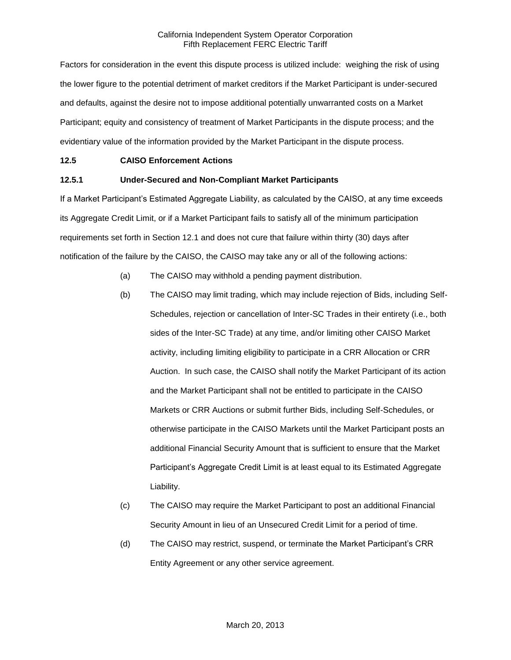Factors for consideration in the event this dispute process is utilized include: weighing the risk of using the lower figure to the potential detriment of market creditors if the Market Participant is under-secured and defaults, against the desire not to impose additional potentially unwarranted costs on a Market Participant; equity and consistency of treatment of Market Participants in the dispute process; and the evidentiary value of the information provided by the Market Participant in the dispute process.

## **12.5 CAISO Enforcement Actions**

## **12.5.1 Under-Secured and Non-Compliant Market Participants**

If a Market Participant's Estimated Aggregate Liability, as calculated by the CAISO, at any time exceeds its Aggregate Credit Limit, or if a Market Participant fails to satisfy all of the minimum participation requirements set forth in Section 12.1 and does not cure that failure within thirty (30) days after notification of the failure by the CAISO, the CAISO may take any or all of the following actions:

- (a) The CAISO may withhold a pending payment distribution.
- (b) The CAISO may limit trading, which may include rejection of Bids, including Self-Schedules, rejection or cancellation of Inter-SC Trades in their entirety (i.e., both sides of the Inter-SC Trade) at any time, and/or limiting other CAISO Market activity, including limiting eligibility to participate in a CRR Allocation or CRR Auction. In such case, the CAISO shall notify the Market Participant of its action and the Market Participant shall not be entitled to participate in the CAISO Markets or CRR Auctions or submit further Bids, including Self-Schedules, or otherwise participate in the CAISO Markets until the Market Participant posts an additional Financial Security Amount that is sufficient to ensure that the Market Participant's Aggregate Credit Limit is at least equal to its Estimated Aggregate Liability.
- (c) The CAISO may require the Market Participant to post an additional Financial Security Amount in lieu of an Unsecured Credit Limit for a period of time.
- (d) The CAISO may restrict, suspend, or terminate the Market Participant's CRR Entity Agreement or any other service agreement.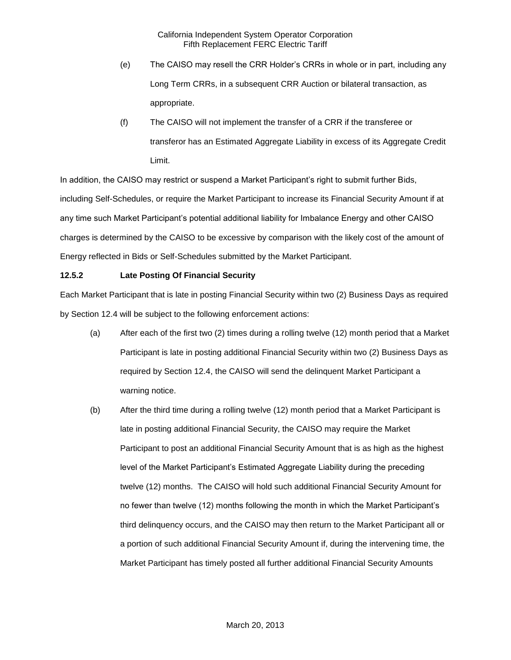- (e) The CAISO may resell the CRR Holder's CRRs in whole or in part, including any Long Term CRRs, in a subsequent CRR Auction or bilateral transaction, as appropriate.
- (f) The CAISO will not implement the transfer of a CRR if the transferee or transferor has an Estimated Aggregate Liability in excess of its Aggregate Credit Limit.

In addition, the CAISO may restrict or suspend a Market Participant's right to submit further Bids, including Self-Schedules, or require the Market Participant to increase its Financial Security Amount if at any time such Market Participant's potential additional liability for Imbalance Energy and other CAISO charges is determined by the CAISO to be excessive by comparison with the likely cost of the amount of Energy reflected in Bids or Self-Schedules submitted by the Market Participant.

## **12.5.2 Late Posting Of Financial Security**

Each Market Participant that is late in posting Financial Security within two (2) Business Days as required by Section 12.4 will be subject to the following enforcement actions:

- (a) After each of the first two (2) times during a rolling twelve (12) month period that a Market Participant is late in posting additional Financial Security within two (2) Business Days as required by Section 12.4, the CAISO will send the delinquent Market Participant a warning notice.
- (b) After the third time during a rolling twelve (12) month period that a Market Participant is late in posting additional Financial Security, the CAISO may require the Market Participant to post an additional Financial Security Amount that is as high as the highest level of the Market Participant's Estimated Aggregate Liability during the preceding twelve (12) months. The CAISO will hold such additional Financial Security Amount for no fewer than twelve (12) months following the month in which the Market Participant's third delinquency occurs, and the CAISO may then return to the Market Participant all or a portion of such additional Financial Security Amount if, during the intervening time, the Market Participant has timely posted all further additional Financial Security Amounts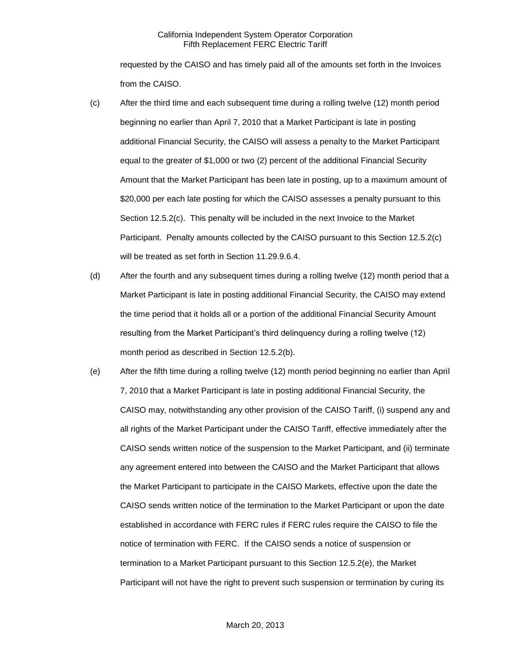requested by the CAISO and has timely paid all of the amounts set forth in the Invoices from the CAISO.

- (c) After the third time and each subsequent time during a rolling twelve (12) month period beginning no earlier than April 7, 2010 that a Market Participant is late in posting additional Financial Security, the CAISO will assess a penalty to the Market Participant equal to the greater of \$1,000 or two (2) percent of the additional Financial Security Amount that the Market Participant has been late in posting, up to a maximum amount of \$20,000 per each late posting for which the CAISO assesses a penalty pursuant to this Section 12.5.2(c). This penalty will be included in the next Invoice to the Market Participant. Penalty amounts collected by the CAISO pursuant to this Section 12.5.2(c) will be treated as set forth in Section 11.29.9.6.4.
- (d) After the fourth and any subsequent times during a rolling twelve (12) month period that a Market Participant is late in posting additional Financial Security, the CAISO may extend the time period that it holds all or a portion of the additional Financial Security Amount resulting from the Market Participant's third delinquency during a rolling twelve (12) month period as described in Section 12.5.2(b).
- (e) After the fifth time during a rolling twelve (12) month period beginning no earlier than April 7, 2010 that a Market Participant is late in posting additional Financial Security, the CAISO may, notwithstanding any other provision of the CAISO Tariff, (i) suspend any and all rights of the Market Participant under the CAISO Tariff, effective immediately after the CAISO sends written notice of the suspension to the Market Participant, and (ii) terminate any agreement entered into between the CAISO and the Market Participant that allows the Market Participant to participate in the CAISO Markets, effective upon the date the CAISO sends written notice of the termination to the Market Participant or upon the date established in accordance with FERC rules if FERC rules require the CAISO to file the notice of termination with FERC. If the CAISO sends a notice of suspension or termination to a Market Participant pursuant to this Section 12.5.2(e), the Market Participant will not have the right to prevent such suspension or termination by curing its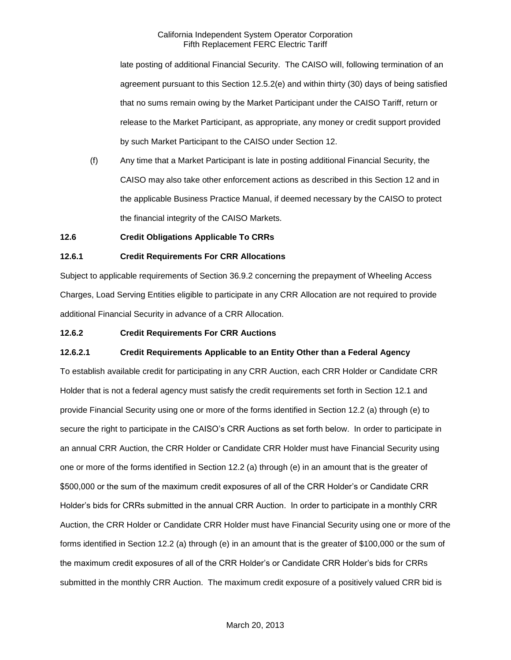late posting of additional Financial Security. The CAISO will, following termination of an agreement pursuant to this Section 12.5.2(e) and within thirty (30) days of being satisfied that no sums remain owing by the Market Participant under the CAISO Tariff, return or release to the Market Participant, as appropriate, any money or credit support provided by such Market Participant to the CAISO under Section 12.

(f) Any time that a Market Participant is late in posting additional Financial Security, the CAISO may also take other enforcement actions as described in this Section 12 and in the applicable Business Practice Manual, if deemed necessary by the CAISO to protect the financial integrity of the CAISO Markets.

## **12.6 Credit Obligations Applicable To CRRs**

#### **12.6.1 Credit Requirements For CRR Allocations**

Subject to applicable requirements of Section 36.9.2 concerning the prepayment of Wheeling Access Charges, Load Serving Entities eligible to participate in any CRR Allocation are not required to provide additional Financial Security in advance of a CRR Allocation.

## **12.6.2 Credit Requirements For CRR Auctions**

#### **12.6.2.1 Credit Requirements Applicable to an Entity Other than a Federal Agency**

To establish available credit for participating in any CRR Auction, each CRR Holder or Candidate CRR Holder that is not a federal agency must satisfy the credit requirements set forth in Section 12.1 and provide Financial Security using one or more of the forms identified in Section 12.2 (a) through (e) to secure the right to participate in the CAISO's CRR Auctions as set forth below. In order to participate in an annual CRR Auction, the CRR Holder or Candidate CRR Holder must have Financial Security using one or more of the forms identified in Section 12.2 (a) through (e) in an amount that is the greater of \$500,000 or the sum of the maximum credit exposures of all of the CRR Holder's or Candidate CRR Holder's bids for CRRs submitted in the annual CRR Auction. In order to participate in a monthly CRR Auction, the CRR Holder or Candidate CRR Holder must have Financial Security using one or more of the forms identified in Section 12.2 (a) through (e) in an amount that is the greater of \$100,000 or the sum of the maximum credit exposures of all of the CRR Holder's or Candidate CRR Holder's bids for CRRs submitted in the monthly CRR Auction. The maximum credit exposure of a positively valued CRR bid is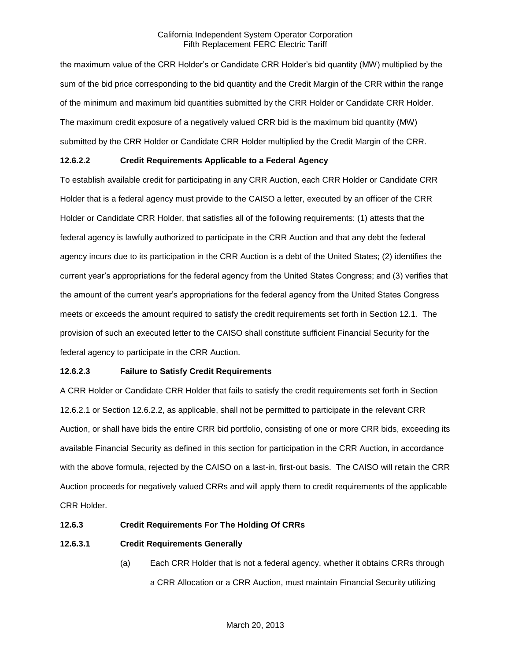the maximum value of the CRR Holder's or Candidate CRR Holder's bid quantity (MW) multiplied by the sum of the bid price corresponding to the bid quantity and the Credit Margin of the CRR within the range of the minimum and maximum bid quantities submitted by the CRR Holder or Candidate CRR Holder. The maximum credit exposure of a negatively valued CRR bid is the maximum bid quantity (MW) submitted by the CRR Holder or Candidate CRR Holder multiplied by the Credit Margin of the CRR.

## **12.6.2.2 Credit Requirements Applicable to a Federal Agency**

To establish available credit for participating in any CRR Auction, each CRR Holder or Candidate CRR Holder that is a federal agency must provide to the CAISO a letter, executed by an officer of the CRR Holder or Candidate CRR Holder, that satisfies all of the following requirements: (1) attests that the federal agency is lawfully authorized to participate in the CRR Auction and that any debt the federal agency incurs due to its participation in the CRR Auction is a debt of the United States; (2) identifies the current year's appropriations for the federal agency from the United States Congress; and (3) verifies that the amount of the current year's appropriations for the federal agency from the United States Congress meets or exceeds the amount required to satisfy the credit requirements set forth in Section 12.1. The provision of such an executed letter to the CAISO shall constitute sufficient Financial Security for the federal agency to participate in the CRR Auction.

## **12.6.2.3 Failure to Satisfy Credit Requirements**

A CRR Holder or Candidate CRR Holder that fails to satisfy the credit requirements set forth in Section 12.6.2.1 or Section 12.6.2.2, as applicable, shall not be permitted to participate in the relevant CRR Auction, or shall have bids the entire CRR bid portfolio, consisting of one or more CRR bids, exceeding its available Financial Security as defined in this section for participation in the CRR Auction, in accordance with the above formula, rejected by the CAISO on a last-in, first-out basis. The CAISO will retain the CRR Auction proceeds for negatively valued CRRs and will apply them to credit requirements of the applicable CRR Holder.

## **12.6.3 Credit Requirements For The Holding Of CRRs**

## **12.6.3.1 Credit Requirements Generally**

(a) Each CRR Holder that is not a federal agency, whether it obtains CRRs through a CRR Allocation or a CRR Auction, must maintain Financial Security utilizing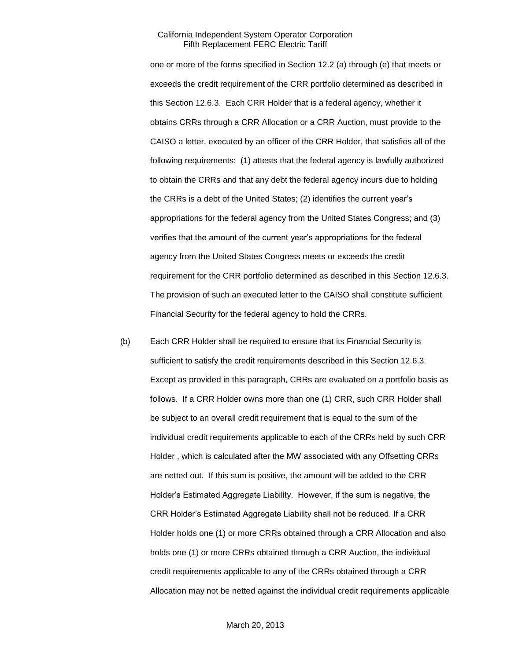one or more of the forms specified in Section 12.2 (a) through (e) that meets or exceeds the credit requirement of the CRR portfolio determined as described in this Section 12.6.3. Each CRR Holder that is a federal agency, whether it obtains CRRs through a CRR Allocation or a CRR Auction, must provide to the CAISO a letter, executed by an officer of the CRR Holder, that satisfies all of the following requirements: (1) attests that the federal agency is lawfully authorized to obtain the CRRs and that any debt the federal agency incurs due to holding the CRRs is a debt of the United States; (2) identifies the current year's appropriations for the federal agency from the United States Congress; and (3) verifies that the amount of the current year's appropriations for the federal agency from the United States Congress meets or exceeds the credit requirement for the CRR portfolio determined as described in this Section 12.6.3. The provision of such an executed letter to the CAISO shall constitute sufficient Financial Security for the federal agency to hold the CRRs.

(b) Each CRR Holder shall be required to ensure that its Financial Security is sufficient to satisfy the credit requirements described in this Section 12.6.3. Except as provided in this paragraph, CRRs are evaluated on a portfolio basis as follows. If a CRR Holder owns more than one (1) CRR, such CRR Holder shall be subject to an overall credit requirement that is equal to the sum of the individual credit requirements applicable to each of the CRRs held by such CRR Holder , which is calculated after the MW associated with any Offsetting CRRs are netted out. If this sum is positive, the amount will be added to the CRR Holder's Estimated Aggregate Liability. However, if the sum is negative, the CRR Holder's Estimated Aggregate Liability shall not be reduced. If a CRR Holder holds one (1) or more CRRs obtained through a CRR Allocation and also holds one (1) or more CRRs obtained through a CRR Auction, the individual credit requirements applicable to any of the CRRs obtained through a CRR Allocation may not be netted against the individual credit requirements applicable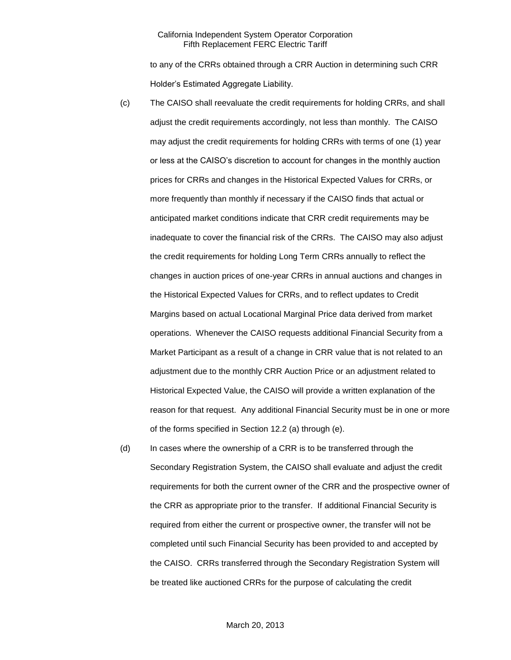to any of the CRRs obtained through a CRR Auction in determining such CRR Holder's Estimated Aggregate Liability.

- (c) The CAISO shall reevaluate the credit requirements for holding CRRs, and shall adjust the credit requirements accordingly, not less than monthly. The CAISO may adjust the credit requirements for holding CRRs with terms of one (1) year or less at the CAISO's discretion to account for changes in the monthly auction prices for CRRs and changes in the Historical Expected Values for CRRs, or more frequently than monthly if necessary if the CAISO finds that actual or anticipated market conditions indicate that CRR credit requirements may be inadequate to cover the financial risk of the CRRs. The CAISO may also adjust the credit requirements for holding Long Term CRRs annually to reflect the changes in auction prices of one-year CRRs in annual auctions and changes in the Historical Expected Values for CRRs, and to reflect updates to Credit Margins based on actual Locational Marginal Price data derived from market operations. Whenever the CAISO requests additional Financial Security from a Market Participant as a result of a change in CRR value that is not related to an adjustment due to the monthly CRR Auction Price or an adjustment related to Historical Expected Value, the CAISO will provide a written explanation of the reason for that request. Any additional Financial Security must be in one or more of the forms specified in Section 12.2 (a) through (e).
- (d) In cases where the ownership of a CRR is to be transferred through the Secondary Registration System, the CAISO shall evaluate and adjust the credit requirements for both the current owner of the CRR and the prospective owner of the CRR as appropriate prior to the transfer. If additional Financial Security is required from either the current or prospective owner, the transfer will not be completed until such Financial Security has been provided to and accepted by the CAISO. CRRs transferred through the Secondary Registration System will be treated like auctioned CRRs for the purpose of calculating the credit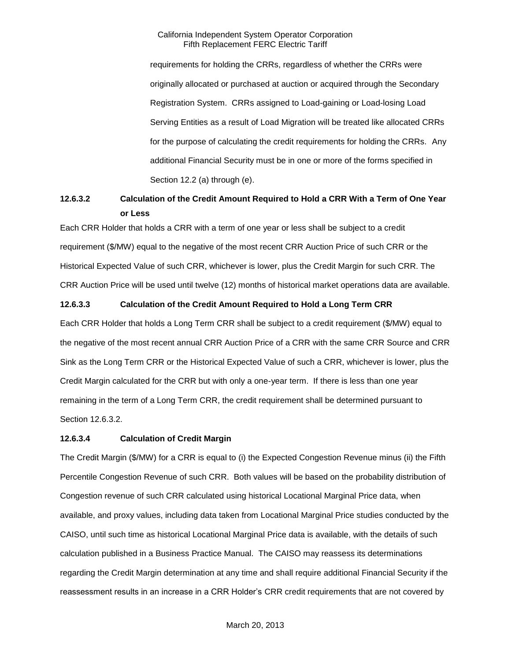requirements for holding the CRRs, regardless of whether the CRRs were originally allocated or purchased at auction or acquired through the Secondary Registration System. CRRs assigned to Load-gaining or Load-losing Load Serving Entities as a result of Load Migration will be treated like allocated CRRs for the purpose of calculating the credit requirements for holding the CRRs. Any additional Financial Security must be in one or more of the forms specified in Section 12.2 (a) through (e).

# **12.6.3.2 Calculation of the Credit Amount Required to Hold a CRR With a Term of One Year or Less**

Each CRR Holder that holds a CRR with a term of one year or less shall be subject to a credit requirement (\$/MW) equal to the negative of the most recent CRR Auction Price of such CRR or the Historical Expected Value of such CRR, whichever is lower, plus the Credit Margin for such CRR. The CRR Auction Price will be used until twelve (12) months of historical market operations data are available.

# **12.6.3.3 Calculation of the Credit Amount Required to Hold a Long Term CRR**

Each CRR Holder that holds a Long Term CRR shall be subject to a credit requirement (\$/MW) equal to the negative of the most recent annual CRR Auction Price of a CRR with the same CRR Source and CRR Sink as the Long Term CRR or the Historical Expected Value of such a CRR, whichever is lower, plus the Credit Margin calculated for the CRR but with only a one-year term. If there is less than one year remaining in the term of a Long Term CRR, the credit requirement shall be determined pursuant to Section 12.6.3.2.

## **12.6.3.4 Calculation of Credit Margin**

The Credit Margin (\$/MW) for a CRR is equal to (i) the Expected Congestion Revenue minus (ii) the Fifth Percentile Congestion Revenue of such CRR. Both values will be based on the probability distribution of Congestion revenue of such CRR calculated using historical Locational Marginal Price data, when available, and proxy values, including data taken from Locational Marginal Price studies conducted by the CAISO, until such time as historical Locational Marginal Price data is available, with the details of such calculation published in a Business Practice Manual. The CAISO may reassess its determinations regarding the Credit Margin determination at any time and shall require additional Financial Security if the reassessment results in an increase in a CRR Holder's CRR credit requirements that are not covered by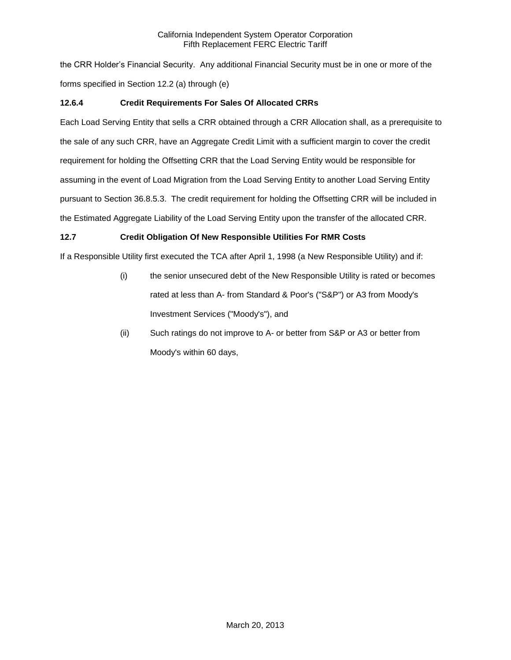the CRR Holder's Financial Security. Any additional Financial Security must be in one or more of the forms specified in Section 12.2 (a) through (e)

# **12.6.4 Credit Requirements For Sales Of Allocated CRRs**

Each Load Serving Entity that sells a CRR obtained through a CRR Allocation shall, as a prerequisite to the sale of any such CRR, have an Aggregate Credit Limit with a sufficient margin to cover the credit requirement for holding the Offsetting CRR that the Load Serving Entity would be responsible for assuming in the event of Load Migration from the Load Serving Entity to another Load Serving Entity pursuant to Section 36.8.5.3. The credit requirement for holding the Offsetting CRR will be included in the Estimated Aggregate Liability of the Load Serving Entity upon the transfer of the allocated CRR.

# **12.7 Credit Obligation Of New Responsible Utilities For RMR Costs**

If a Responsible Utility first executed the TCA after April 1, 1998 (a New Responsible Utility) and if:

- (i) the senior unsecured debt of the New Responsible Utility is rated or becomes rated at less than A- from Standard & Poor's ("S&P") or A3 from Moody's Investment Services ("Moody's"), and
- (ii) Such ratings do not improve to A- or better from S&P or A3 or better from Moody's within 60 days,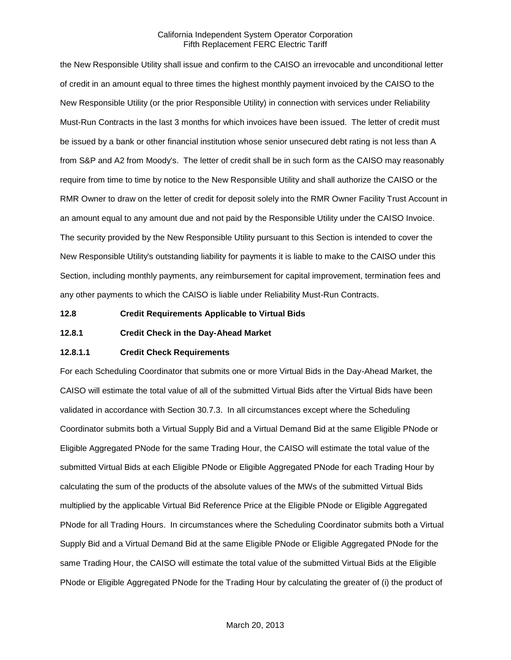the New Responsible Utility shall issue and confirm to the CAISO an irrevocable and unconditional letter of credit in an amount equal to three times the highest monthly payment invoiced by the CAISO to the New Responsible Utility (or the prior Responsible Utility) in connection with services under Reliability Must-Run Contracts in the last 3 months for which invoices have been issued. The letter of credit must be issued by a bank or other financial institution whose senior unsecured debt rating is not less than A from S&P and A2 from Moody's. The letter of credit shall be in such form as the CAISO may reasonably require from time to time by notice to the New Responsible Utility and shall authorize the CAISO or the RMR Owner to draw on the letter of credit for deposit solely into the RMR Owner Facility Trust Account in an amount equal to any amount due and not paid by the Responsible Utility under the CAISO Invoice. The security provided by the New Responsible Utility pursuant to this Section is intended to cover the New Responsible Utility's outstanding liability for payments it is liable to make to the CAISO under this Section, including monthly payments, any reimbursement for capital improvement, termination fees and any other payments to which the CAISO is liable under Reliability Must-Run Contracts.

**12.8 Credit Requirements Applicable to Virtual Bids**

**12.8.1 Credit Check in the Day-Ahead Market**

## **12.8.1.1 Credit Check Requirements**

For each Scheduling Coordinator that submits one or more Virtual Bids in the Day-Ahead Market, the CAISO will estimate the total value of all of the submitted Virtual Bids after the Virtual Bids have been validated in accordance with Section 30.7.3. In all circumstances except where the Scheduling Coordinator submits both a Virtual Supply Bid and a Virtual Demand Bid at the same Eligible PNode or Eligible Aggregated PNode for the same Trading Hour, the CAISO will estimate the total value of the submitted Virtual Bids at each Eligible PNode or Eligible Aggregated PNode for each Trading Hour by calculating the sum of the products of the absolute values of the MWs of the submitted Virtual Bids multiplied by the applicable Virtual Bid Reference Price at the Eligible PNode or Eligible Aggregated PNode for all Trading Hours. In circumstances where the Scheduling Coordinator submits both a Virtual Supply Bid and a Virtual Demand Bid at the same Eligible PNode or Eligible Aggregated PNode for the same Trading Hour, the CAISO will estimate the total value of the submitted Virtual Bids at the Eligible PNode or Eligible Aggregated PNode for the Trading Hour by calculating the greater of (i) the product of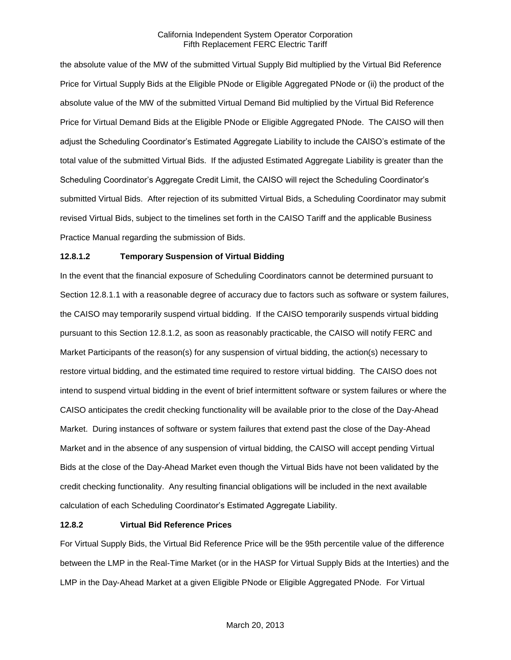the absolute value of the MW of the submitted Virtual Supply Bid multiplied by the Virtual Bid Reference Price for Virtual Supply Bids at the Eligible PNode or Eligible Aggregated PNode or (ii) the product of the absolute value of the MW of the submitted Virtual Demand Bid multiplied by the Virtual Bid Reference Price for Virtual Demand Bids at the Eligible PNode or Eligible Aggregated PNode. The CAISO will then adjust the Scheduling Coordinator's Estimated Aggregate Liability to include the CAISO's estimate of the total value of the submitted Virtual Bids. If the adjusted Estimated Aggregate Liability is greater than the Scheduling Coordinator's Aggregate Credit Limit, the CAISO will reject the Scheduling Coordinator's submitted Virtual Bids. After rejection of its submitted Virtual Bids, a Scheduling Coordinator may submit revised Virtual Bids, subject to the timelines set forth in the CAISO Tariff and the applicable Business Practice Manual regarding the submission of Bids.

# **12.8.1.2 Temporary Suspension of Virtual Bidding**

In the event that the financial exposure of Scheduling Coordinators cannot be determined pursuant to Section 12.8.1.1 with a reasonable degree of accuracy due to factors such as software or system failures, the CAISO may temporarily suspend virtual bidding. If the CAISO temporarily suspends virtual bidding pursuant to this Section 12.8.1.2, as soon as reasonably practicable, the CAISO will notify FERC and Market Participants of the reason(s) for any suspension of virtual bidding, the action(s) necessary to restore virtual bidding, and the estimated time required to restore virtual bidding. The CAISO does not intend to suspend virtual bidding in the event of brief intermittent software or system failures or where the CAISO anticipates the credit checking functionality will be available prior to the close of the Day-Ahead Market. During instances of software or system failures that extend past the close of the Day-Ahead Market and in the absence of any suspension of virtual bidding, the CAISO will accept pending Virtual Bids at the close of the Day-Ahead Market even though the Virtual Bids have not been validated by the credit checking functionality. Any resulting financial obligations will be included in the next available calculation of each Scheduling Coordinator's Estimated Aggregate Liability.

## **12.8.2 Virtual Bid Reference Prices**

For Virtual Supply Bids, the Virtual Bid Reference Price will be the 95th percentile value of the difference between the LMP in the Real-Time Market (or in the HASP for Virtual Supply Bids at the Interties) and the LMP in the Day-Ahead Market at a given Eligible PNode or Eligible Aggregated PNode. For Virtual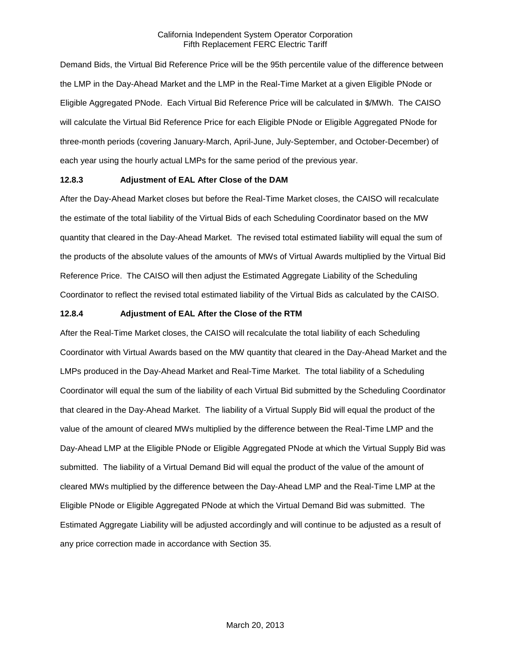Demand Bids, the Virtual Bid Reference Price will be the 95th percentile value of the difference between the LMP in the Day-Ahead Market and the LMP in the Real-Time Market at a given Eligible PNode or Eligible Aggregated PNode. Each Virtual Bid Reference Price will be calculated in \$/MWh. The CAISO will calculate the Virtual Bid Reference Price for each Eligible PNode or Eligible Aggregated PNode for three-month periods (covering January-March, April-June, July-September, and October-December) of each year using the hourly actual LMPs for the same period of the previous year.

## **12.8.3 Adjustment of EAL After Close of the DAM**

After the Day-Ahead Market closes but before the Real-Time Market closes, the CAISO will recalculate the estimate of the total liability of the Virtual Bids of each Scheduling Coordinator based on the MW quantity that cleared in the Day-Ahead Market. The revised total estimated liability will equal the sum of the products of the absolute values of the amounts of MWs of Virtual Awards multiplied by the Virtual Bid Reference Price. The CAISO will then adjust the Estimated Aggregate Liability of the Scheduling Coordinator to reflect the revised total estimated liability of the Virtual Bids as calculated by the CAISO.

## **12.8.4 Adjustment of EAL After the Close of the RTM**

After the Real-Time Market closes, the CAISO will recalculate the total liability of each Scheduling Coordinator with Virtual Awards based on the MW quantity that cleared in the Day-Ahead Market and the LMPs produced in the Day-Ahead Market and Real-Time Market. The total liability of a Scheduling Coordinator will equal the sum of the liability of each Virtual Bid submitted by the Scheduling Coordinator that cleared in the Day-Ahead Market. The liability of a Virtual Supply Bid will equal the product of the value of the amount of cleared MWs multiplied by the difference between the Real-Time LMP and the Day-Ahead LMP at the Eligible PNode or Eligible Aggregated PNode at which the Virtual Supply Bid was submitted. The liability of a Virtual Demand Bid will equal the product of the value of the amount of cleared MWs multiplied by the difference between the Day-Ahead LMP and the Real-Time LMP at the Eligible PNode or Eligible Aggregated PNode at which the Virtual Demand Bid was submitted. The Estimated Aggregate Liability will be adjusted accordingly and will continue to be adjusted as a result of any price correction made in accordance with Section 35.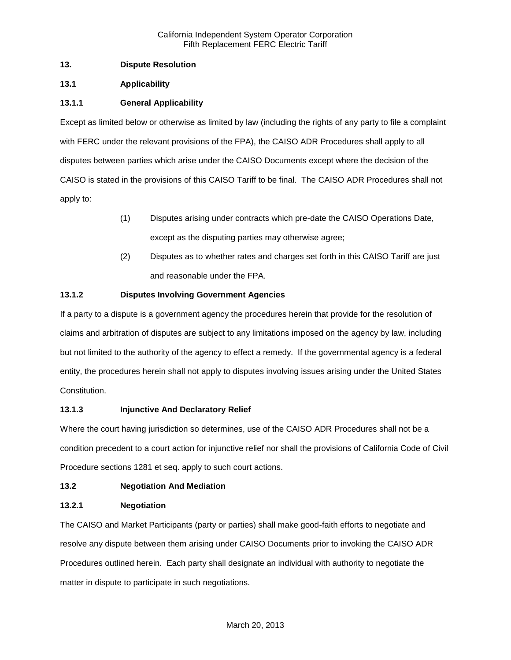# **13. Dispute Resolution**

# **13.1 Applicability**

# **13.1.1 General Applicability**

Except as limited below or otherwise as limited by law (including the rights of any party to file a complaint with FERC under the relevant provisions of the FPA), the CAISO ADR Procedures shall apply to all disputes between parties which arise under the CAISO Documents except where the decision of the CAISO is stated in the provisions of this CAISO Tariff to be final. The CAISO ADR Procedures shall not apply to:

- (1) Disputes arising under contracts which pre-date the CAISO Operations Date, except as the disputing parties may otherwise agree;
- (2) Disputes as to whether rates and charges set forth in this CAISO Tariff are just and reasonable under the FPA.

# **13.1.2 Disputes Involving Government Agencies**

If a party to a dispute is a government agency the procedures herein that provide for the resolution of claims and arbitration of disputes are subject to any limitations imposed on the agency by law, including but not limited to the authority of the agency to effect a remedy. If the governmental agency is a federal entity, the procedures herein shall not apply to disputes involving issues arising under the United States Constitution.

# **13.1.3 Injunctive And Declaratory Relief**

Where the court having jurisdiction so determines, use of the CAISO ADR Procedures shall not be a condition precedent to a court action for injunctive relief nor shall the provisions of California Code of Civil Procedure sections 1281 et seq. apply to such court actions.

# **13.2 Negotiation And Mediation**

# **13.2.1 Negotiation**

The CAISO and Market Participants (party or parties) shall make good-faith efforts to negotiate and resolve any dispute between them arising under CAISO Documents prior to invoking the CAISO ADR Procedures outlined herein. Each party shall designate an individual with authority to negotiate the matter in dispute to participate in such negotiations.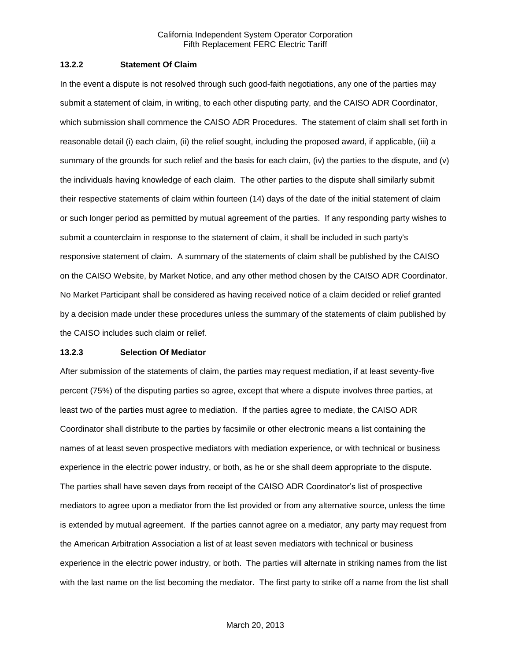#### **13.2.2 Statement Of Claim**

In the event a dispute is not resolved through such good-faith negotiations, any one of the parties may submit a statement of claim, in writing, to each other disputing party, and the CAISO ADR Coordinator, which submission shall commence the CAISO ADR Procedures. The statement of claim shall set forth in reasonable detail (i) each claim, (ii) the relief sought, including the proposed award, if applicable, (iii) a summary of the grounds for such relief and the basis for each claim, (iv) the parties to the dispute, and (v) the individuals having knowledge of each claim. The other parties to the dispute shall similarly submit their respective statements of claim within fourteen (14) days of the date of the initial statement of claim or such longer period as permitted by mutual agreement of the parties. If any responding party wishes to submit a counterclaim in response to the statement of claim, it shall be included in such party's responsive statement of claim. A summary of the statements of claim shall be published by the CAISO on the CAISO Website, by Market Notice, and any other method chosen by the CAISO ADR Coordinator. No Market Participant shall be considered as having received notice of a claim decided or relief granted by a decision made under these procedures unless the summary of the statements of claim published by the CAISO includes such claim or relief.

#### **13.2.3 Selection Of Mediator**

After submission of the statements of claim, the parties may request mediation, if at least seventy-five percent (75%) of the disputing parties so agree, except that where a dispute involves three parties, at least two of the parties must agree to mediation. If the parties agree to mediate, the CAISO ADR Coordinator shall distribute to the parties by facsimile or other electronic means a list containing the names of at least seven prospective mediators with mediation experience, or with technical or business experience in the electric power industry, or both, as he or she shall deem appropriate to the dispute. The parties shall have seven days from receipt of the CAISO ADR Coordinator's list of prospective mediators to agree upon a mediator from the list provided or from any alternative source, unless the time is extended by mutual agreement. If the parties cannot agree on a mediator, any party may request from the American Arbitration Association a list of at least seven mediators with technical or business experience in the electric power industry, or both. The parties will alternate in striking names from the list with the last name on the list becoming the mediator. The first party to strike off a name from the list shall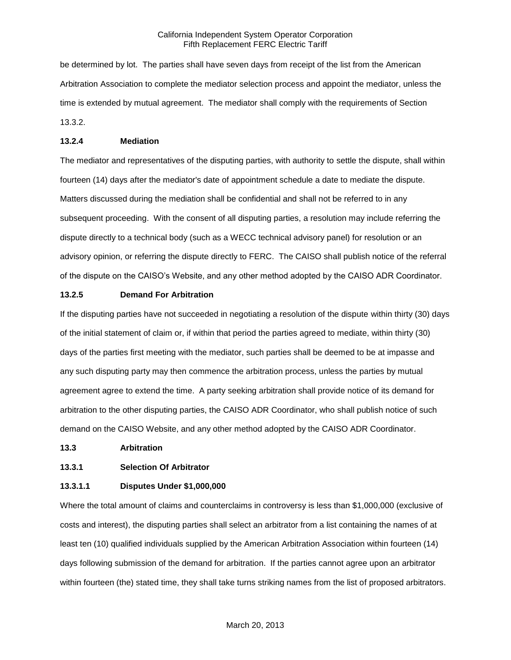be determined by lot. The parties shall have seven days from receipt of the list from the American Arbitration Association to complete the mediator selection process and appoint the mediator, unless the time is extended by mutual agreement. The mediator shall comply with the requirements of Section 13.3.2.

#### **13.2.4 Mediation**

The mediator and representatives of the disputing parties, with authority to settle the dispute, shall within fourteen (14) days after the mediator's date of appointment schedule a date to mediate the dispute. Matters discussed during the mediation shall be confidential and shall not be referred to in any subsequent proceeding. With the consent of all disputing parties, a resolution may include referring the dispute directly to a technical body (such as a WECC technical advisory panel) for resolution or an advisory opinion, or referring the dispute directly to FERC. The CAISO shall publish notice of the referral of the dispute on the CAISO's Website, and any other method adopted by the CAISO ADR Coordinator.

#### **13.2.5 Demand For Arbitration**

If the disputing parties have not succeeded in negotiating a resolution of the dispute within thirty (30) days of the initial statement of claim or, if within that period the parties agreed to mediate, within thirty (30) days of the parties first meeting with the mediator, such parties shall be deemed to be at impasse and any such disputing party may then commence the arbitration process, unless the parties by mutual agreement agree to extend the time. A party seeking arbitration shall provide notice of its demand for arbitration to the other disputing parties, the CAISO ADR Coordinator, who shall publish notice of such demand on the CAISO Website, and any other method adopted by the CAISO ADR Coordinator.

#### **13.3 Arbitration**

# **13.3.1 Selection Of Arbitrator**

### **13.3.1.1 Disputes Under \$1,000,000**

Where the total amount of claims and counterclaims in controversy is less than \$1,000,000 (exclusive of costs and interest), the disputing parties shall select an arbitrator from a list containing the names of at least ten (10) qualified individuals supplied by the American Arbitration Association within fourteen (14) days following submission of the demand for arbitration. If the parties cannot agree upon an arbitrator within fourteen (the) stated time, they shall take turns striking names from the list of proposed arbitrators.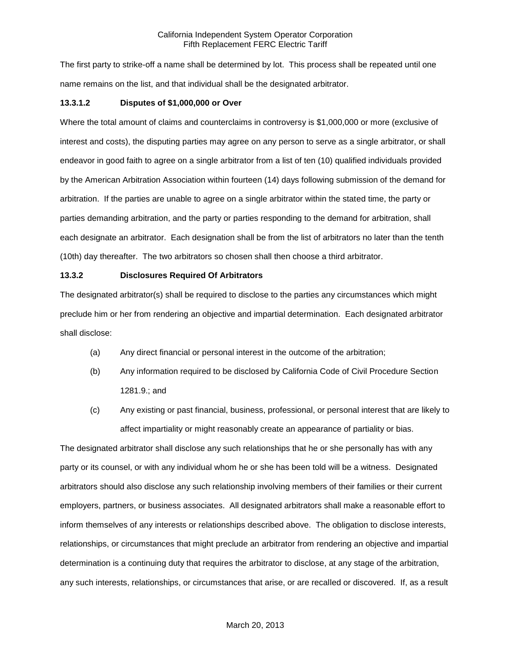The first party to strike-off a name shall be determined by lot. This process shall be repeated until one name remains on the list, and that individual shall be the designated arbitrator.

#### **13.3.1.2 Disputes of \$1,000,000 or Over**

Where the total amount of claims and counterclaims in controversy is \$1,000,000 or more (exclusive of interest and costs), the disputing parties may agree on any person to serve as a single arbitrator, or shall endeavor in good faith to agree on a single arbitrator from a list of ten (10) qualified individuals provided by the American Arbitration Association within fourteen (14) days following submission of the demand for arbitration. If the parties are unable to agree on a single arbitrator within the stated time, the party or parties demanding arbitration, and the party or parties responding to the demand for arbitration, shall each designate an arbitrator. Each designation shall be from the list of arbitrators no later than the tenth (10th) day thereafter. The two arbitrators so chosen shall then choose a third arbitrator.

#### **13.3.2 Disclosures Required Of Arbitrators**

The designated arbitrator(s) shall be required to disclose to the parties any circumstances which might preclude him or her from rendering an objective and impartial determination. Each designated arbitrator shall disclose:

- (a) Any direct financial or personal interest in the outcome of the arbitration;
- (b) Any information required to be disclosed by California Code of Civil Procedure Section 1281.9.; and
- (c) Any existing or past financial, business, professional, or personal interest that are likely to affect impartiality or might reasonably create an appearance of partiality or bias.

The designated arbitrator shall disclose any such relationships that he or she personally has with any party or its counsel, or with any individual whom he or she has been told will be a witness. Designated arbitrators should also disclose any such relationship involving members of their families or their current employers, partners, or business associates. All designated arbitrators shall make a reasonable effort to inform themselves of any interests or relationships described above. The obligation to disclose interests, relationships, or circumstances that might preclude an arbitrator from rendering an objective and impartial determination is a continuing duty that requires the arbitrator to disclose, at any stage of the arbitration, any such interests, relationships, or circumstances that arise, or are recalled or discovered. If, as a result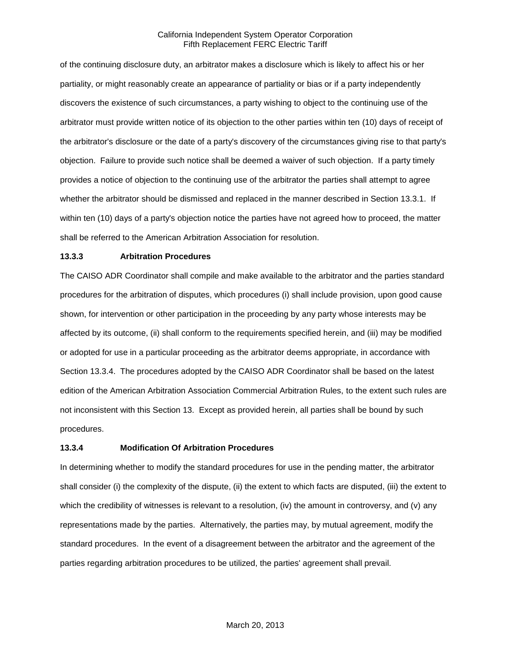of the continuing disclosure duty, an arbitrator makes a disclosure which is likely to affect his or her partiality, or might reasonably create an appearance of partiality or bias or if a party independently discovers the existence of such circumstances, a party wishing to object to the continuing use of the arbitrator must provide written notice of its objection to the other parties within ten (10) days of receipt of the arbitrator's disclosure or the date of a party's discovery of the circumstances giving rise to that party's objection. Failure to provide such notice shall be deemed a waiver of such objection. If a party timely provides a notice of objection to the continuing use of the arbitrator the parties shall attempt to agree whether the arbitrator should be dismissed and replaced in the manner described in Section 13.3.1. If within ten (10) days of a party's objection notice the parties have not agreed how to proceed, the matter shall be referred to the American Arbitration Association for resolution.

## **13.3.3 Arbitration Procedures**

The CAISO ADR Coordinator shall compile and make available to the arbitrator and the parties standard procedures for the arbitration of disputes, which procedures (i) shall include provision, upon good cause shown, for intervention or other participation in the proceeding by any party whose interests may be affected by its outcome, (ii) shall conform to the requirements specified herein, and (iii) may be modified or adopted for use in a particular proceeding as the arbitrator deems appropriate, in accordance with Section 13.3.4. The procedures adopted by the CAISO ADR Coordinator shall be based on the latest edition of the American Arbitration Association Commercial Arbitration Rules, to the extent such rules are not inconsistent with this Section 13. Except as provided herein, all parties shall be bound by such procedures.

#### **13.3.4 Modification Of Arbitration Procedures**

In determining whether to modify the standard procedures for use in the pending matter, the arbitrator shall consider (i) the complexity of the dispute, (ii) the extent to which facts are disputed, (iii) the extent to which the credibility of witnesses is relevant to a resolution, (iv) the amount in controversy, and (v) any representations made by the parties. Alternatively, the parties may, by mutual agreement, modify the standard procedures. In the event of a disagreement between the arbitrator and the agreement of the parties regarding arbitration procedures to be utilized, the parties' agreement shall prevail.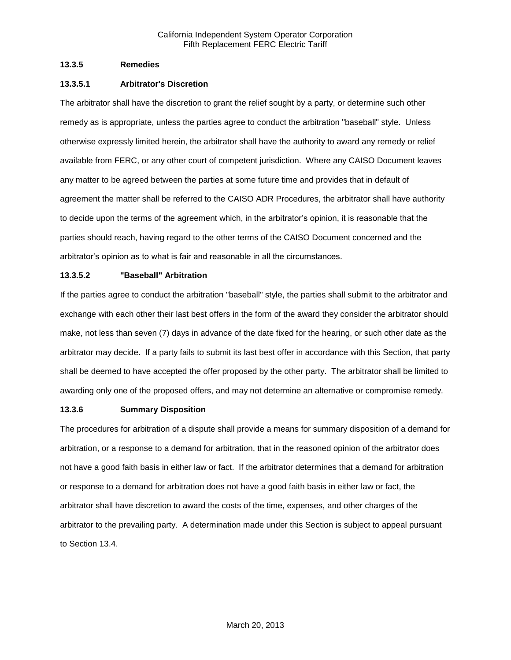## **13.3.5 Remedies**

## **13.3.5.1 Arbitrator's Discretion**

The arbitrator shall have the discretion to grant the relief sought by a party, or determine such other remedy as is appropriate, unless the parties agree to conduct the arbitration "baseball" style. Unless otherwise expressly limited herein, the arbitrator shall have the authority to award any remedy or relief available from FERC, or any other court of competent jurisdiction. Where any CAISO Document leaves any matter to be agreed between the parties at some future time and provides that in default of agreement the matter shall be referred to the CAISO ADR Procedures, the arbitrator shall have authority to decide upon the terms of the agreement which, in the arbitrator's opinion, it is reasonable that the parties should reach, having regard to the other terms of the CAISO Document concerned and the arbitrator's opinion as to what is fair and reasonable in all the circumstances.

# **13.3.5.2 "Baseball" Arbitration**

If the parties agree to conduct the arbitration "baseball" style, the parties shall submit to the arbitrator and exchange with each other their last best offers in the form of the award they consider the arbitrator should make, not less than seven (7) days in advance of the date fixed for the hearing, or such other date as the arbitrator may decide. If a party fails to submit its last best offer in accordance with this Section, that party shall be deemed to have accepted the offer proposed by the other party. The arbitrator shall be limited to awarding only one of the proposed offers, and may not determine an alternative or compromise remedy.

### **13.3.6 Summary Disposition**

The procedures for arbitration of a dispute shall provide a means for summary disposition of a demand for arbitration, or a response to a demand for arbitration, that in the reasoned opinion of the arbitrator does not have a good faith basis in either law or fact. If the arbitrator determines that a demand for arbitration or response to a demand for arbitration does not have a good faith basis in either law or fact, the arbitrator shall have discretion to award the costs of the time, expenses, and other charges of the arbitrator to the prevailing party. A determination made under this Section is subject to appeal pursuant to Section 13.4.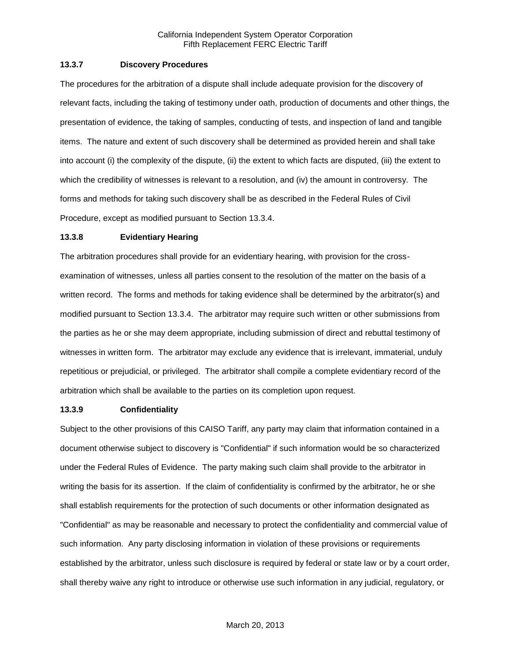#### **13.3.7 Discovery Procedures**

The procedures for the arbitration of a dispute shall include adequate provision for the discovery of relevant facts, including the taking of testimony under oath, production of documents and other things, the presentation of evidence, the taking of samples, conducting of tests, and inspection of land and tangible items. The nature and extent of such discovery shall be determined as provided herein and shall take into account (i) the complexity of the dispute, (ii) the extent to which facts are disputed, (iii) the extent to which the credibility of witnesses is relevant to a resolution, and (iv) the amount in controversy. The forms and methods for taking such discovery shall be as described in the Federal Rules of Civil Procedure, except as modified pursuant to Section 13.3.4.

#### **13.3.8 Evidentiary Hearing**

The arbitration procedures shall provide for an evidentiary hearing, with provision for the crossexamination of witnesses, unless all parties consent to the resolution of the matter on the basis of a written record. The forms and methods for taking evidence shall be determined by the arbitrator(s) and modified pursuant to Section 13.3.4. The arbitrator may require such written or other submissions from the parties as he or she may deem appropriate, including submission of direct and rebuttal testimony of witnesses in written form. The arbitrator may exclude any evidence that is irrelevant, immaterial, unduly repetitious or prejudicial, or privileged. The arbitrator shall compile a complete evidentiary record of the arbitration which shall be available to the parties on its completion upon request.

#### **13.3.9 Confidentiality**

Subject to the other provisions of this CAISO Tariff, any party may claim that information contained in a document otherwise subject to discovery is "Confidential" if such information would be so characterized under the Federal Rules of Evidence. The party making such claim shall provide to the arbitrator in writing the basis for its assertion. If the claim of confidentiality is confirmed by the arbitrator, he or she shall establish requirements for the protection of such documents or other information designated as "Confidential" as may be reasonable and necessary to protect the confidentiality and commercial value of such information. Any party disclosing information in violation of these provisions or requirements established by the arbitrator, unless such disclosure is required by federal or state law or by a court order, shall thereby waive any right to introduce or otherwise use such information in any judicial, regulatory, or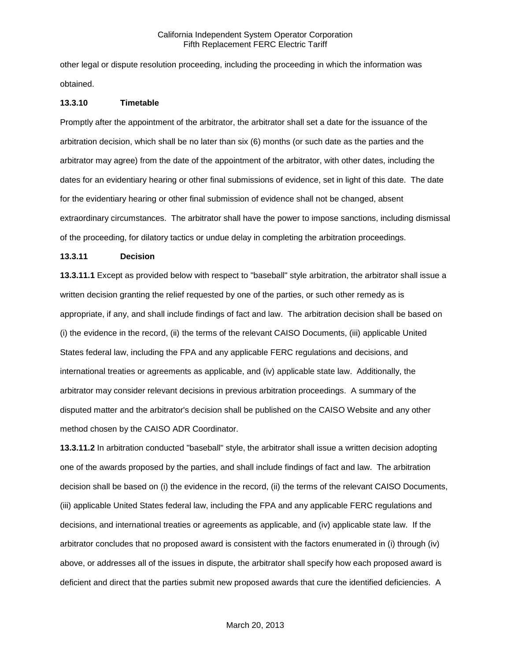other legal or dispute resolution proceeding, including the proceeding in which the information was obtained.

#### **13.3.10 Timetable**

Promptly after the appointment of the arbitrator, the arbitrator shall set a date for the issuance of the arbitration decision, which shall be no later than six (6) months (or such date as the parties and the arbitrator may agree) from the date of the appointment of the arbitrator, with other dates, including the dates for an evidentiary hearing or other final submissions of evidence, set in light of this date. The date for the evidentiary hearing or other final submission of evidence shall not be changed, absent extraordinary circumstances. The arbitrator shall have the power to impose sanctions, including dismissal of the proceeding, for dilatory tactics or undue delay in completing the arbitration proceedings.

#### **13.3.11 Decision**

**13.3.11.1** Except as provided below with respect to "baseball" style arbitration, the arbitrator shall issue a written decision granting the relief requested by one of the parties, or such other remedy as is appropriate, if any, and shall include findings of fact and law. The arbitration decision shall be based on (i) the evidence in the record, (ii) the terms of the relevant CAISO Documents, (iii) applicable United States federal law, including the FPA and any applicable FERC regulations and decisions, and international treaties or agreements as applicable, and (iv) applicable state law. Additionally, the arbitrator may consider relevant decisions in previous arbitration proceedings. A summary of the disputed matter and the arbitrator's decision shall be published on the CAISO Website and any other method chosen by the CAISO ADR Coordinator.

**13.3.11.2** In arbitration conducted "baseball" style, the arbitrator shall issue a written decision adopting one of the awards proposed by the parties, and shall include findings of fact and law. The arbitration decision shall be based on (i) the evidence in the record, (ii) the terms of the relevant CAISO Documents, (iii) applicable United States federal law, including the FPA and any applicable FERC regulations and decisions, and international treaties or agreements as applicable, and (iv) applicable state law. If the arbitrator concludes that no proposed award is consistent with the factors enumerated in (i) through (iv) above, or addresses all of the issues in dispute, the arbitrator shall specify how each proposed award is deficient and direct that the parties submit new proposed awards that cure the identified deficiencies. A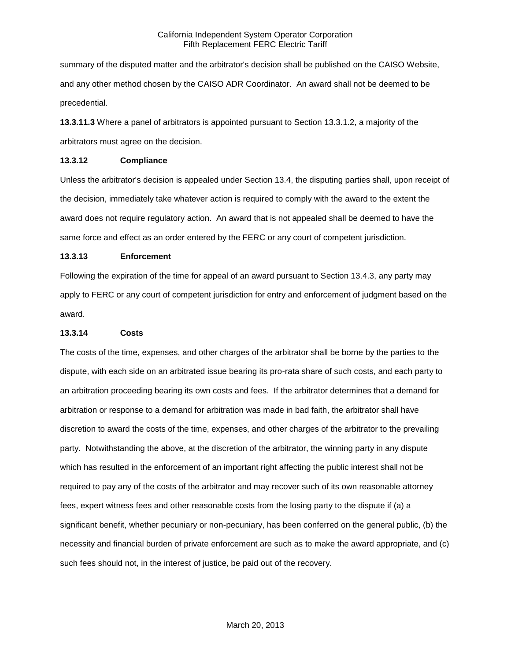summary of the disputed matter and the arbitrator's decision shall be published on the CAISO Website, and any other method chosen by the CAISO ADR Coordinator. An award shall not be deemed to be precedential.

**13.3.11.3** Where a panel of arbitrators is appointed pursuant to Section 13.3.1.2, a majority of the arbitrators must agree on the decision.

#### **13.3.12 Compliance**

Unless the arbitrator's decision is appealed under Section 13.4, the disputing parties shall, upon receipt of the decision, immediately take whatever action is required to comply with the award to the extent the award does not require regulatory action. An award that is not appealed shall be deemed to have the same force and effect as an order entered by the FERC or any court of competent jurisdiction.

### **13.3.13 Enforcement**

Following the expiration of the time for appeal of an award pursuant to Section 13.4.3, any party may apply to FERC or any court of competent jurisdiction for entry and enforcement of judgment based on the award.

#### **13.3.14 Costs**

The costs of the time, expenses, and other charges of the arbitrator shall be borne by the parties to the dispute, with each side on an arbitrated issue bearing its pro-rata share of such costs, and each party to an arbitration proceeding bearing its own costs and fees. If the arbitrator determines that a demand for arbitration or response to a demand for arbitration was made in bad faith, the arbitrator shall have discretion to award the costs of the time, expenses, and other charges of the arbitrator to the prevailing party. Notwithstanding the above, at the discretion of the arbitrator, the winning party in any dispute which has resulted in the enforcement of an important right affecting the public interest shall not be required to pay any of the costs of the arbitrator and may recover such of its own reasonable attorney fees, expert witness fees and other reasonable costs from the losing party to the dispute if (a) a significant benefit, whether pecuniary or non-pecuniary, has been conferred on the general public, (b) the necessity and financial burden of private enforcement are such as to make the award appropriate, and (c) such fees should not, in the interest of justice, be paid out of the recovery.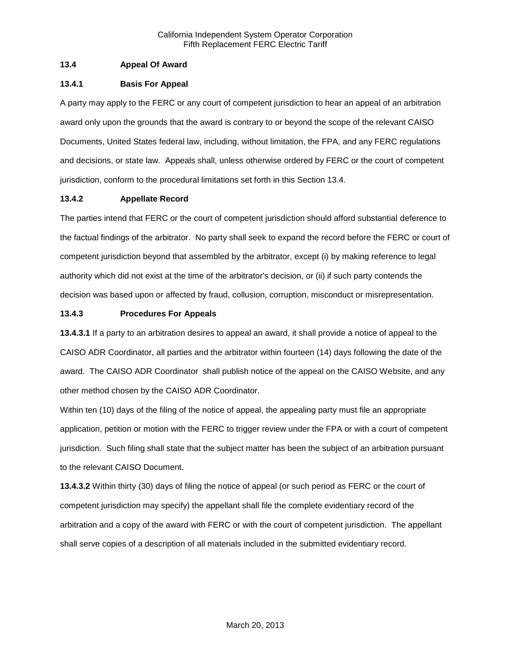# **13.4 Appeal Of Award**

### **13.4.1 Basis For Appeal**

A party may apply to the FERC or any court of competent jurisdiction to hear an appeal of an arbitration award only upon the grounds that the award is contrary to or beyond the scope of the relevant CAISO Documents, United States federal law, including, without limitation, the FPA, and any FERC regulations and decisions, or state law. Appeals shall, unless otherwise ordered by FERC or the court of competent jurisdiction, conform to the procedural limitations set forth in this Section 13.4.

## **13.4.2 Appellate Record**

The parties intend that FERC or the court of competent jurisdiction should afford substantial deference to the factual findings of the arbitrator. No party shall seek to expand the record before the FERC or court of competent jurisdiction beyond that assembled by the arbitrator, except (i) by making reference to legal authority which did not exist at the time of the arbitrator's decision, or (ii) if such party contends the decision was based upon or affected by fraud, collusion, corruption, misconduct or misrepresentation.

## **13.4.3 Procedures For Appeals**

**13.4.3.1** If a party to an arbitration desires to appeal an award, it shall provide a notice of appeal to the CAISO ADR Coordinator, all parties and the arbitrator within fourteen (14) days following the date of the award. The CAISO ADR Coordinator shall publish notice of the appeal on the CAISO Website, and any other method chosen by the CAISO ADR Coordinator.

Within ten (10) days of the filing of the notice of appeal, the appealing party must file an appropriate application, petition or motion with the FERC to trigger review under the FPA or with a court of competent jurisdiction. Such filing shall state that the subject matter has been the subject of an arbitration pursuant to the relevant CAISO Document.

**13.4.3.2** Within thirty (30) days of filing the notice of appeal (or such period as FERC or the court of competent jurisdiction may specify) the appellant shall file the complete evidentiary record of the arbitration and a copy of the award with FERC or with the court of competent jurisdiction. The appellant shall serve copies of a description of all materials included in the submitted evidentiary record.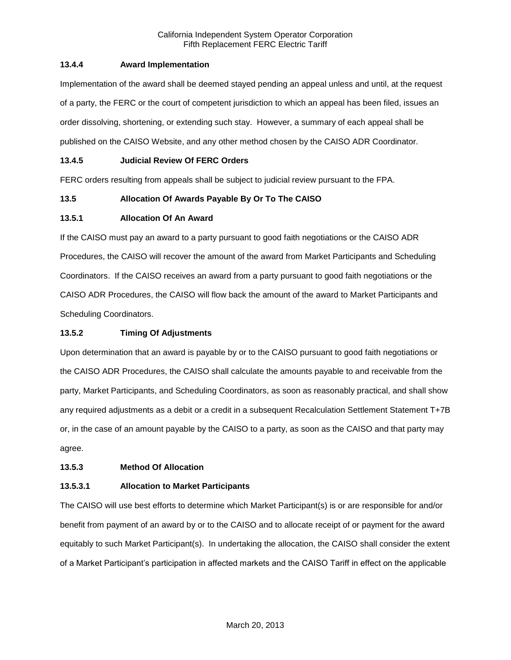# **13.4.4 Award Implementation**

Implementation of the award shall be deemed stayed pending an appeal unless and until, at the request of a party, the FERC or the court of competent jurisdiction to which an appeal has been filed, issues an order dissolving, shortening, or extending such stay. However, a summary of each appeal shall be published on the CAISO Website, and any other method chosen by the CAISO ADR Coordinator.

# **13.4.5 Judicial Review Of FERC Orders**

FERC orders resulting from appeals shall be subject to judicial review pursuant to the FPA.

# **13.5 Allocation Of Awards Payable By Or To The CAISO**

# **13.5.1 Allocation Of An Award**

If the CAISO must pay an award to a party pursuant to good faith negotiations or the CAISO ADR Procedures, the CAISO will recover the amount of the award from Market Participants and Scheduling Coordinators. If the CAISO receives an award from a party pursuant to good faith negotiations or the CAISO ADR Procedures, the CAISO will flow back the amount of the award to Market Participants and Scheduling Coordinators.

# **13.5.2 Timing Of Adjustments**

Upon determination that an award is payable by or to the CAISO pursuant to good faith negotiations or the CAISO ADR Procedures, the CAISO shall calculate the amounts payable to and receivable from the party, Market Participants, and Scheduling Coordinators, as soon as reasonably practical, and shall show any required adjustments as a debit or a credit in a subsequent Recalculation Settlement Statement T+7B or, in the case of an amount payable by the CAISO to a party, as soon as the CAISO and that party may agree.

# **13.5.3 Method Of Allocation**

# **13.5.3.1 Allocation to Market Participants**

The CAISO will use best efforts to determine which Market Participant(s) is or are responsible for and/or benefit from payment of an award by or to the CAISO and to allocate receipt of or payment for the award equitably to such Market Participant(s). In undertaking the allocation, the CAISO shall consider the extent of a Market Participant's participation in affected markets and the CAISO Tariff in effect on the applicable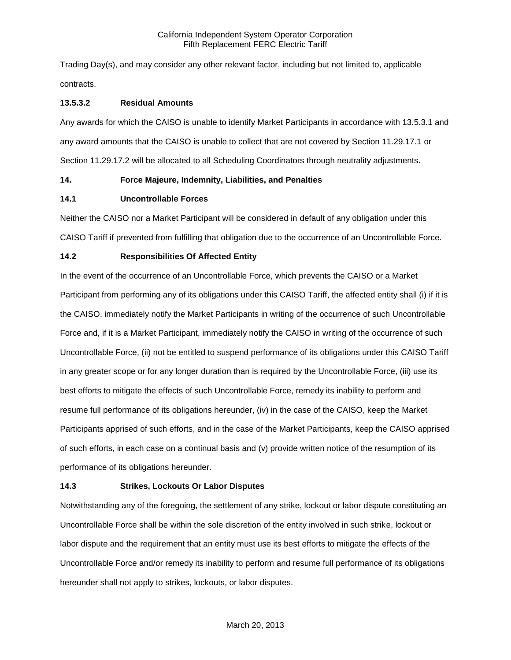Trading Day(s), and may consider any other relevant factor, including but not limited to, applicable contracts.

## **13.5.3.2 Residual Amounts**

Any awards for which the CAISO is unable to identify Market Participants in accordance with 13.5.3.1 and any award amounts that the CAISO is unable to collect that are not covered by Section 11.29.17.1 or Section 11.29.17.2 will be allocated to all Scheduling Coordinators through neutrality adjustments.

## **14. Force Majeure, Indemnity, Liabilities, and Penalties**

## **14.1 Uncontrollable Forces**

Neither the CAISO nor a Market Participant will be considered in default of any obligation under this CAISO Tariff if prevented from fulfilling that obligation due to the occurrence of an Uncontrollable Force.

## **14.2 Responsibilities Of Affected Entity**

In the event of the occurrence of an Uncontrollable Force, which prevents the CAISO or a Market Participant from performing any of its obligations under this CAISO Tariff, the affected entity shall (i) if it is the CAISO, immediately notify the Market Participants in writing of the occurrence of such Uncontrollable Force and, if it is a Market Participant, immediately notify the CAISO in writing of the occurrence of such Uncontrollable Force, (ii) not be entitled to suspend performance of its obligations under this CAISO Tariff in any greater scope or for any longer duration than is required by the Uncontrollable Force, (iii) use its best efforts to mitigate the effects of such Uncontrollable Force, remedy its inability to perform and resume full performance of its obligations hereunder, (iv) in the case of the CAISO, keep the Market Participants apprised of such efforts, and in the case of the Market Participants, keep the CAISO apprised of such efforts, in each case on a continual basis and (v) provide written notice of the resumption of its performance of its obligations hereunder.

# **14.3 Strikes, Lockouts Or Labor Disputes**

Notwithstanding any of the foregoing, the settlement of any strike, lockout or labor dispute constituting an Uncontrollable Force shall be within the sole discretion of the entity involved in such strike, lockout or labor dispute and the requirement that an entity must use its best efforts to mitigate the effects of the Uncontrollable Force and/or remedy its inability to perform and resume full performance of its obligations hereunder shall not apply to strikes, lockouts, or labor disputes.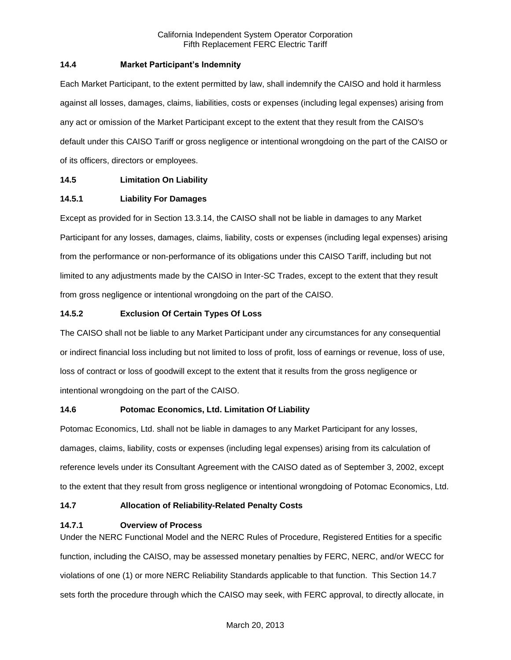## **14.4 Market Participant's Indemnity**

Each Market Participant, to the extent permitted by law, shall indemnify the CAISO and hold it harmless against all losses, damages, claims, liabilities, costs or expenses (including legal expenses) arising from any act or omission of the Market Participant except to the extent that they result from the CAISO's default under this CAISO Tariff or gross negligence or intentional wrongdoing on the part of the CAISO or of its officers, directors or employees.

# **14.5 Limitation On Liability**

## **14.5.1 Liability For Damages**

Except as provided for in Section 13.3.14, the CAISO shall not be liable in damages to any Market Participant for any losses, damages, claims, liability, costs or expenses (including legal expenses) arising from the performance or non-performance of its obligations under this CAISO Tariff, including but not limited to any adjustments made by the CAISO in Inter-SC Trades, except to the extent that they result from gross negligence or intentional wrongdoing on the part of the CAISO.

## **14.5.2 Exclusion Of Certain Types Of Loss**

The CAISO shall not be liable to any Market Participant under any circumstances for any consequential or indirect financial loss including but not limited to loss of profit, loss of earnings or revenue, loss of use, loss of contract or loss of goodwill except to the extent that it results from the gross negligence or intentional wrongdoing on the part of the CAISO.

### **14.6 Potomac Economics, Ltd. Limitation Of Liability**

Potomac Economics, Ltd. shall not be liable in damages to any Market Participant for any losses, damages, claims, liability, costs or expenses (including legal expenses) arising from its calculation of reference levels under its Consultant Agreement with the CAISO dated as of September 3, 2002, except to the extent that they result from gross negligence or intentional wrongdoing of Potomac Economics, Ltd.

### **14.7 Allocation of Reliability-Related Penalty Costs**

### **14.7.1 Overview of Process**

Under the NERC Functional Model and the NERC Rules of Procedure, Registered Entities for a specific function, including the CAISO, may be assessed monetary penalties by FERC, NERC, and/or WECC for violations of one (1) or more NERC Reliability Standards applicable to that function. This Section 14.7 sets forth the procedure through which the CAISO may seek, with FERC approval, to directly allocate, in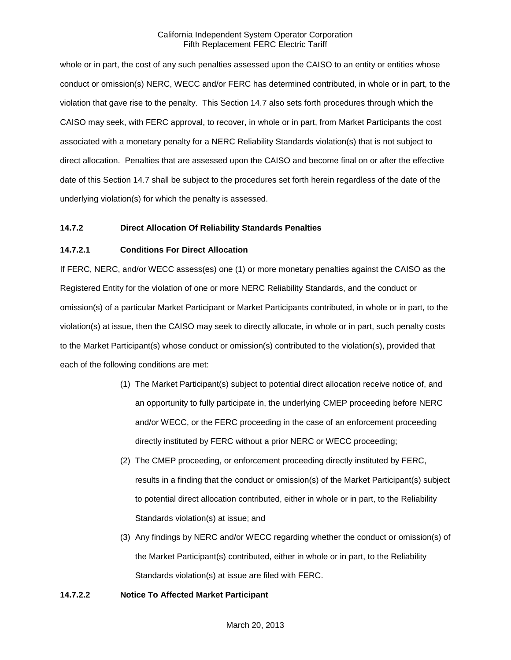whole or in part, the cost of any such penalties assessed upon the CAISO to an entity or entities whose conduct or omission(s) NERC, WECC and/or FERC has determined contributed, in whole or in part, to the violation that gave rise to the penalty. This Section 14.7 also sets forth procedures through which the CAISO may seek, with FERC approval, to recover, in whole or in part, from Market Participants the cost associated with a monetary penalty for a NERC Reliability Standards violation(s) that is not subject to direct allocation. Penalties that are assessed upon the CAISO and become final on or after the effective date of this Section 14.7 shall be subject to the procedures set forth herein regardless of the date of the underlying violation(s) for which the penalty is assessed.

## **14.7.2 Direct Allocation Of Reliability Standards Penalties**

## **14.7.2.1 Conditions For Direct Allocation**

If FERC, NERC, and/or WECC assess(es) one (1) or more monetary penalties against the CAISO as the Registered Entity for the violation of one or more NERC Reliability Standards, and the conduct or omission(s) of a particular Market Participant or Market Participants contributed, in whole or in part, to the violation(s) at issue, then the CAISO may seek to directly allocate, in whole or in part, such penalty costs to the Market Participant(s) whose conduct or omission(s) contributed to the violation(s), provided that each of the following conditions are met:

- (1) The Market Participant(s) subject to potential direct allocation receive notice of, and an opportunity to fully participate in, the underlying CMEP proceeding before NERC and/or WECC, or the FERC proceeding in the case of an enforcement proceeding directly instituted by FERC without a prior NERC or WECC proceeding;
- (2) The CMEP proceeding, or enforcement proceeding directly instituted by FERC, results in a finding that the conduct or omission(s) of the Market Participant(s) subject to potential direct allocation contributed, either in whole or in part, to the Reliability Standards violation(s) at issue; and
- (3) Any findings by NERC and/or WECC regarding whether the conduct or omission(s) of the Market Participant(s) contributed, either in whole or in part, to the Reliability Standards violation(s) at issue are filed with FERC.

### **14.7.2.2 Notice To Affected Market Participant**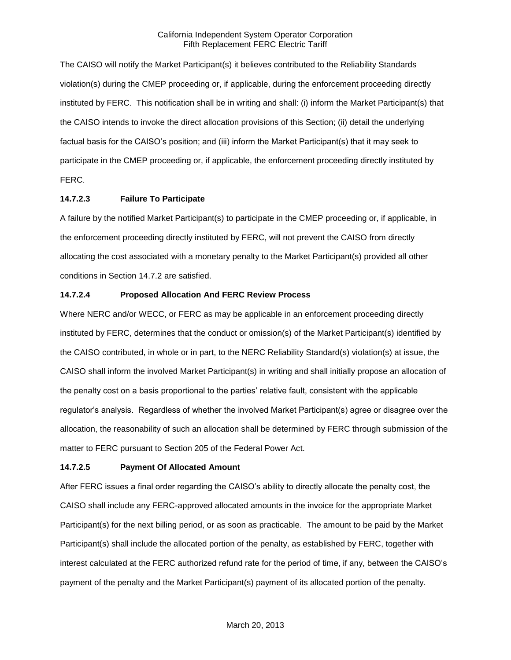The CAISO will notify the Market Participant(s) it believes contributed to the Reliability Standards violation(s) during the CMEP proceeding or, if applicable, during the enforcement proceeding directly instituted by FERC. This notification shall be in writing and shall: (i) inform the Market Participant(s) that the CAISO intends to invoke the direct allocation provisions of this Section; (ii) detail the underlying factual basis for the CAISO's position; and (iii) inform the Market Participant(s) that it may seek to participate in the CMEP proceeding or, if applicable, the enforcement proceeding directly instituted by FERC.

## **14.7.2.3 Failure To Participate**

A failure by the notified Market Participant(s) to participate in the CMEP proceeding or, if applicable, in the enforcement proceeding directly instituted by FERC, will not prevent the CAISO from directly allocating the cost associated with a monetary penalty to the Market Participant(s) provided all other conditions in Section 14.7.2 are satisfied.

## **14.7.2.4 Proposed Allocation And FERC Review Process**

Where NERC and/or WECC, or FERC as may be applicable in an enforcement proceeding directly instituted by FERC, determines that the conduct or omission(s) of the Market Participant(s) identified by the CAISO contributed, in whole or in part, to the NERC Reliability Standard(s) violation(s) at issue, the CAISO shall inform the involved Market Participant(s) in writing and shall initially propose an allocation of the penalty cost on a basis proportional to the parties' relative fault, consistent with the applicable regulator's analysis. Regardless of whether the involved Market Participant(s) agree or disagree over the allocation, the reasonability of such an allocation shall be determined by FERC through submission of the matter to FERC pursuant to Section 205 of the Federal Power Act.

# **14.7.2.5 Payment Of Allocated Amount**

After FERC issues a final order regarding the CAISO's ability to directly allocate the penalty cost, the CAISO shall include any FERC-approved allocated amounts in the invoice for the appropriate Market Participant(s) for the next billing period, or as soon as practicable. The amount to be paid by the Market Participant(s) shall include the allocated portion of the penalty, as established by FERC, together with interest calculated at the FERC authorized refund rate for the period of time, if any, between the CAISO's payment of the penalty and the Market Participant(s) payment of its allocated portion of the penalty.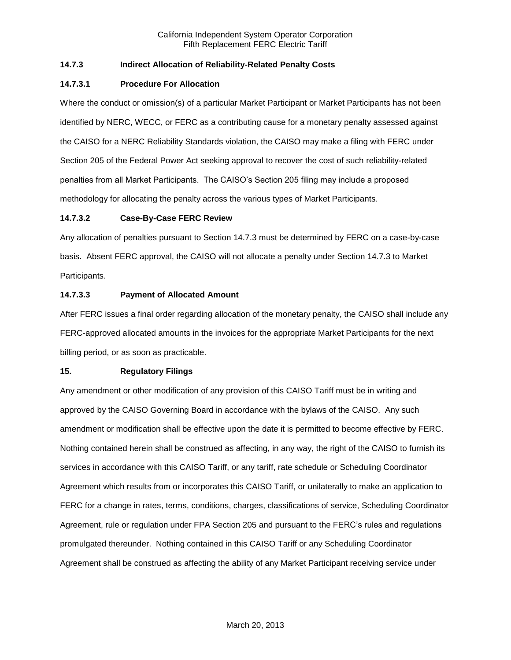## **14.7.3 Indirect Allocation of Reliability-Related Penalty Costs**

### **14.7.3.1 Procedure For Allocation**

Where the conduct or omission(s) of a particular Market Participant or Market Participants has not been identified by NERC, WECC, or FERC as a contributing cause for a monetary penalty assessed against the CAISO for a NERC Reliability Standards violation, the CAISO may make a filing with FERC under Section 205 of the Federal Power Act seeking approval to recover the cost of such reliability-related penalties from all Market Participants. The CAISO's Section 205 filing may include a proposed methodology for allocating the penalty across the various types of Market Participants.

## **14.7.3.2 Case-By-Case FERC Review**

Any allocation of penalties pursuant to Section 14.7.3 must be determined by FERC on a case-by-case basis. Absent FERC approval, the CAISO will not allocate a penalty under Section 14.7.3 to Market Participants.

## **14.7.3.3 Payment of Allocated Amount**

After FERC issues a final order regarding allocation of the monetary penalty, the CAISO shall include any FERC-approved allocated amounts in the invoices for the appropriate Market Participants for the next billing period, or as soon as practicable.

### **15. Regulatory Filings**

Any amendment or other modification of any provision of this CAISO Tariff must be in writing and approved by the CAISO Governing Board in accordance with the bylaws of the CAISO. Any such amendment or modification shall be effective upon the date it is permitted to become effective by FERC. Nothing contained herein shall be construed as affecting, in any way, the right of the CAISO to furnish its services in accordance with this CAISO Tariff, or any tariff, rate schedule or Scheduling Coordinator Agreement which results from or incorporates this CAISO Tariff, or unilaterally to make an application to FERC for a change in rates, terms, conditions, charges, classifications of service, Scheduling Coordinator Agreement, rule or regulation under FPA Section 205 and pursuant to the FERC's rules and regulations promulgated thereunder. Nothing contained in this CAISO Tariff or any Scheduling Coordinator Agreement shall be construed as affecting the ability of any Market Participant receiving service under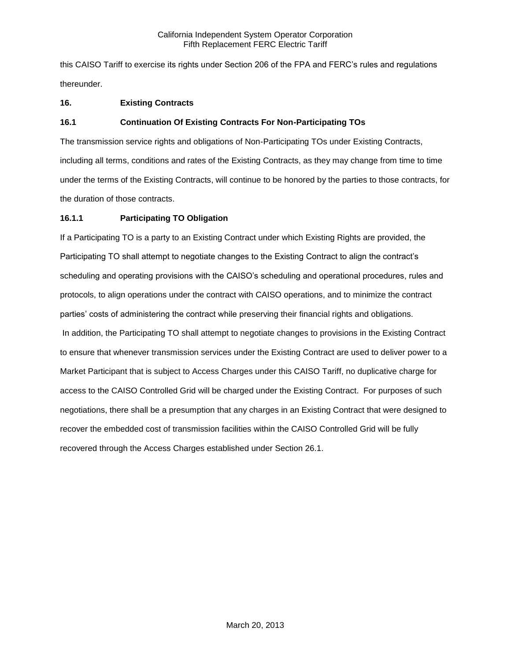this CAISO Tariff to exercise its rights under Section 206 of the FPA and FERC's rules and regulations thereunder.

# **16. Existing Contracts**

# **16.1 Continuation Of Existing Contracts For Non-Participating TOs**

The transmission service rights and obligations of Non-Participating TOs under Existing Contracts, including all terms, conditions and rates of the Existing Contracts, as they may change from time to time under the terms of the Existing Contracts, will continue to be honored by the parties to those contracts, for the duration of those contracts.

# **16.1.1 Participating TO Obligation**

If a Participating TO is a party to an Existing Contract under which Existing Rights are provided, the Participating TO shall attempt to negotiate changes to the Existing Contract to align the contract's scheduling and operating provisions with the CAISO's scheduling and operational procedures, rules and protocols, to align operations under the contract with CAISO operations, and to minimize the contract parties' costs of administering the contract while preserving their financial rights and obligations. In addition, the Participating TO shall attempt to negotiate changes to provisions in the Existing Contract to ensure that whenever transmission services under the Existing Contract are used to deliver power to a Market Participant that is subject to Access Charges under this CAISO Tariff, no duplicative charge for access to the CAISO Controlled Grid will be charged under the Existing Contract. For purposes of such negotiations, there shall be a presumption that any charges in an Existing Contract that were designed to recover the embedded cost of transmission facilities within the CAISO Controlled Grid will be fully recovered through the Access Charges established under Section 26.1.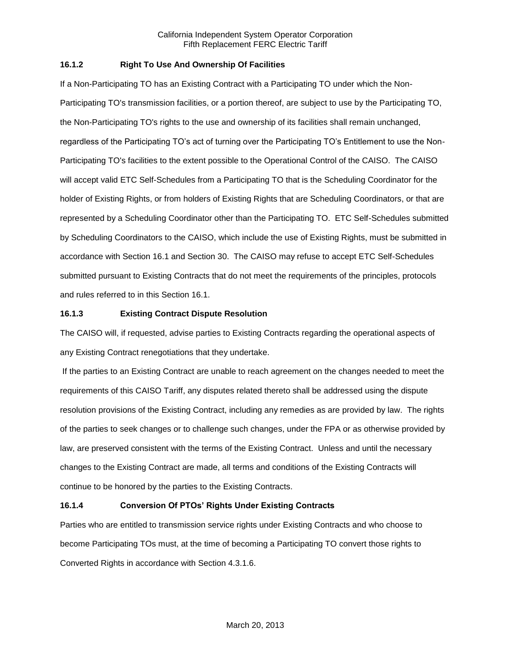## **16.1.2 Right To Use And Ownership Of Facilities**

If a Non-Participating TO has an Existing Contract with a Participating TO under which the Non-Participating TO's transmission facilities, or a portion thereof, are subject to use by the Participating TO, the Non-Participating TO's rights to the use and ownership of its facilities shall remain unchanged, regardless of the Participating TO's act of turning over the Participating TO's Entitlement to use the Non-Participating TO's facilities to the extent possible to the Operational Control of the CAISO. The CAISO will accept valid ETC Self-Schedules from a Participating TO that is the Scheduling Coordinator for the holder of Existing Rights, or from holders of Existing Rights that are Scheduling Coordinators, or that are represented by a Scheduling Coordinator other than the Participating TO. ETC Self-Schedules submitted by Scheduling Coordinators to the CAISO, which include the use of Existing Rights, must be submitted in accordance with Section 16.1 and Section 30. The CAISO may refuse to accept ETC Self-Schedules submitted pursuant to Existing Contracts that do not meet the requirements of the principles, protocols and rules referred to in this Section 16.1.

## **16.1.3 Existing Contract Dispute Resolution**

The CAISO will, if requested, advise parties to Existing Contracts regarding the operational aspects of any Existing Contract renegotiations that they undertake.

If the parties to an Existing Contract are unable to reach agreement on the changes needed to meet the requirements of this CAISO Tariff, any disputes related thereto shall be addressed using the dispute resolution provisions of the Existing Contract, including any remedies as are provided by law. The rights of the parties to seek changes or to challenge such changes, under the FPA or as otherwise provided by law, are preserved consistent with the terms of the Existing Contract. Unless and until the necessary changes to the Existing Contract are made, all terms and conditions of the Existing Contracts will continue to be honored by the parties to the Existing Contracts.

# **16.1.4 Conversion Of PTOs' Rights Under Existing Contracts**

Parties who are entitled to transmission service rights under Existing Contracts and who choose to become Participating TOs must, at the time of becoming a Participating TO convert those rights to Converted Rights in accordance with Section 4.3.1.6.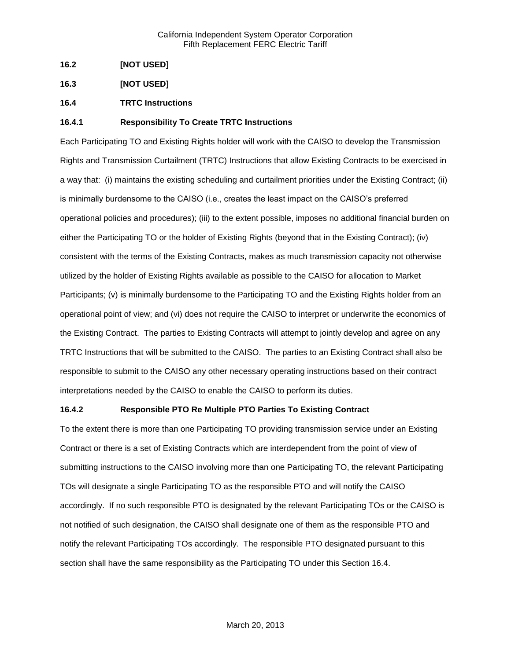- **16.2 [NOT USED]**
- **16.3 [NOT USED]**
- **16.4 TRTC Instructions**

## **16.4.1 Responsibility To Create TRTC Instructions**

Each Participating TO and Existing Rights holder will work with the CAISO to develop the Transmission Rights and Transmission Curtailment (TRTC) Instructions that allow Existing Contracts to be exercised in a way that: (i) maintains the existing scheduling and curtailment priorities under the Existing Contract; (ii) is minimally burdensome to the CAISO (i.e., creates the least impact on the CAISO's preferred operational policies and procedures); (iii) to the extent possible, imposes no additional financial burden on either the Participating TO or the holder of Existing Rights (beyond that in the Existing Contract); (iv) consistent with the terms of the Existing Contracts, makes as much transmission capacity not otherwise utilized by the holder of Existing Rights available as possible to the CAISO for allocation to Market Participants; (v) is minimally burdensome to the Participating TO and the Existing Rights holder from an operational point of view; and (vi) does not require the CAISO to interpret or underwrite the economics of the Existing Contract. The parties to Existing Contracts will attempt to jointly develop and agree on any TRTC Instructions that will be submitted to the CAISO. The parties to an Existing Contract shall also be responsible to submit to the CAISO any other necessary operating instructions based on their contract interpretations needed by the CAISO to enable the CAISO to perform its duties.

### **16.4.2 Responsible PTO Re Multiple PTO Parties To Existing Contract**

To the extent there is more than one Participating TO providing transmission service under an Existing Contract or there is a set of Existing Contracts which are interdependent from the point of view of submitting instructions to the CAISO involving more than one Participating TO, the relevant Participating TOs will designate a single Participating TO as the responsible PTO and will notify the CAISO accordingly. If no such responsible PTO is designated by the relevant Participating TOs or the CAISO is not notified of such designation, the CAISO shall designate one of them as the responsible PTO and notify the relevant Participating TOs accordingly. The responsible PTO designated pursuant to this section shall have the same responsibility as the Participating TO under this Section 16.4.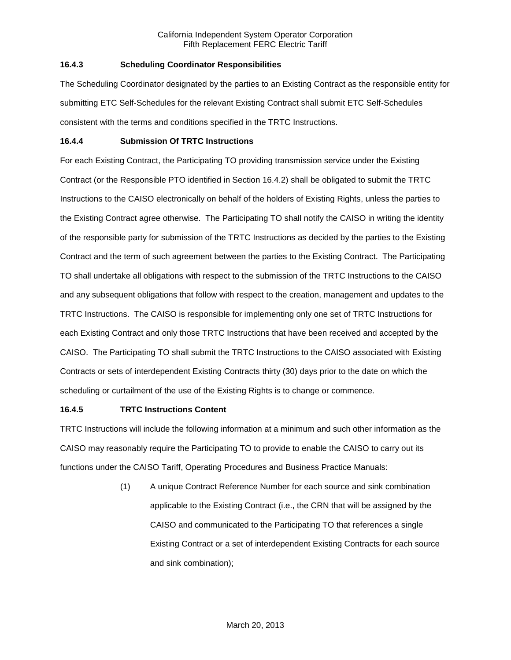# **16.4.3 Scheduling Coordinator Responsibilities**

The Scheduling Coordinator designated by the parties to an Existing Contract as the responsible entity for submitting ETC Self-Schedules for the relevant Existing Contract shall submit ETC Self-Schedules consistent with the terms and conditions specified in the TRTC Instructions.

## **16.4.4 Submission Of TRTC Instructions**

For each Existing Contract, the Participating TO providing transmission service under the Existing Contract (or the Responsible PTO identified in Section 16.4.2) shall be obligated to submit the TRTC Instructions to the CAISO electronically on behalf of the holders of Existing Rights, unless the parties to the Existing Contract agree otherwise. The Participating TO shall notify the CAISO in writing the identity of the responsible party for submission of the TRTC Instructions as decided by the parties to the Existing Contract and the term of such agreement between the parties to the Existing Contract. The Participating TO shall undertake all obligations with respect to the submission of the TRTC Instructions to the CAISO and any subsequent obligations that follow with respect to the creation, management and updates to the TRTC Instructions. The CAISO is responsible for implementing only one set of TRTC Instructions for each Existing Contract and only those TRTC Instructions that have been received and accepted by the CAISO. The Participating TO shall submit the TRTC Instructions to the CAISO associated with Existing Contracts or sets of interdependent Existing Contracts thirty (30) days prior to the date on which the scheduling or curtailment of the use of the Existing Rights is to change or commence.

# **16.4.5 TRTC Instructions Content**

TRTC Instructions will include the following information at a minimum and such other information as the CAISO may reasonably require the Participating TO to provide to enable the CAISO to carry out its functions under the CAISO Tariff, Operating Procedures and Business Practice Manuals:

> (1) A unique Contract Reference Number for each source and sink combination applicable to the Existing Contract (i.e., the CRN that will be assigned by the CAISO and communicated to the Participating TO that references a single Existing Contract or a set of interdependent Existing Contracts for each source and sink combination);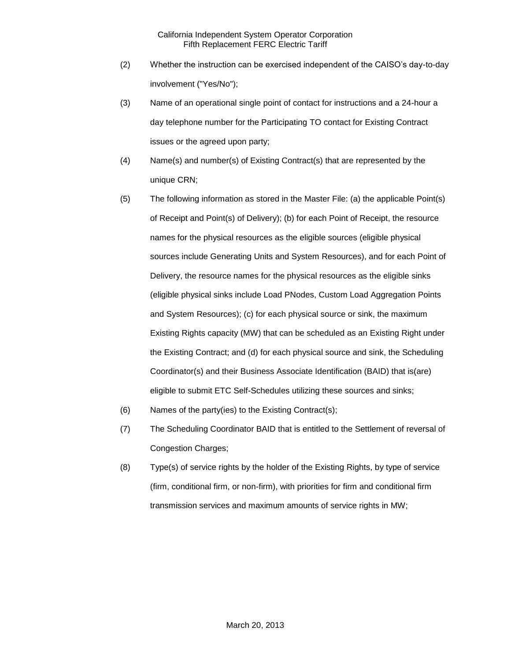- (2) Whether the instruction can be exercised independent of the CAISO's day-to-day involvement ("Yes/No");
- (3) Name of an operational single point of contact for instructions and a 24-hour a day telephone number for the Participating TO contact for Existing Contract issues or the agreed upon party;
- (4) Name(s) and number(s) of Existing Contract(s) that are represented by the unique CRN;
- (5) The following information as stored in the Master File: (a) the applicable Point(s) of Receipt and Point(s) of Delivery); (b) for each Point of Receipt, the resource names for the physical resources as the eligible sources (eligible physical sources include Generating Units and System Resources), and for each Point of Delivery, the resource names for the physical resources as the eligible sinks (eligible physical sinks include Load PNodes, Custom Load Aggregation Points and System Resources); (c) for each physical source or sink, the maximum Existing Rights capacity (MW) that can be scheduled as an Existing Right under the Existing Contract; and (d) for each physical source and sink, the Scheduling Coordinator(s) and their Business Associate Identification (BAID) that is(are) eligible to submit ETC Self-Schedules utilizing these sources and sinks;
- (6) Names of the party(ies) to the Existing Contract(s);
- (7) The Scheduling Coordinator BAID that is entitled to the Settlement of reversal of Congestion Charges;
- (8) Type(s) of service rights by the holder of the Existing Rights, by type of service (firm, conditional firm, or non-firm), with priorities for firm and conditional firm transmission services and maximum amounts of service rights in MW;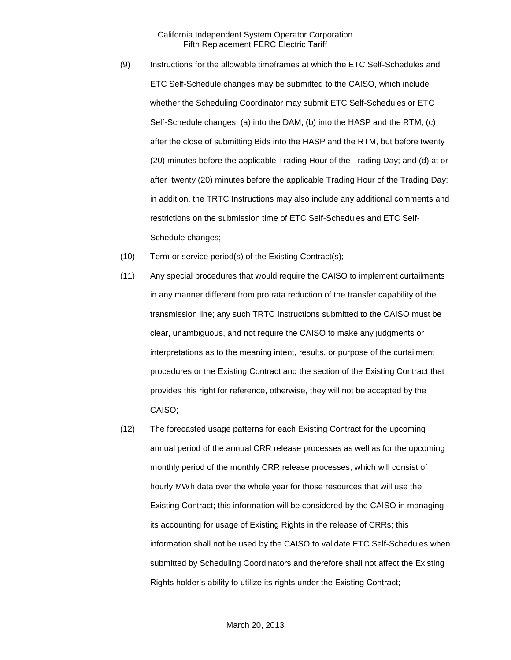- (9) Instructions for the allowable timeframes at which the ETC Self-Schedules and ETC Self-Schedule changes may be submitted to the CAISO, which include whether the Scheduling Coordinator may submit ETC Self-Schedules or ETC Self-Schedule changes: (a) into the DAM; (b) into the HASP and the RTM; (c) after the close of submitting Bids into the HASP and the RTM, but before twenty (20) minutes before the applicable Trading Hour of the Trading Day; and (d) at or after twenty (20) minutes before the applicable Trading Hour of the Trading Day; in addition, the TRTC Instructions may also include any additional comments and restrictions on the submission time of ETC Self-Schedules and ETC Self-Schedule changes;
- (10) Term or service period(s) of the Existing Contract(s);
- (11) Any special procedures that would require the CAISO to implement curtailments in any manner different from pro rata reduction of the transfer capability of the transmission line; any such TRTC Instructions submitted to the CAISO must be clear, unambiguous, and not require the CAISO to make any judgments or interpretations as to the meaning intent, results, or purpose of the curtailment procedures or the Existing Contract and the section of the Existing Contract that provides this right for reference, otherwise, they will not be accepted by the CAISO;
- (12) The forecasted usage patterns for each Existing Contract for the upcoming annual period of the annual CRR release processes as well as for the upcoming monthly period of the monthly CRR release processes, which will consist of hourly MWh data over the whole year for those resources that will use the Existing Contract; this information will be considered by the CAISO in managing its accounting for usage of Existing Rights in the release of CRRs; this information shall not be used by the CAISO to validate ETC Self-Schedules when submitted by Scheduling Coordinators and therefore shall not affect the Existing Rights holder's ability to utilize its rights under the Existing Contract;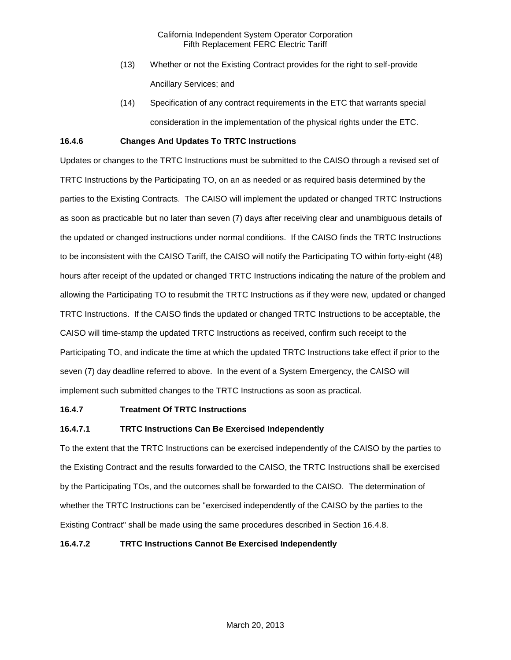- (13) Whether or not the Existing Contract provides for the right to self-provide Ancillary Services; and
- (14) Specification of any contract requirements in the ETC that warrants special consideration in the implementation of the physical rights under the ETC.

### **16.4.6 Changes And Updates To TRTC Instructions**

Updates or changes to the TRTC Instructions must be submitted to the CAISO through a revised set of TRTC Instructions by the Participating TO, on an as needed or as required basis determined by the parties to the Existing Contracts. The CAISO will implement the updated or changed TRTC Instructions as soon as practicable but no later than seven (7) days after receiving clear and unambiguous details of the updated or changed instructions under normal conditions. If the CAISO finds the TRTC Instructions to be inconsistent with the CAISO Tariff, the CAISO will notify the Participating TO within forty-eight (48) hours after receipt of the updated or changed TRTC Instructions indicating the nature of the problem and allowing the Participating TO to resubmit the TRTC Instructions as if they were new, updated or changed TRTC Instructions. If the CAISO finds the updated or changed TRTC Instructions to be acceptable, the CAISO will time-stamp the updated TRTC Instructions as received, confirm such receipt to the Participating TO, and indicate the time at which the updated TRTC Instructions take effect if prior to the seven (7) day deadline referred to above. In the event of a System Emergency, the CAISO will implement such submitted changes to the TRTC Instructions as soon as practical.

### **16.4.7 Treatment Of TRTC Instructions**

# **16.4.7.1 TRTC Instructions Can Be Exercised Independently**

To the extent that the TRTC Instructions can be exercised independently of the CAISO by the parties to the Existing Contract and the results forwarded to the CAISO, the TRTC Instructions shall be exercised by the Participating TOs, and the outcomes shall be forwarded to the CAISO. The determination of whether the TRTC Instructions can be "exercised independently of the CAISO by the parties to the Existing Contract" shall be made using the same procedures described in Section 16.4.8.

## **16.4.7.2 TRTC Instructions Cannot Be Exercised Independently**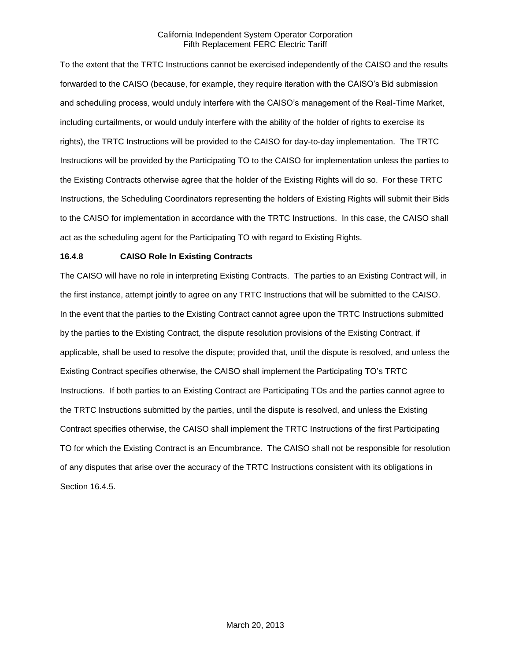To the extent that the TRTC Instructions cannot be exercised independently of the CAISO and the results forwarded to the CAISO (because, for example, they require iteration with the CAISO's Bid submission and scheduling process, would unduly interfere with the CAISO's management of the Real-Time Market, including curtailments, or would unduly interfere with the ability of the holder of rights to exercise its rights), the TRTC Instructions will be provided to the CAISO for day-to-day implementation. The TRTC Instructions will be provided by the Participating TO to the CAISO for implementation unless the parties to the Existing Contracts otherwise agree that the holder of the Existing Rights will do so. For these TRTC Instructions, the Scheduling Coordinators representing the holders of Existing Rights will submit their Bids to the CAISO for implementation in accordance with the TRTC Instructions. In this case, the CAISO shall act as the scheduling agent for the Participating TO with regard to Existing Rights.

## **16.4.8 CAISO Role In Existing Contracts**

The CAISO will have no role in interpreting Existing Contracts. The parties to an Existing Contract will, in the first instance, attempt jointly to agree on any TRTC Instructions that will be submitted to the CAISO. In the event that the parties to the Existing Contract cannot agree upon the TRTC Instructions submitted by the parties to the Existing Contract, the dispute resolution provisions of the Existing Contract, if applicable, shall be used to resolve the dispute; provided that, until the dispute is resolved, and unless the Existing Contract specifies otherwise, the CAISO shall implement the Participating TO's TRTC Instructions. If both parties to an Existing Contract are Participating TOs and the parties cannot agree to the TRTC Instructions submitted by the parties, until the dispute is resolved, and unless the Existing Contract specifies otherwise, the CAISO shall implement the TRTC Instructions of the first Participating TO for which the Existing Contract is an Encumbrance. The CAISO shall not be responsible for resolution of any disputes that arise over the accuracy of the TRTC Instructions consistent with its obligations in Section 16.4.5.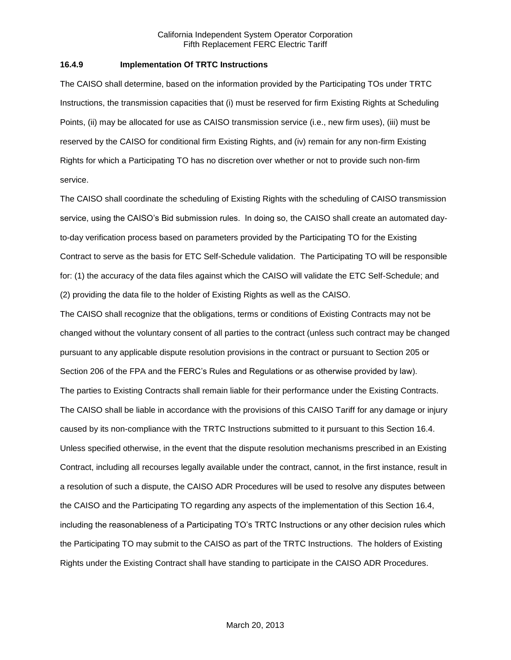#### **16.4.9 Implementation Of TRTC Instructions**

The CAISO shall determine, based on the information provided by the Participating TOs under TRTC Instructions, the transmission capacities that (i) must be reserved for firm Existing Rights at Scheduling Points, (ii) may be allocated for use as CAISO transmission service (i.e., new firm uses), (iii) must be reserved by the CAISO for conditional firm Existing Rights, and (iv) remain for any non-firm Existing Rights for which a Participating TO has no discretion over whether or not to provide such non-firm service.

The CAISO shall coordinate the scheduling of Existing Rights with the scheduling of CAISO transmission service, using the CAISO's Bid submission rules. In doing so, the CAISO shall create an automated dayto-day verification process based on parameters provided by the Participating TO for the Existing Contract to serve as the basis for ETC Self-Schedule validation. The Participating TO will be responsible for: (1) the accuracy of the data files against which the CAISO will validate the ETC Self-Schedule; and (2) providing the data file to the holder of Existing Rights as well as the CAISO.

The CAISO shall recognize that the obligations, terms or conditions of Existing Contracts may not be changed without the voluntary consent of all parties to the contract (unless such contract may be changed pursuant to any applicable dispute resolution provisions in the contract or pursuant to Section 205 or Section 206 of the FPA and the FERC's Rules and Regulations or as otherwise provided by law). The parties to Existing Contracts shall remain liable for their performance under the Existing Contracts. The CAISO shall be liable in accordance with the provisions of this CAISO Tariff for any damage or injury caused by its non-compliance with the TRTC Instructions submitted to it pursuant to this Section 16.4. Unless specified otherwise, in the event that the dispute resolution mechanisms prescribed in an Existing Contract, including all recourses legally available under the contract, cannot, in the first instance, result in a resolution of such a dispute, the CAISO ADR Procedures will be used to resolve any disputes between the CAISO and the Participating TO regarding any aspects of the implementation of this Section 16.4, including the reasonableness of a Participating TO's TRTC Instructions or any other decision rules which the Participating TO may submit to the CAISO as part of the TRTC Instructions. The holders of Existing Rights under the Existing Contract shall have standing to participate in the CAISO ADR Procedures.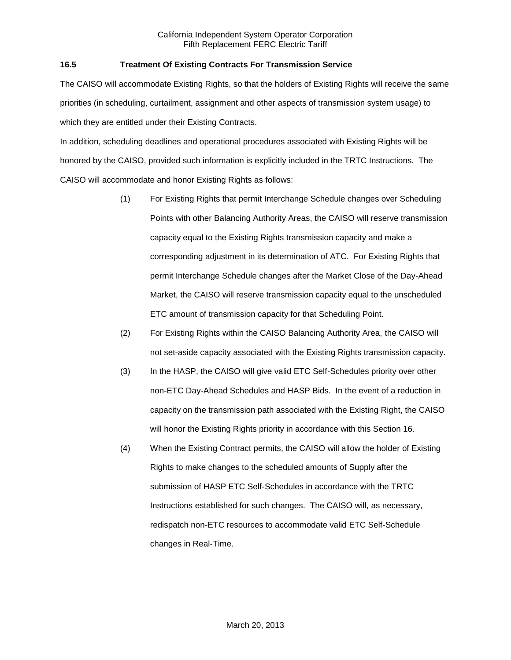# **16.5 Treatment Of Existing Contracts For Transmission Service**

The CAISO will accommodate Existing Rights, so that the holders of Existing Rights will receive the same priorities (in scheduling, curtailment, assignment and other aspects of transmission system usage) to which they are entitled under their Existing Contracts.

In addition, scheduling deadlines and operational procedures associated with Existing Rights will be honored by the CAISO, provided such information is explicitly included in the TRTC Instructions. The CAISO will accommodate and honor Existing Rights as follows:

- (1) For Existing Rights that permit Interchange Schedule changes over Scheduling Points with other Balancing Authority Areas, the CAISO will reserve transmission capacity equal to the Existing Rights transmission capacity and make a corresponding adjustment in its determination of ATC. For Existing Rights that permit Interchange Schedule changes after the Market Close of the Day-Ahead Market, the CAISO will reserve transmission capacity equal to the unscheduled ETC amount of transmission capacity for that Scheduling Point.
- (2) For Existing Rights within the CAISO Balancing Authority Area, the CAISO will not set-aside capacity associated with the Existing Rights transmission capacity.
- (3) In the HASP, the CAISO will give valid ETC Self-Schedules priority over other non-ETC Day-Ahead Schedules and HASP Bids. In the event of a reduction in capacity on the transmission path associated with the Existing Right, the CAISO will honor the Existing Rights priority in accordance with this Section 16.
- (4) When the Existing Contract permits, the CAISO will allow the holder of Existing Rights to make changes to the scheduled amounts of Supply after the submission of HASP ETC Self-Schedules in accordance with the TRTC Instructions established for such changes. The CAISO will, as necessary, redispatch non-ETC resources to accommodate valid ETC Self-Schedule changes in Real-Time.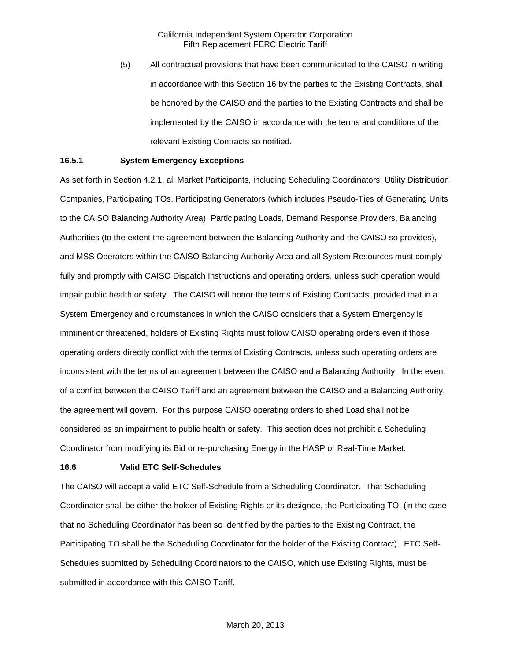(5) All contractual provisions that have been communicated to the CAISO in writing in accordance with this Section 16 by the parties to the Existing Contracts, shall be honored by the CAISO and the parties to the Existing Contracts and shall be implemented by the CAISO in accordance with the terms and conditions of the relevant Existing Contracts so notified.

#### **16.5.1 System Emergency Exceptions**

As set forth in Section 4.2.1, all Market Participants, including Scheduling Coordinators, Utility Distribution Companies, Participating TOs, Participating Generators (which includes Pseudo-Ties of Generating Units to the CAISO Balancing Authority Area), Participating Loads, Demand Response Providers, Balancing Authorities (to the extent the agreement between the Balancing Authority and the CAISO so provides), and MSS Operators within the CAISO Balancing Authority Area and all System Resources must comply fully and promptly with CAISO Dispatch Instructions and operating orders, unless such operation would impair public health or safety. The CAISO will honor the terms of Existing Contracts, provided that in a System Emergency and circumstances in which the CAISO considers that a System Emergency is imminent or threatened, holders of Existing Rights must follow CAISO operating orders even if those operating orders directly conflict with the terms of Existing Contracts, unless such operating orders are inconsistent with the terms of an agreement between the CAISO and a Balancing Authority. In the event of a conflict between the CAISO Tariff and an agreement between the CAISO and a Balancing Authority, the agreement will govern. For this purpose CAISO operating orders to shed Load shall not be considered as an impairment to public health or safety. This section does not prohibit a Scheduling Coordinator from modifying its Bid or re-purchasing Energy in the HASP or Real-Time Market.

#### **16.6 Valid ETC Self-Schedules**

The CAISO will accept a valid ETC Self-Schedule from a Scheduling Coordinator. That Scheduling Coordinator shall be either the holder of Existing Rights or its designee, the Participating TO, (in the case that no Scheduling Coordinator has been so identified by the parties to the Existing Contract, the Participating TO shall be the Scheduling Coordinator for the holder of the Existing Contract). ETC Self-Schedules submitted by Scheduling Coordinators to the CAISO, which use Existing Rights, must be submitted in accordance with this CAISO Tariff.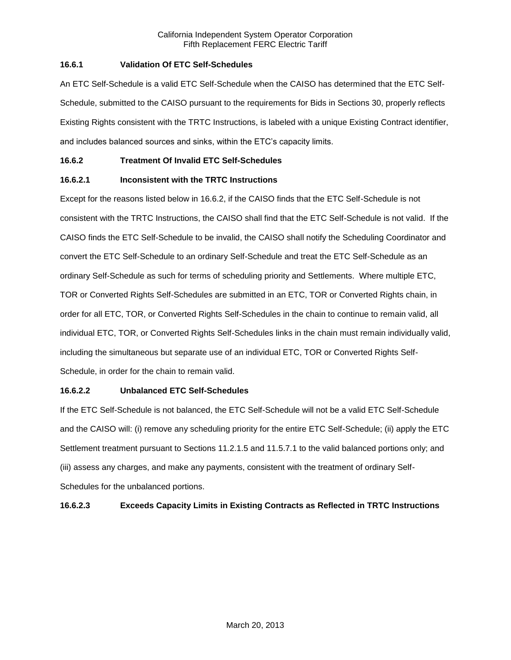## **16.6.1 Validation Of ETC Self-Schedules**

An ETC Self-Schedule is a valid ETC Self-Schedule when the CAISO has determined that the ETC Self-Schedule, submitted to the CAISO pursuant to the requirements for Bids in Sections 30, properly reflects Existing Rights consistent with the TRTC Instructions, is labeled with a unique Existing Contract identifier, and includes balanced sources and sinks, within the ETC's capacity limits.

## **16.6.2 Treatment Of Invalid ETC Self-Schedules**

# **16.6.2.1 Inconsistent with the TRTC Instructions**

Except for the reasons listed below in 16.6.2, if the CAISO finds that the ETC Self-Schedule is not consistent with the TRTC Instructions, the CAISO shall find that the ETC Self-Schedule is not valid. If the CAISO finds the ETC Self-Schedule to be invalid, the CAISO shall notify the Scheduling Coordinator and convert the ETC Self-Schedule to an ordinary Self-Schedule and treat the ETC Self-Schedule as an ordinary Self-Schedule as such for terms of scheduling priority and Settlements. Where multiple ETC, TOR or Converted Rights Self-Schedules are submitted in an ETC, TOR or Converted Rights chain, in order for all ETC, TOR, or Converted Rights Self-Schedules in the chain to continue to remain valid, all individual ETC, TOR, or Converted Rights Self-Schedules links in the chain must remain individually valid, including the simultaneous but separate use of an individual ETC, TOR or Converted Rights Self-Schedule, in order for the chain to remain valid.

## **16.6.2.2 Unbalanced ETC Self-Schedules**

If the ETC Self-Schedule is not balanced, the ETC Self-Schedule will not be a valid ETC Self-Schedule and the CAISO will: (i) remove any scheduling priority for the entire ETC Self-Schedule; (ii) apply the ETC Settlement treatment pursuant to Sections 11.2.1.5 and 11.5.7.1 to the valid balanced portions only; and (iii) assess any charges, and make any payments, consistent with the treatment of ordinary Self-Schedules for the unbalanced portions.

# **16.6.2.3 Exceeds Capacity Limits in Existing Contracts as Reflected in TRTC Instructions**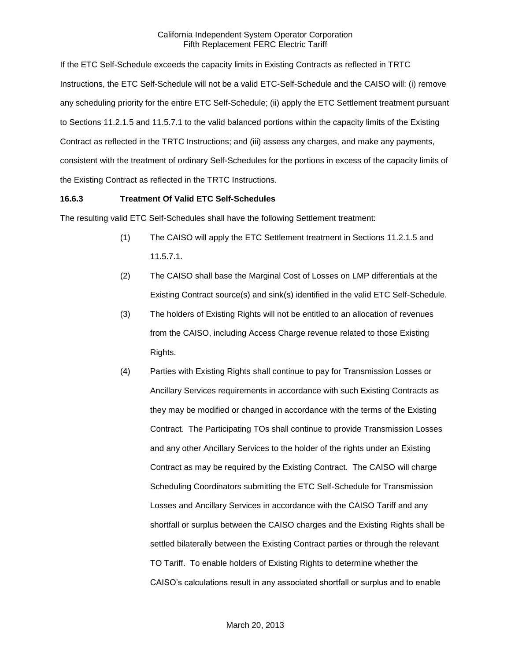If the ETC Self-Schedule exceeds the capacity limits in Existing Contracts as reflected in TRTC Instructions, the ETC Self-Schedule will not be a valid ETC-Self-Schedule and the CAISO will: (i) remove any scheduling priority for the entire ETC Self-Schedule; (ii) apply the ETC Settlement treatment pursuant to Sections 11.2.1.5 and 11.5.7.1 to the valid balanced portions within the capacity limits of the Existing Contract as reflected in the TRTC Instructions; and (iii) assess any charges, and make any payments, consistent with the treatment of ordinary Self-Schedules for the portions in excess of the capacity limits of the Existing Contract as reflected in the TRTC Instructions.

### **16.6.3 Treatment Of Valid ETC Self-Schedules**

The resulting valid ETC Self-Schedules shall have the following Settlement treatment:

- (1) The CAISO will apply the ETC Settlement treatment in Sections 11.2.1.5 and 11.5.7.1.
- (2) The CAISO shall base the Marginal Cost of Losses on LMP differentials at the Existing Contract source(s) and sink(s) identified in the valid ETC Self-Schedule.
- (3) The holders of Existing Rights will not be entitled to an allocation of revenues from the CAISO, including Access Charge revenue related to those Existing Rights.
- (4) Parties with Existing Rights shall continue to pay for Transmission Losses or Ancillary Services requirements in accordance with such Existing Contracts as they may be modified or changed in accordance with the terms of the Existing Contract. The Participating TOs shall continue to provide Transmission Losses and any other Ancillary Services to the holder of the rights under an Existing Contract as may be required by the Existing Contract. The CAISO will charge Scheduling Coordinators submitting the ETC Self-Schedule for Transmission Losses and Ancillary Services in accordance with the CAISO Tariff and any shortfall or surplus between the CAISO charges and the Existing Rights shall be settled bilaterally between the Existing Contract parties or through the relevant TO Tariff. To enable holders of Existing Rights to determine whether the CAISO's calculations result in any associated shortfall or surplus and to enable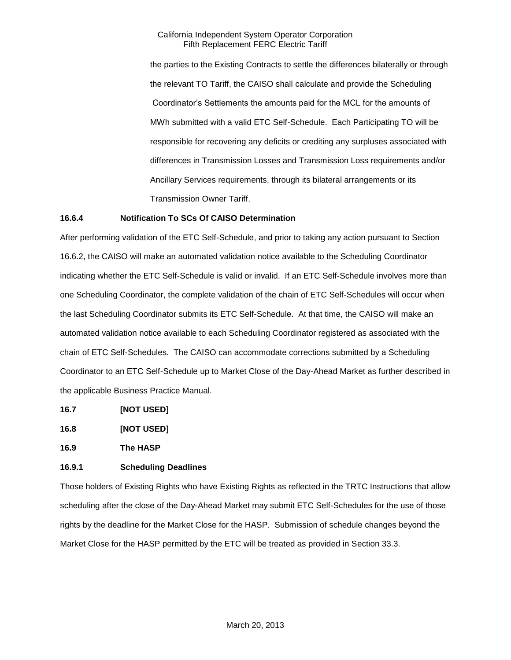the parties to the Existing Contracts to settle the differences bilaterally or through the relevant TO Tariff, the CAISO shall calculate and provide the Scheduling Coordinator's Settlements the amounts paid for the MCL for the amounts of MWh submitted with a valid ETC Self-Schedule. Each Participating TO will be responsible for recovering any deficits or crediting any surpluses associated with differences in Transmission Losses and Transmission Loss requirements and/or Ancillary Services requirements, through its bilateral arrangements or its Transmission Owner Tariff.

### **16.6.4 Notification To SCs Of CAISO Determination**

After performing validation of the ETC Self-Schedule, and prior to taking any action pursuant to Section 16.6.2, the CAISO will make an automated validation notice available to the Scheduling Coordinator indicating whether the ETC Self-Schedule is valid or invalid. If an ETC Self-Schedule involves more than one Scheduling Coordinator, the complete validation of the chain of ETC Self-Schedules will occur when the last Scheduling Coordinator submits its ETC Self-Schedule. At that time, the CAISO will make an automated validation notice available to each Scheduling Coordinator registered as associated with the chain of ETC Self-Schedules. The CAISO can accommodate corrections submitted by a Scheduling Coordinator to an ETC Self-Schedule up to Market Close of the Day-Ahead Market as further described in the applicable Business Practice Manual.

- **16.7 [NOT USED]**
- **16.8 [NOT USED]**

**16.9 The HASP**

# **16.9.1 Scheduling Deadlines**

Those holders of Existing Rights who have Existing Rights as reflected in the TRTC Instructions that allow scheduling after the close of the Day-Ahead Market may submit ETC Self-Schedules for the use of those rights by the deadline for the Market Close for the HASP. Submission of schedule changes beyond the Market Close for the HASP permitted by the ETC will be treated as provided in Section 33.3.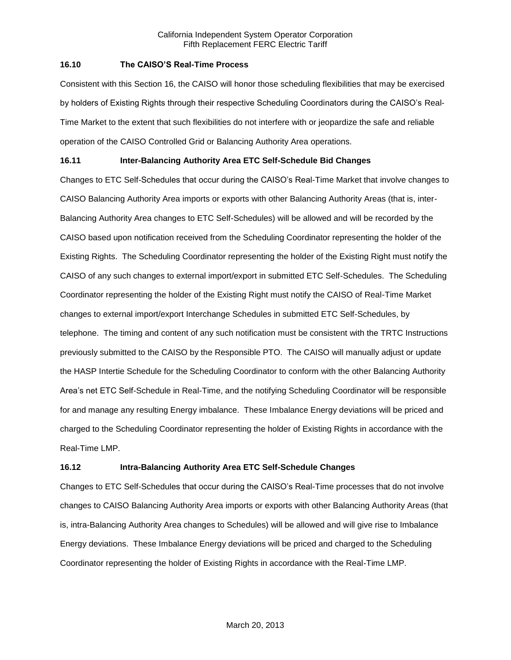### **16.10 The CAISO'S Real-Time Process**

Consistent with this Section 16, the CAISO will honor those scheduling flexibilities that may be exercised by holders of Existing Rights through their respective Scheduling Coordinators during the CAISO's Real-Time Market to the extent that such flexibilities do not interfere with or jeopardize the safe and reliable operation of the CAISO Controlled Grid or Balancing Authority Area operations.

# **16.11 Inter-Balancing Authority Area ETC Self-Schedule Bid Changes**

Changes to ETC Self-Schedules that occur during the CAISO's Real-Time Market that involve changes to CAISO Balancing Authority Area imports or exports with other Balancing Authority Areas (that is, inter-Balancing Authority Area changes to ETC Self-Schedules) will be allowed and will be recorded by the CAISO based upon notification received from the Scheduling Coordinator representing the holder of the Existing Rights. The Scheduling Coordinator representing the holder of the Existing Right must notify the CAISO of any such changes to external import/export in submitted ETC Self-Schedules. The Scheduling Coordinator representing the holder of the Existing Right must notify the CAISO of Real-Time Market changes to external import/export Interchange Schedules in submitted ETC Self-Schedules, by telephone. The timing and content of any such notification must be consistent with the TRTC Instructions previously submitted to the CAISO by the Responsible PTO. The CAISO will manually adjust or update the HASP Intertie Schedule for the Scheduling Coordinator to conform with the other Balancing Authority Area's net ETC Self-Schedule in Real-Time, and the notifying Scheduling Coordinator will be responsible for and manage any resulting Energy imbalance. These Imbalance Energy deviations will be priced and charged to the Scheduling Coordinator representing the holder of Existing Rights in accordance with the Real-Time LMP.

# **16.12 Intra-Balancing Authority Area ETC Self-Schedule Changes**

Changes to ETC Self-Schedules that occur during the CAISO's Real-Time processes that do not involve changes to CAISO Balancing Authority Area imports or exports with other Balancing Authority Areas (that is, intra-Balancing Authority Area changes to Schedules) will be allowed and will give rise to Imbalance Energy deviations. These Imbalance Energy deviations will be priced and charged to the Scheduling Coordinator representing the holder of Existing Rights in accordance with the Real-Time LMP.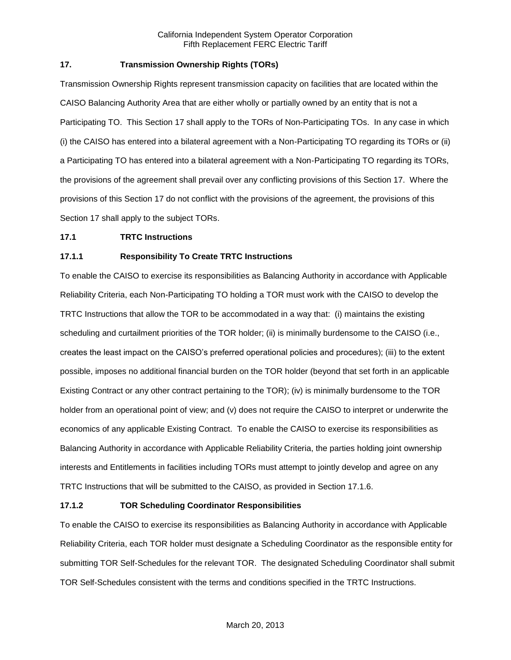# **17. Transmission Ownership Rights (TORs)**

Transmission Ownership Rights represent transmission capacity on facilities that are located within the CAISO Balancing Authority Area that are either wholly or partially owned by an entity that is not a Participating TO. This Section 17 shall apply to the TORs of Non-Participating TOs. In any case in which (i) the CAISO has entered into a bilateral agreement with a Non-Participating TO regarding its TORs or (ii) a Participating TO has entered into a bilateral agreement with a Non-Participating TO regarding its TORs, the provisions of the agreement shall prevail over any conflicting provisions of this Section 17. Where the provisions of this Section 17 do not conflict with the provisions of the agreement, the provisions of this Section 17 shall apply to the subject TORs.

### **17.1 TRTC Instructions**

## **17.1.1 Responsibility To Create TRTC Instructions**

To enable the CAISO to exercise its responsibilities as Balancing Authority in accordance with Applicable Reliability Criteria, each Non-Participating TO holding a TOR must work with the CAISO to develop the TRTC Instructions that allow the TOR to be accommodated in a way that: (i) maintains the existing scheduling and curtailment priorities of the TOR holder; (ii) is minimally burdensome to the CAISO (i.e., creates the least impact on the CAISO's preferred operational policies and procedures); (iii) to the extent possible, imposes no additional financial burden on the TOR holder (beyond that set forth in an applicable Existing Contract or any other contract pertaining to the TOR); (iv) is minimally burdensome to the TOR holder from an operational point of view; and (v) does not require the CAISO to interpret or underwrite the economics of any applicable Existing Contract. To enable the CAISO to exercise its responsibilities as Balancing Authority in accordance with Applicable Reliability Criteria, the parties holding joint ownership interests and Entitlements in facilities including TORs must attempt to jointly develop and agree on any TRTC Instructions that will be submitted to the CAISO, as provided in Section 17.1.6.

### **17.1.2 TOR Scheduling Coordinator Responsibilities**

To enable the CAISO to exercise its responsibilities as Balancing Authority in accordance with Applicable Reliability Criteria, each TOR holder must designate a Scheduling Coordinator as the responsible entity for submitting TOR Self-Schedules for the relevant TOR. The designated Scheduling Coordinator shall submit TOR Self-Schedules consistent with the terms and conditions specified in the TRTC Instructions.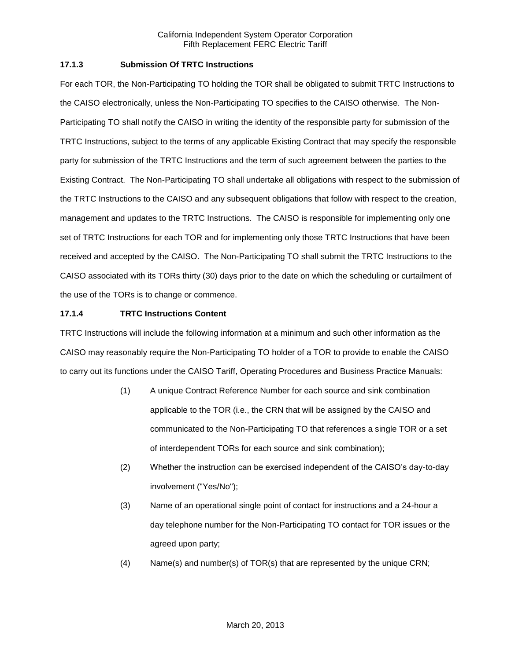## **17.1.3 Submission Of TRTC Instructions**

For each TOR, the Non-Participating TO holding the TOR shall be obligated to submit TRTC Instructions to the CAISO electronically, unless the Non-Participating TO specifies to the CAISO otherwise. The Non-Participating TO shall notify the CAISO in writing the identity of the responsible party for submission of the TRTC Instructions, subject to the terms of any applicable Existing Contract that may specify the responsible party for submission of the TRTC Instructions and the term of such agreement between the parties to the Existing Contract. The Non-Participating TO shall undertake all obligations with respect to the submission of the TRTC Instructions to the CAISO and any subsequent obligations that follow with respect to the creation, management and updates to the TRTC Instructions. The CAISO is responsible for implementing only one set of TRTC Instructions for each TOR and for implementing only those TRTC Instructions that have been received and accepted by the CAISO. The Non-Participating TO shall submit the TRTC Instructions to the CAISO associated with its TORs thirty (30) days prior to the date on which the scheduling or curtailment of the use of the TORs is to change or commence.

## **17.1.4 TRTC Instructions Content**

TRTC Instructions will include the following information at a minimum and such other information as the CAISO may reasonably require the Non-Participating TO holder of a TOR to provide to enable the CAISO to carry out its functions under the CAISO Tariff, Operating Procedures and Business Practice Manuals:

- (1) A unique Contract Reference Number for each source and sink combination applicable to the TOR (i.e., the CRN that will be assigned by the CAISO and communicated to the Non-Participating TO that references a single TOR or a set of interdependent TORs for each source and sink combination);
- (2) Whether the instruction can be exercised independent of the CAISO's day-to-day involvement ("Yes/No");
- (3) Name of an operational single point of contact for instructions and a 24-hour a day telephone number for the Non-Participating TO contact for TOR issues or the agreed upon party;
- (4) Name(s) and number(s) of TOR(s) that are represented by the unique CRN;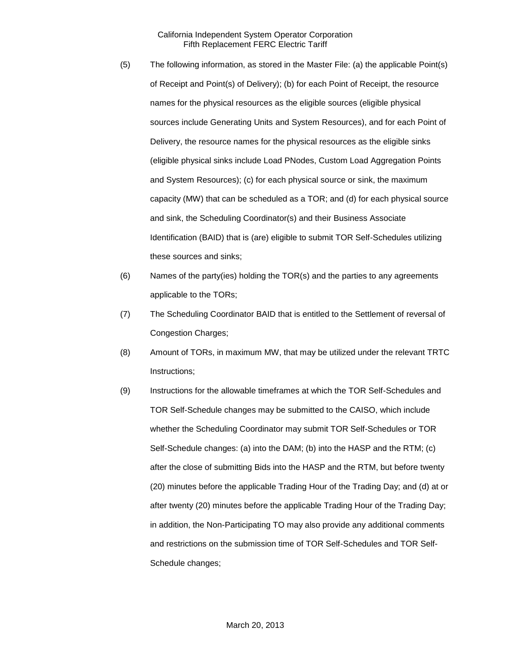- (5) The following information, as stored in the Master File: (a) the applicable Point(s) of Receipt and Point(s) of Delivery); (b) for each Point of Receipt, the resource names for the physical resources as the eligible sources (eligible physical sources include Generating Units and System Resources), and for each Point of Delivery, the resource names for the physical resources as the eligible sinks (eligible physical sinks include Load PNodes, Custom Load Aggregation Points and System Resources); (c) for each physical source or sink, the maximum capacity (MW) that can be scheduled as a TOR; and (d) for each physical source and sink, the Scheduling Coordinator(s) and their Business Associate Identification (BAID) that is (are) eligible to submit TOR Self-Schedules utilizing these sources and sinks;
- (6) Names of the party(ies) holding the TOR(s) and the parties to any agreements applicable to the TORs;
- (7) The Scheduling Coordinator BAID that is entitled to the Settlement of reversal of Congestion Charges;
- (8) Amount of TORs, in maximum MW, that may be utilized under the relevant TRTC Instructions;
- (9) Instructions for the allowable timeframes at which the TOR Self-Schedules and TOR Self-Schedule changes may be submitted to the CAISO, which include whether the Scheduling Coordinator may submit TOR Self-Schedules or TOR Self-Schedule changes: (a) into the DAM; (b) into the HASP and the RTM; (c) after the close of submitting Bids into the HASP and the RTM, but before twenty (20) minutes before the applicable Trading Hour of the Trading Day; and (d) at or after twenty (20) minutes before the applicable Trading Hour of the Trading Day; in addition, the Non-Participating TO may also provide any additional comments and restrictions on the submission time of TOR Self-Schedules and TOR Self-Schedule changes;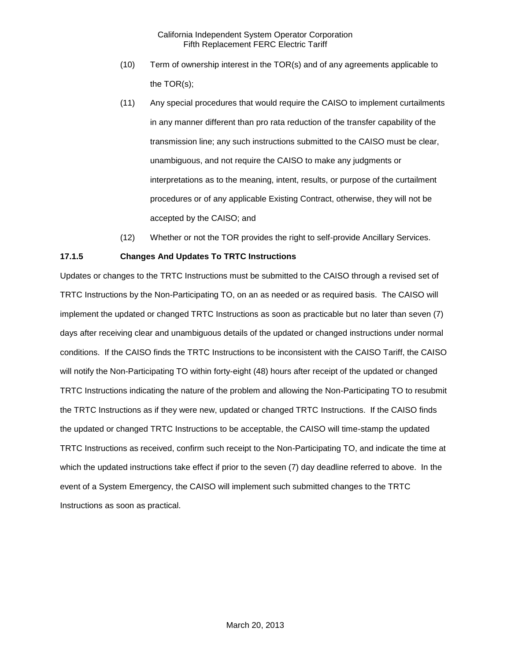- (10) Term of ownership interest in the TOR(s) and of any agreements applicable to the TOR(s);
- (11) Any special procedures that would require the CAISO to implement curtailments in any manner different than pro rata reduction of the transfer capability of the transmission line; any such instructions submitted to the CAISO must be clear, unambiguous, and not require the CAISO to make any judgments or interpretations as to the meaning, intent, results, or purpose of the curtailment procedures or of any applicable Existing Contract, otherwise, they will not be accepted by the CAISO; and
- (12) Whether or not the TOR provides the right to self-provide Ancillary Services.

## **17.1.5 Changes And Updates To TRTC Instructions**

Updates or changes to the TRTC Instructions must be submitted to the CAISO through a revised set of TRTC Instructions by the Non-Participating TO, on an as needed or as required basis. The CAISO will implement the updated or changed TRTC Instructions as soon as practicable but no later than seven (7) days after receiving clear and unambiguous details of the updated or changed instructions under normal conditions. If the CAISO finds the TRTC Instructions to be inconsistent with the CAISO Tariff, the CAISO will notify the Non-Participating TO within forty-eight (48) hours after receipt of the updated or changed TRTC Instructions indicating the nature of the problem and allowing the Non-Participating TO to resubmit the TRTC Instructions as if they were new, updated or changed TRTC Instructions. If the CAISO finds the updated or changed TRTC Instructions to be acceptable, the CAISO will time-stamp the updated TRTC Instructions as received, confirm such receipt to the Non-Participating TO, and indicate the time at which the updated instructions take effect if prior to the seven (7) day deadline referred to above. In the event of a System Emergency, the CAISO will implement such submitted changes to the TRTC Instructions as soon as practical.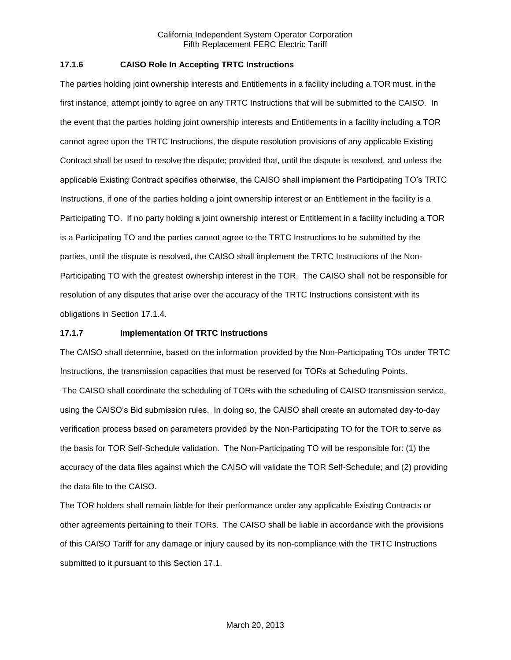## **17.1.6 CAISO Role In Accepting TRTC Instructions**

The parties holding joint ownership interests and Entitlements in a facility including a TOR must, in the first instance, attempt jointly to agree on any TRTC Instructions that will be submitted to the CAISO. In the event that the parties holding joint ownership interests and Entitlements in a facility including a TOR cannot agree upon the TRTC Instructions, the dispute resolution provisions of any applicable Existing Contract shall be used to resolve the dispute; provided that, until the dispute is resolved, and unless the applicable Existing Contract specifies otherwise, the CAISO shall implement the Participating TO's TRTC Instructions, if one of the parties holding a joint ownership interest or an Entitlement in the facility is a Participating TO. If no party holding a joint ownership interest or Entitlement in a facility including a TOR is a Participating TO and the parties cannot agree to the TRTC Instructions to be submitted by the parties, until the dispute is resolved, the CAISO shall implement the TRTC Instructions of the Non-Participating TO with the greatest ownership interest in the TOR. The CAISO shall not be responsible for resolution of any disputes that arise over the accuracy of the TRTC Instructions consistent with its obligations in Section 17.1.4.

## **17.1.7 Implementation Of TRTC Instructions**

The CAISO shall determine, based on the information provided by the Non-Participating TOs under TRTC Instructions, the transmission capacities that must be reserved for TORs at Scheduling Points.

The CAISO shall coordinate the scheduling of TORs with the scheduling of CAISO transmission service, using the CAISO's Bid submission rules. In doing so, the CAISO shall create an automated day-to-day verification process based on parameters provided by the Non-Participating TO for the TOR to serve as the basis for TOR Self-Schedule validation. The Non-Participating TO will be responsible for: (1) the accuracy of the data files against which the CAISO will validate the TOR Self-Schedule; and (2) providing the data file to the CAISO.

The TOR holders shall remain liable for their performance under any applicable Existing Contracts or other agreements pertaining to their TORs. The CAISO shall be liable in accordance with the provisions of this CAISO Tariff for any damage or injury caused by its non-compliance with the TRTC Instructions submitted to it pursuant to this Section 17.1.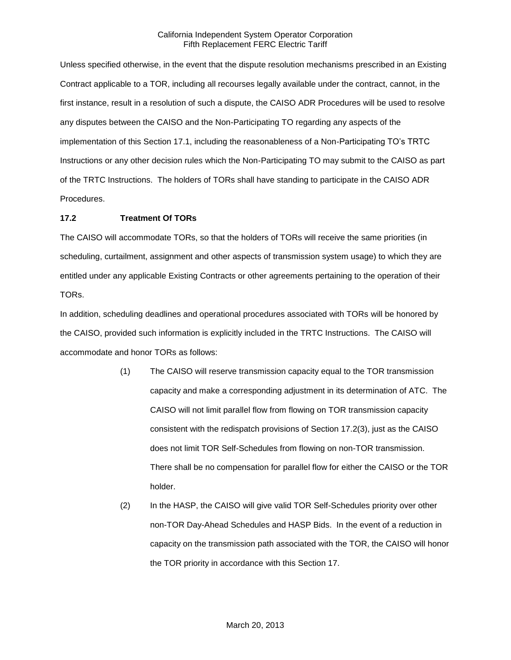Unless specified otherwise, in the event that the dispute resolution mechanisms prescribed in an Existing Contract applicable to a TOR, including all recourses legally available under the contract, cannot, in the first instance, result in a resolution of such a dispute, the CAISO ADR Procedures will be used to resolve any disputes between the CAISO and the Non-Participating TO regarding any aspects of the implementation of this Section 17.1, including the reasonableness of a Non-Participating TO's TRTC Instructions or any other decision rules which the Non-Participating TO may submit to the CAISO as part of the TRTC Instructions. The holders of TORs shall have standing to participate in the CAISO ADR Procedures.

## **17.2 Treatment Of TORs**

The CAISO will accommodate TORs, so that the holders of TORs will receive the same priorities (in scheduling, curtailment, assignment and other aspects of transmission system usage) to which they are entitled under any applicable Existing Contracts or other agreements pertaining to the operation of their TORs.

In addition, scheduling deadlines and operational procedures associated with TORs will be honored by the CAISO, provided such information is explicitly included in the TRTC Instructions. The CAISO will accommodate and honor TORs as follows:

- (1) The CAISO will reserve transmission capacity equal to the TOR transmission capacity and make a corresponding adjustment in its determination of ATC. The CAISO will not limit parallel flow from flowing on TOR transmission capacity consistent with the redispatch provisions of Section 17.2(3), just as the CAISO does not limit TOR Self-Schedules from flowing on non-TOR transmission. There shall be no compensation for parallel flow for either the CAISO or the TOR holder.
- (2) In the HASP, the CAISO will give valid TOR Self-Schedules priority over other non-TOR Day-Ahead Schedules and HASP Bids. In the event of a reduction in capacity on the transmission path associated with the TOR, the CAISO will honor the TOR priority in accordance with this Section 17.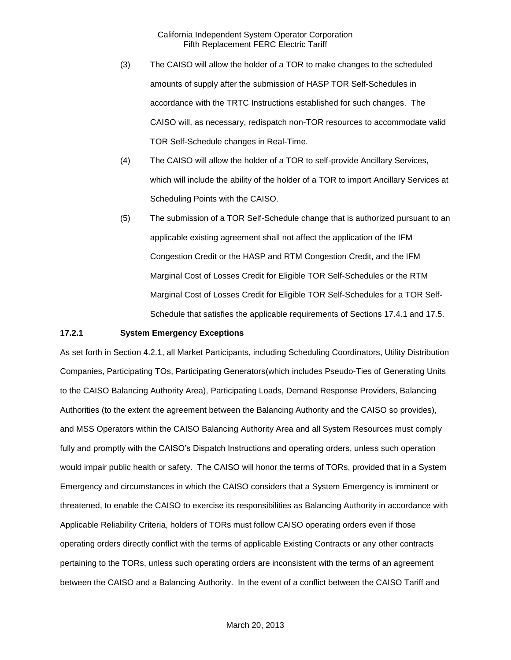- (3) The CAISO will allow the holder of a TOR to make changes to the scheduled amounts of supply after the submission of HASP TOR Self-Schedules in accordance with the TRTC Instructions established for such changes. The CAISO will, as necessary, redispatch non-TOR resources to accommodate valid TOR Self-Schedule changes in Real-Time.
- (4) The CAISO will allow the holder of a TOR to self-provide Ancillary Services, which will include the ability of the holder of a TOR to import Ancillary Services at Scheduling Points with the CAISO.
- (5) The submission of a TOR Self-Schedule change that is authorized pursuant to an applicable existing agreement shall not affect the application of the IFM Congestion Credit or the HASP and RTM Congestion Credit, and the IFM Marginal Cost of Losses Credit for Eligible TOR Self-Schedules or the RTM Marginal Cost of Losses Credit for Eligible TOR Self-Schedules for a TOR Self-Schedule that satisfies the applicable requirements of Sections 17.4.1 and 17.5.

#### **17.2.1 System Emergency Exceptions**

As set forth in Section 4.2.1, all Market Participants, including Scheduling Coordinators, Utility Distribution Companies, Participating TOs, Participating Generators(which includes Pseudo-Ties of Generating Units to the CAISO Balancing Authority Area), Participating Loads, Demand Response Providers, Balancing Authorities (to the extent the agreement between the Balancing Authority and the CAISO so provides), and MSS Operators within the CAISO Balancing Authority Area and all System Resources must comply fully and promptly with the CAISO's Dispatch Instructions and operating orders, unless such operation would impair public health or safety. The CAISO will honor the terms of TORs, provided that in a System Emergency and circumstances in which the CAISO considers that a System Emergency is imminent or threatened, to enable the CAISO to exercise its responsibilities as Balancing Authority in accordance with Applicable Reliability Criteria, holders of TORs must follow CAISO operating orders even if those operating orders directly conflict with the terms of applicable Existing Contracts or any other contracts pertaining to the TORs, unless such operating orders are inconsistent with the terms of an agreement between the CAISO and a Balancing Authority. In the event of a conflict between the CAISO Tariff and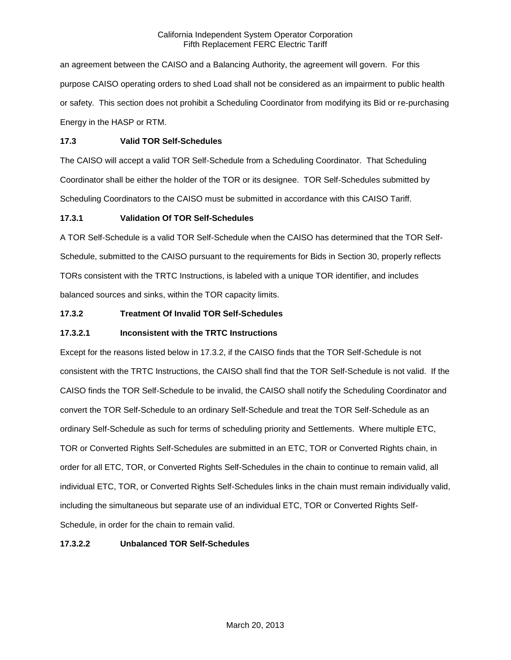an agreement between the CAISO and a Balancing Authority, the agreement will govern. For this purpose CAISO operating orders to shed Load shall not be considered as an impairment to public health or safety. This section does not prohibit a Scheduling Coordinator from modifying its Bid or re-purchasing Energy in the HASP or RTM.

# **17.3 Valid TOR Self-Schedules**

The CAISO will accept a valid TOR Self-Schedule from a Scheduling Coordinator. That Scheduling Coordinator shall be either the holder of the TOR or its designee. TOR Self-Schedules submitted by Scheduling Coordinators to the CAISO must be submitted in accordance with this CAISO Tariff.

# **17.3.1 Validation Of TOR Self-Schedules**

A TOR Self-Schedule is a valid TOR Self-Schedule when the CAISO has determined that the TOR Self-Schedule, submitted to the CAISO pursuant to the requirements for Bids in Section 30, properly reflects TORs consistent with the TRTC Instructions, is labeled with a unique TOR identifier, and includes balanced sources and sinks, within the TOR capacity limits.

# **17.3.2 Treatment Of Invalid TOR Self-Schedules**

# **17.3.2.1 Inconsistent with the TRTC Instructions**

Except for the reasons listed below in 17.3.2, if the CAISO finds that the TOR Self-Schedule is not consistent with the TRTC Instructions, the CAISO shall find that the TOR Self-Schedule is not valid. If the CAISO finds the TOR Self-Schedule to be invalid, the CAISO shall notify the Scheduling Coordinator and convert the TOR Self-Schedule to an ordinary Self-Schedule and treat the TOR Self-Schedule as an ordinary Self-Schedule as such for terms of scheduling priority and Settlements. Where multiple ETC, TOR or Converted Rights Self-Schedules are submitted in an ETC, TOR or Converted Rights chain, in order for all ETC, TOR, or Converted Rights Self-Schedules in the chain to continue to remain valid, all individual ETC, TOR, or Converted Rights Self-Schedules links in the chain must remain individually valid, including the simultaneous but separate use of an individual ETC, TOR or Converted Rights Self-Schedule, in order for the chain to remain valid.

# **17.3.2.2 Unbalanced TOR Self-Schedules**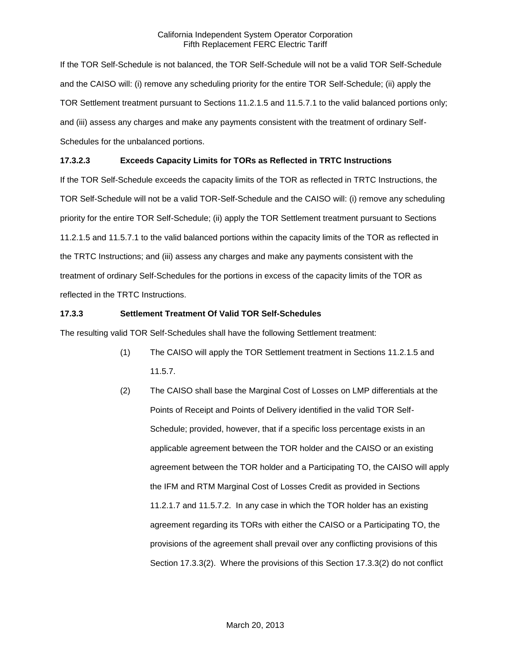If the TOR Self-Schedule is not balanced, the TOR Self-Schedule will not be a valid TOR Self-Schedule and the CAISO will: (i) remove any scheduling priority for the entire TOR Self-Schedule; (ii) apply the TOR Settlement treatment pursuant to Sections 11.2.1.5 and 11.5.7.1 to the valid balanced portions only; and (iii) assess any charges and make any payments consistent with the treatment of ordinary Self-Schedules for the unbalanced portions.

# **17.3.2.3 Exceeds Capacity Limits for TORs as Reflected in TRTC Instructions**

If the TOR Self-Schedule exceeds the capacity limits of the TOR as reflected in TRTC Instructions, the TOR Self-Schedule will not be a valid TOR-Self-Schedule and the CAISO will: (i) remove any scheduling priority for the entire TOR Self-Schedule; (ii) apply the TOR Settlement treatment pursuant to Sections 11.2.1.5 and 11.5.7.1 to the valid balanced portions within the capacity limits of the TOR as reflected in the TRTC Instructions; and (iii) assess any charges and make any payments consistent with the treatment of ordinary Self-Schedules for the portions in excess of the capacity limits of the TOR as reflected in the TRTC Instructions.

# **17.3.3 Settlement Treatment Of Valid TOR Self-Schedules**

The resulting valid TOR Self-Schedules shall have the following Settlement treatment:

- (1) The CAISO will apply the TOR Settlement treatment in Sections 11.2.1.5 and 11.5.7.
- (2) The CAISO shall base the Marginal Cost of Losses on LMP differentials at the Points of Receipt and Points of Delivery identified in the valid TOR Self-Schedule; provided, however, that if a specific loss percentage exists in an applicable agreement between the TOR holder and the CAISO or an existing agreement between the TOR holder and a Participating TO, the CAISO will apply the IFM and RTM Marginal Cost of Losses Credit as provided in Sections 11.2.1.7 and 11.5.7.2. In any case in which the TOR holder has an existing agreement regarding its TORs with either the CAISO or a Participating TO, the provisions of the agreement shall prevail over any conflicting provisions of this Section 17.3.3(2). Where the provisions of this Section 17.3.3(2) do not conflict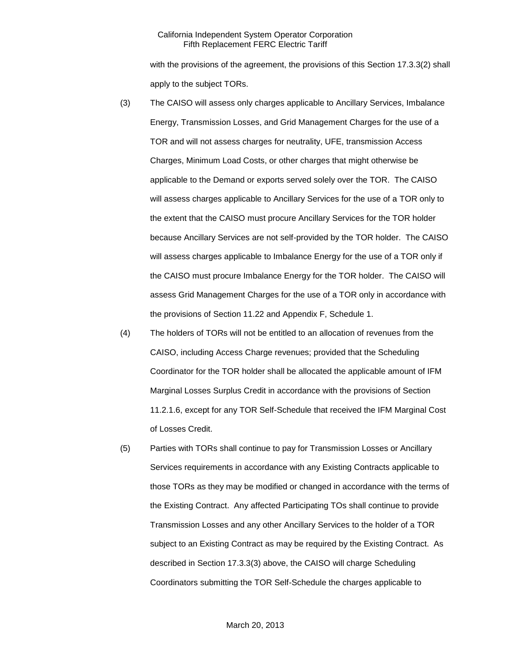with the provisions of the agreement, the provisions of this Section 17.3.3(2) shall apply to the subject TORs.

- (3) The CAISO will assess only charges applicable to Ancillary Services, Imbalance Energy, Transmission Losses, and Grid Management Charges for the use of a TOR and will not assess charges for neutrality, UFE, transmission Access Charges, Minimum Load Costs, or other charges that might otherwise be applicable to the Demand or exports served solely over the TOR. The CAISO will assess charges applicable to Ancillary Services for the use of a TOR only to the extent that the CAISO must procure Ancillary Services for the TOR holder because Ancillary Services are not self-provided by the TOR holder. The CAISO will assess charges applicable to Imbalance Energy for the use of a TOR only if the CAISO must procure Imbalance Energy for the TOR holder. The CAISO will assess Grid Management Charges for the use of a TOR only in accordance with the provisions of Section 11.22 and Appendix F, Schedule 1.
- (4) The holders of TORs will not be entitled to an allocation of revenues from the CAISO, including Access Charge revenues; provided that the Scheduling Coordinator for the TOR holder shall be allocated the applicable amount of IFM Marginal Losses Surplus Credit in accordance with the provisions of Section 11.2.1.6, except for any TOR Self-Schedule that received the IFM Marginal Cost of Losses Credit.
- (5) Parties with TORs shall continue to pay for Transmission Losses or Ancillary Services requirements in accordance with any Existing Contracts applicable to those TORs as they may be modified or changed in accordance with the terms of the Existing Contract. Any affected Participating TOs shall continue to provide Transmission Losses and any other Ancillary Services to the holder of a TOR subject to an Existing Contract as may be required by the Existing Contract. As described in Section 17.3.3(3) above, the CAISO will charge Scheduling Coordinators submitting the TOR Self-Schedule the charges applicable to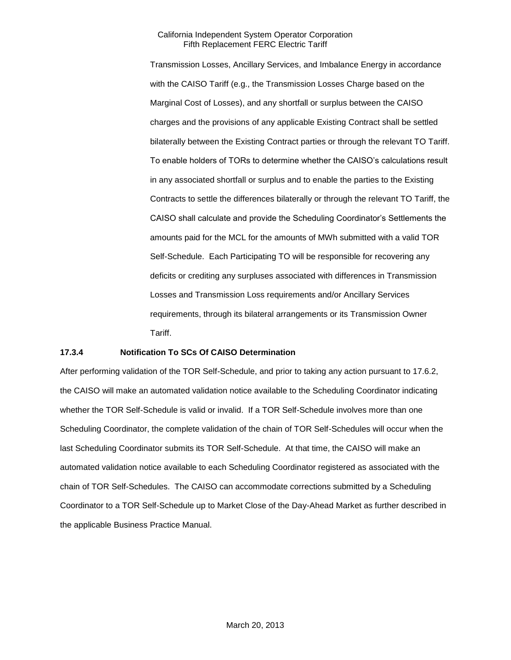Transmission Losses, Ancillary Services, and Imbalance Energy in accordance with the CAISO Tariff (e.g., the Transmission Losses Charge based on the Marginal Cost of Losses), and any shortfall or surplus between the CAISO charges and the provisions of any applicable Existing Contract shall be settled bilaterally between the Existing Contract parties or through the relevant TO Tariff. To enable holders of TORs to determine whether the CAISO's calculations result in any associated shortfall or surplus and to enable the parties to the Existing Contracts to settle the differences bilaterally or through the relevant TO Tariff, the CAISO shall calculate and provide the Scheduling Coordinator's Settlements the amounts paid for the MCL for the amounts of MWh submitted with a valid TOR Self-Schedule. Each Participating TO will be responsible for recovering any deficits or crediting any surpluses associated with differences in Transmission Losses and Transmission Loss requirements and/or Ancillary Services requirements, through its bilateral arrangements or its Transmission Owner Tariff.

## **17.3.4 Notification To SCs Of CAISO Determination**

After performing validation of the TOR Self-Schedule, and prior to taking any action pursuant to 17.6.2, the CAISO will make an automated validation notice available to the Scheduling Coordinator indicating whether the TOR Self-Schedule is valid or invalid. If a TOR Self-Schedule involves more than one Scheduling Coordinator, the complete validation of the chain of TOR Self-Schedules will occur when the last Scheduling Coordinator submits its TOR Self-Schedule. At that time, the CAISO will make an automated validation notice available to each Scheduling Coordinator registered as associated with the chain of TOR Self-Schedules. The CAISO can accommodate corrections submitted by a Scheduling Coordinator to a TOR Self-Schedule up to Market Close of the Day-Ahead Market as further described in the applicable Business Practice Manual.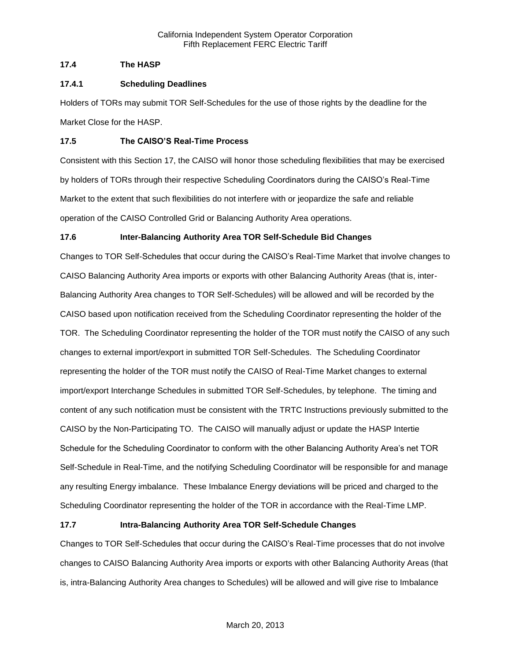# **17.4 The HASP**

# **17.4.1 Scheduling Deadlines**

Holders of TORs may submit TOR Self-Schedules for the use of those rights by the deadline for the Market Close for the HASP.

# **17.5 The CAISO'S Real-Time Process**

Consistent with this Section 17, the CAISO will honor those scheduling flexibilities that may be exercised by holders of TORs through their respective Scheduling Coordinators during the CAISO's Real-Time Market to the extent that such flexibilities do not interfere with or jeopardize the safe and reliable operation of the CAISO Controlled Grid or Balancing Authority Area operations.

# **17.6 Inter-Balancing Authority Area TOR Self-Schedule Bid Changes**

Changes to TOR Self-Schedules that occur during the CAISO's Real-Time Market that involve changes to CAISO Balancing Authority Area imports or exports with other Balancing Authority Areas (that is, inter-Balancing Authority Area changes to TOR Self-Schedules) will be allowed and will be recorded by the CAISO based upon notification received from the Scheduling Coordinator representing the holder of the TOR. The Scheduling Coordinator representing the holder of the TOR must notify the CAISO of any such changes to external import/export in submitted TOR Self-Schedules. The Scheduling Coordinator representing the holder of the TOR must notify the CAISO of Real-Time Market changes to external import/export Interchange Schedules in submitted TOR Self-Schedules, by telephone. The timing and content of any such notification must be consistent with the TRTC Instructions previously submitted to the CAISO by the Non-Participating TO. The CAISO will manually adjust or update the HASP Intertie Schedule for the Scheduling Coordinator to conform with the other Balancing Authority Area's net TOR Self-Schedule in Real-Time, and the notifying Scheduling Coordinator will be responsible for and manage any resulting Energy imbalance. These Imbalance Energy deviations will be priced and charged to the Scheduling Coordinator representing the holder of the TOR in accordance with the Real-Time LMP.

# **17.7 Intra-Balancing Authority Area TOR Self-Schedule Changes**

Changes to TOR Self-Schedules that occur during the CAISO's Real-Time processes that do not involve changes to CAISO Balancing Authority Area imports or exports with other Balancing Authority Areas (that is, intra-Balancing Authority Area changes to Schedules) will be allowed and will give rise to Imbalance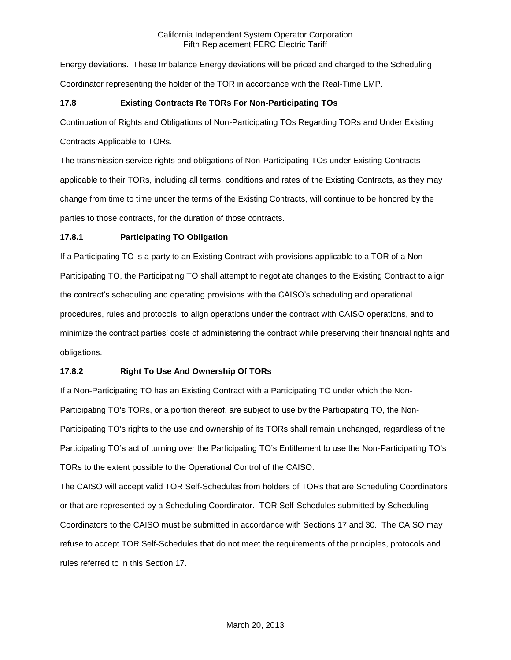Energy deviations. These Imbalance Energy deviations will be priced and charged to the Scheduling Coordinator representing the holder of the TOR in accordance with the Real-Time LMP.

# **17.8 Existing Contracts Re TORs For Non-Participating TOs**

Continuation of Rights and Obligations of Non-Participating TOs Regarding TORs and Under Existing

Contracts Applicable to TORs.

The transmission service rights and obligations of Non-Participating TOs under Existing Contracts applicable to their TORs, including all terms, conditions and rates of the Existing Contracts, as they may change from time to time under the terms of the Existing Contracts, will continue to be honored by the parties to those contracts, for the duration of those contracts.

# **17.8.1 Participating TO Obligation**

If a Participating TO is a party to an Existing Contract with provisions applicable to a TOR of a Non-Participating TO, the Participating TO shall attempt to negotiate changes to the Existing Contract to align the contract's scheduling and operating provisions with the CAISO's scheduling and operational procedures, rules and protocols, to align operations under the contract with CAISO operations, and to minimize the contract parties' costs of administering the contract while preserving their financial rights and obligations.

# **17.8.2 Right To Use And Ownership Of TORs**

If a Non-Participating TO has an Existing Contract with a Participating TO under which the Non-Participating TO's TORs, or a portion thereof, are subject to use by the Participating TO, the Non-Participating TO's rights to the use and ownership of its TORs shall remain unchanged, regardless of the Participating TO's act of turning over the Participating TO's Entitlement to use the Non-Participating TO's TORs to the extent possible to the Operational Control of the CAISO.

The CAISO will accept valid TOR Self-Schedules from holders of TORs that are Scheduling Coordinators or that are represented by a Scheduling Coordinator. TOR Self-Schedules submitted by Scheduling Coordinators to the CAISO must be submitted in accordance with Sections 17 and 30. The CAISO may refuse to accept TOR Self-Schedules that do not meet the requirements of the principles, protocols and rules referred to in this Section 17.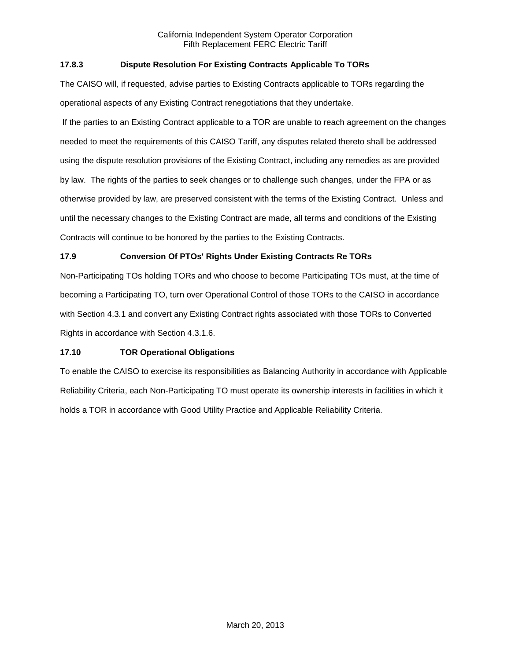# **17.8.3 Dispute Resolution For Existing Contracts Applicable To TORs**

The CAISO will, if requested, advise parties to Existing Contracts applicable to TORs regarding the operational aspects of any Existing Contract renegotiations that they undertake.

If the parties to an Existing Contract applicable to a TOR are unable to reach agreement on the changes needed to meet the requirements of this CAISO Tariff, any disputes related thereto shall be addressed using the dispute resolution provisions of the Existing Contract, including any remedies as are provided by law. The rights of the parties to seek changes or to challenge such changes, under the FPA or as otherwise provided by law, are preserved consistent with the terms of the Existing Contract. Unless and until the necessary changes to the Existing Contract are made, all terms and conditions of the Existing Contracts will continue to be honored by the parties to the Existing Contracts.

# **17.9 Conversion Of PTOs' Rights Under Existing Contracts Re TORs**

Non-Participating TOs holding TORs and who choose to become Participating TOs must, at the time of becoming a Participating TO, turn over Operational Control of those TORs to the CAISO in accordance with Section 4.3.1 and convert any Existing Contract rights associated with those TORs to Converted Rights in accordance with Section 4.3.1.6.

## **17.10 TOR Operational Obligations**

To enable the CAISO to exercise its responsibilities as Balancing Authority in accordance with Applicable Reliability Criteria, each Non-Participating TO must operate its ownership interests in facilities in which it holds a TOR in accordance with Good Utility Practice and Applicable Reliability Criteria.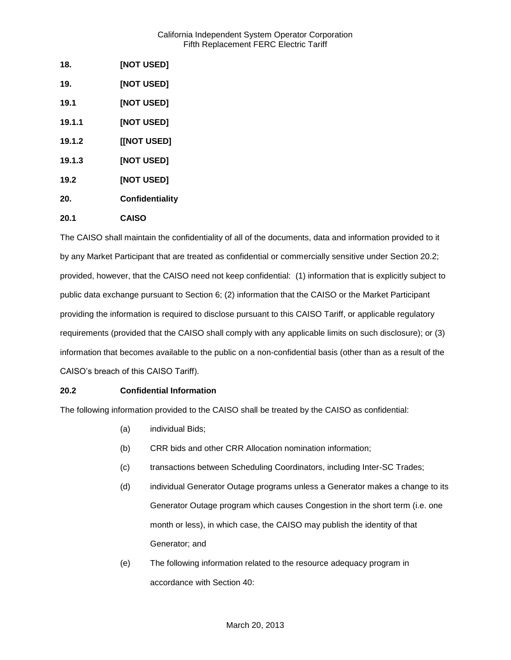| 18.    | [NOT USED]      |
|--------|-----------------|
| 19.    | [NOT USED]      |
| 19.1   | [NOT USED]      |
| 19.1.1 | [NOT USED]      |
| 19.1.2 | [[NOT USED]     |
| 19.1.3 | [NOT USED]      |
| 19.2   | [NOT USED]      |
| 20.    | Confidentiality |
| 20.1   | <b>CAISO</b>    |

The CAISO shall maintain the confidentiality of all of the documents, data and information provided to it by any Market Participant that are treated as confidential or commercially sensitive under Section 20.2; provided, however, that the CAISO need not keep confidential: (1) information that is explicitly subject to public data exchange pursuant to Section 6; (2) information that the CAISO or the Market Participant providing the information is required to disclose pursuant to this CAISO Tariff, or applicable regulatory requirements (provided that the CAISO shall comply with any applicable limits on such disclosure); or (3) information that becomes available to the public on a non-confidential basis (other than as a result of the CAISO's breach of this CAISO Tariff).

# **20.2 Confidential Information**

The following information provided to the CAISO shall be treated by the CAISO as confidential:

- (a) individual Bids;
- (b) CRR bids and other CRR Allocation nomination information;
- (c) transactions between Scheduling Coordinators, including Inter-SC Trades;
- (d) individual Generator Outage programs unless a Generator makes a change to its Generator Outage program which causes Congestion in the short term (i.e. one month or less), in which case, the CAISO may publish the identity of that Generator; and
- (e) The following information related to the resource adequacy program in accordance with Section 40: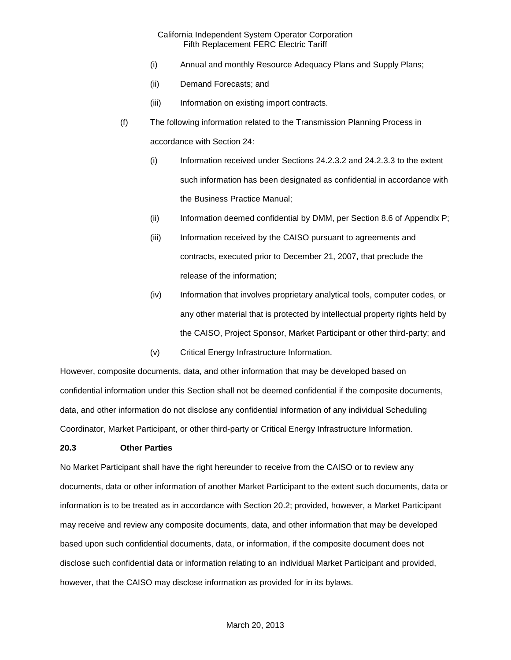- (i) Annual and monthly Resource Adequacy Plans and Supply Plans;
- (ii) Demand Forecasts; and
- (iii) Information on existing import contracts.
- (f) The following information related to the Transmission Planning Process in accordance with Section 24:
	- (i) Information received under Sections 24.2.3.2 and 24.2.3.3 to the extent such information has been designated as confidential in accordance with the Business Practice Manual;
	- (ii) Information deemed confidential by DMM, per Section 8.6 of Appendix P;
	- (iii) Information received by the CAISO pursuant to agreements and contracts, executed prior to December 21, 2007, that preclude the release of the information;
	- (iv) Information that involves proprietary analytical tools, computer codes, or any other material that is protected by intellectual property rights held by the CAISO, Project Sponsor, Market Participant or other third-party; and
	- (v) Critical Energy Infrastructure Information.

However, composite documents, data, and other information that may be developed based on confidential information under this Section shall not be deemed confidential if the composite documents, data, and other information do not disclose any confidential information of any individual Scheduling Coordinator, Market Participant, or other third-party or Critical Energy Infrastructure Information.

## **20.3 Other Parties**

No Market Participant shall have the right hereunder to receive from the CAISO or to review any documents, data or other information of another Market Participant to the extent such documents, data or information is to be treated as in accordance with Section 20.2; provided, however, a Market Participant may receive and review any composite documents, data, and other information that may be developed based upon such confidential documents, data, or information, if the composite document does not disclose such confidential data or information relating to an individual Market Participant and provided, however, that the CAISO may disclose information as provided for in its bylaws.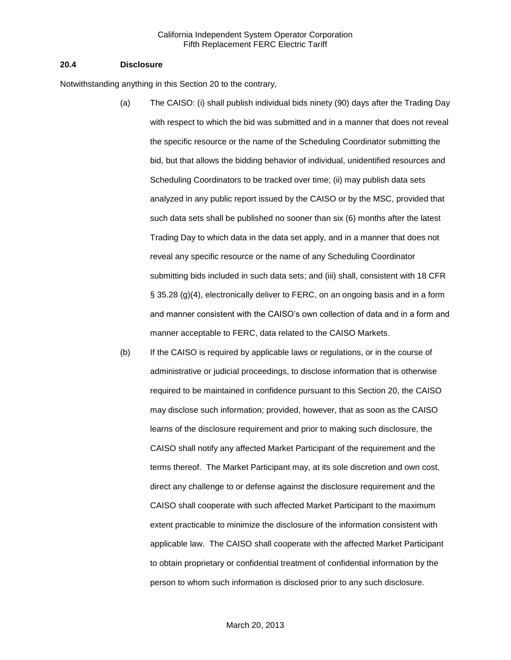### **20.4 Disclosure**

Notwithstanding anything in this Section 20 to the contrary,

- (a) The CAISO: (i) shall publish individual bids ninety (90) days after the Trading Day with respect to which the bid was submitted and in a manner that does not reveal the specific resource or the name of the Scheduling Coordinator submitting the bid, but that allows the bidding behavior of individual, unidentified resources and Scheduling Coordinators to be tracked over time; (ii) may publish data sets analyzed in any public report issued by the CAISO or by the MSC, provided that such data sets shall be published no sooner than six (6) months after the latest Trading Day to which data in the data set apply, and in a manner that does not reveal any specific resource or the name of any Scheduling Coordinator submitting bids included in such data sets; and (iii) shall, consistent with 18 CFR § 35.28 (g)(4), electronically deliver to FERC, on an ongoing basis and in a form and manner consistent with the CAISO's own collection of data and in a form and manner acceptable to FERC, data related to the CAISO Markets.
- (b) If the CAISO is required by applicable laws or regulations, or in the course of administrative or judicial proceedings, to disclose information that is otherwise required to be maintained in confidence pursuant to this Section 20, the CAISO may disclose such information; provided, however, that as soon as the CAISO learns of the disclosure requirement and prior to making such disclosure, the CAISO shall notify any affected Market Participant of the requirement and the terms thereof. The Market Participant may, at its sole discretion and own cost, direct any challenge to or defense against the disclosure requirement and the CAISO shall cooperate with such affected Market Participant to the maximum extent practicable to minimize the disclosure of the information consistent with applicable law. The CAISO shall cooperate with the affected Market Participant to obtain proprietary or confidential treatment of confidential information by the person to whom such information is disclosed prior to any such disclosure.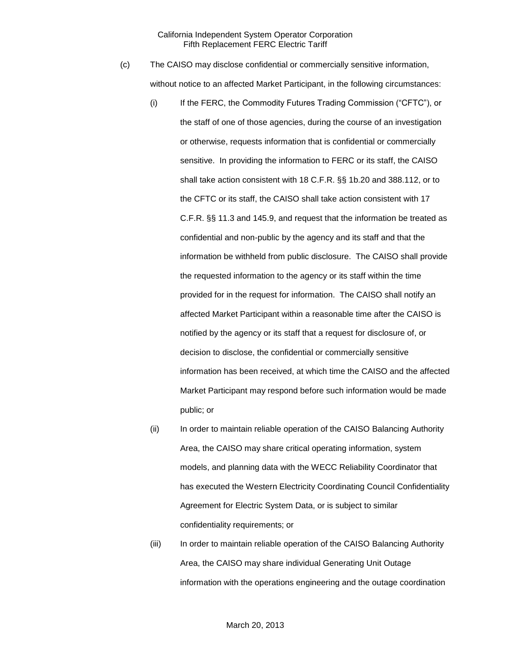- (c) The CAISO may disclose confidential or commercially sensitive information, without notice to an affected Market Participant, in the following circumstances:
	- (i) If the FERC, the Commodity Futures Trading Commission ("CFTC"), or the staff of one of those agencies, during the course of an investigation or otherwise, requests information that is confidential or commercially sensitive. In providing the information to FERC or its staff, the CAISO shall take action consistent with 18 C.F.R. §§ 1b.20 and 388.112, or to the CFTC or its staff, the CAISO shall take action consistent with 17 C.F.R. §§ 11.3 and 145.9, and request that the information be treated as confidential and non-public by the agency and its staff and that the information be withheld from public disclosure. The CAISO shall provide the requested information to the agency or its staff within the time provided for in the request for information. The CAISO shall notify an affected Market Participant within a reasonable time after the CAISO is notified by the agency or its staff that a request for disclosure of, or decision to disclose, the confidential or commercially sensitive information has been received, at which time the CAISO and the affected Market Participant may respond before such information would be made public; or
	- (ii) In order to maintain reliable operation of the CAISO Balancing Authority Area, the CAISO may share critical operating information, system models, and planning data with the WECC Reliability Coordinator that has executed the Western Electricity Coordinating Council Confidentiality Agreement for Electric System Data, or is subject to similar confidentiality requirements; or
	- (iii) In order to maintain reliable operation of the CAISO Balancing Authority Area, the CAISO may share individual Generating Unit Outage information with the operations engineering and the outage coordination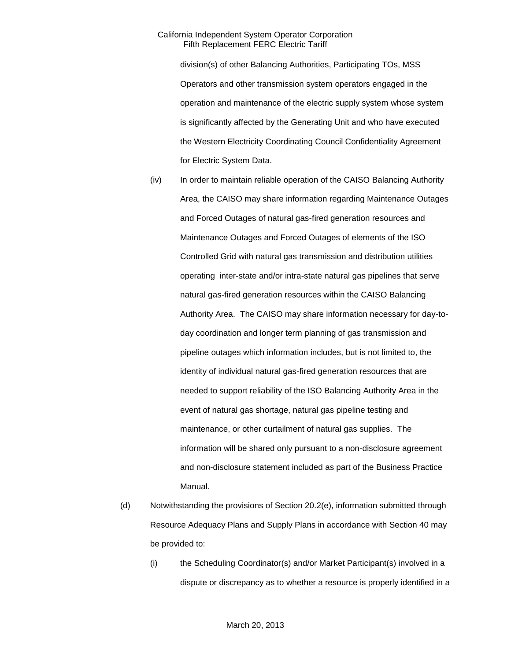division(s) of other Balancing Authorities, Participating TOs, MSS Operators and other transmission system operators engaged in the operation and maintenance of the electric supply system whose system is significantly affected by the Generating Unit and who have executed the Western Electricity Coordinating Council Confidentiality Agreement for Electric System Data.

- (iv) In order to maintain reliable operation of the CAISO Balancing Authority Area, the CAISO may share information regarding Maintenance Outages and Forced Outages of natural gas-fired generation resources and Maintenance Outages and Forced Outages of elements of the ISO Controlled Grid with natural gas transmission and distribution utilities operating inter-state and/or intra-state natural gas pipelines that serve natural gas-fired generation resources within the CAISO Balancing Authority Area. The CAISO may share information necessary for day-today coordination and longer term planning of gas transmission and pipeline outages which information includes, but is not limited to, the identity of individual natural gas-fired generation resources that are needed to support reliability of the ISO Balancing Authority Area in the event of natural gas shortage, natural gas pipeline testing and maintenance, or other curtailment of natural gas supplies. The information will be shared only pursuant to a non-disclosure agreement and non-disclosure statement included as part of the Business Practice Manual.
- (d) Notwithstanding the provisions of Section 20.2(e), information submitted through Resource Adequacy Plans and Supply Plans in accordance with Section 40 may be provided to:
	- (i) the Scheduling Coordinator(s) and/or Market Participant(s) involved in a dispute or discrepancy as to whether a resource is properly identified in a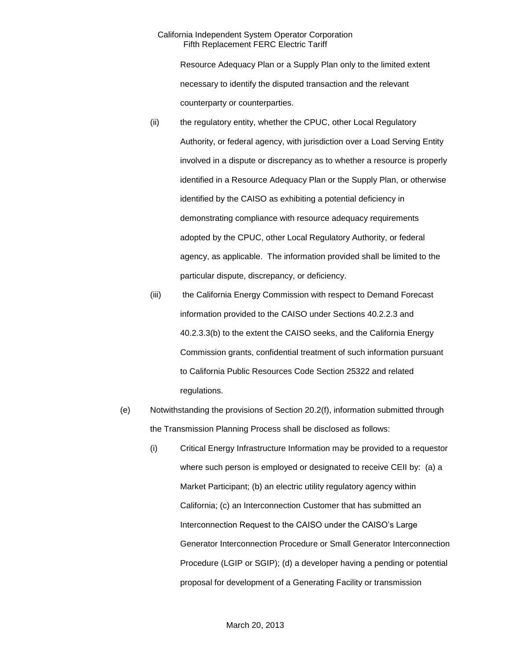Resource Adequacy Plan or a Supply Plan only to the limited extent necessary to identify the disputed transaction and the relevant counterparty or counterparties.

- (ii) the regulatory entity, whether the CPUC, other Local Regulatory Authority, or federal agency, with jurisdiction over a Load Serving Entity involved in a dispute or discrepancy as to whether a resource is properly identified in a Resource Adequacy Plan or the Supply Plan, or otherwise identified by the CAISO as exhibiting a potential deficiency in demonstrating compliance with resource adequacy requirements adopted by the CPUC, other Local Regulatory Authority, or federal agency, as applicable. The information provided shall be limited to the particular dispute, discrepancy, or deficiency.
- (iii) the California Energy Commission with respect to Demand Forecast information provided to the CAISO under Sections 40.2.2.3 and 40.2.3.3(b) to the extent the CAISO seeks, and the California Energy Commission grants, confidential treatment of such information pursuant to California Public Resources Code Section 25322 and related regulations.
- (e) Notwithstanding the provisions of Section 20.2(f), information submitted through the Transmission Planning Process shall be disclosed as follows:
	- (i) Critical Energy Infrastructure Information may be provided to a requestor where such person is employed or designated to receive CEII by: (a) a Market Participant; (b) an electric utility regulatory agency within California; (c) an Interconnection Customer that has submitted an Interconnection Request to the CAISO under the CAISO's Large Generator Interconnection Procedure or Small Generator Interconnection Procedure (LGIP or SGIP); (d) a developer having a pending or potential proposal for development of a Generating Facility or transmission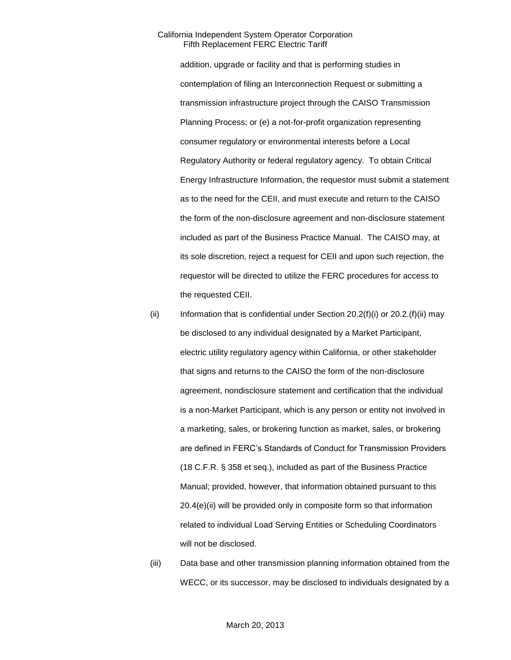addition, upgrade or facility and that is performing studies in contemplation of filing an Interconnection Request or submitting a transmission infrastructure project through the CAISO Transmission Planning Process; or (e) a not-for-profit organization representing consumer regulatory or environmental interests before a Local Regulatory Authority or federal regulatory agency. To obtain Critical Energy Infrastructure Information, the requestor must submit a statement as to the need for the CEII, and must execute and return to the CAISO the form of the non-disclosure agreement and non-disclosure statement included as part of the Business Practice Manual. The CAISO may, at its sole discretion, reject a request for CEII and upon such rejection, the requestor will be directed to utilize the FERC procedures for access to the requested CEII.

- (ii) Information that is confidential under Section  $20.2(f)(i)$  or  $20.2(f)(ii)$  may be disclosed to any individual designated by a Market Participant, electric utility regulatory agency within California, or other stakeholder that signs and returns to the CAISO the form of the non-disclosure agreement, nondisclosure statement and certification that the individual is a non-Market Participant, which is any person or entity not involved in a marketing, sales, or brokering function as market, sales, or brokering are defined in FERC's Standards of Conduct for Transmission Providers (18 C.F.R. § 358 et seq.), included as part of the Business Practice Manual; provided, however, that information obtained pursuant to this 20.4(e)(ii) will be provided only in composite form so that information related to individual Load Serving Entities or Scheduling Coordinators will not be disclosed.
- (iii) Data base and other transmission planning information obtained from the WECC, or its successor, may be disclosed to individuals designated by a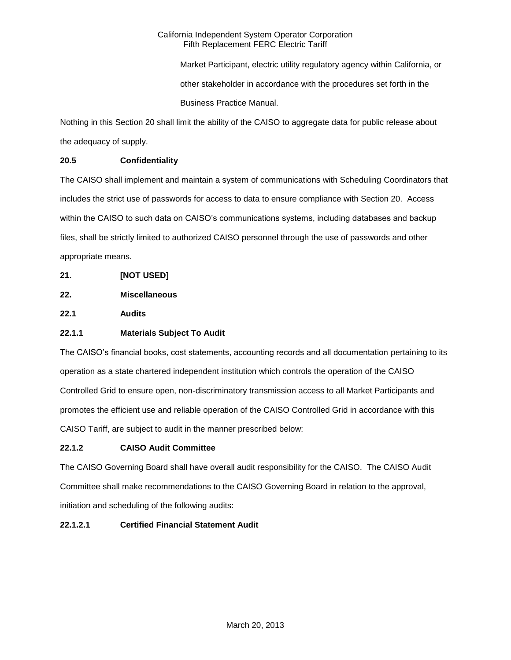Market Participant, electric utility regulatory agency within California, or other stakeholder in accordance with the procedures set forth in the Business Practice Manual.

Nothing in this Section 20 shall limit the ability of the CAISO to aggregate data for public release about the adequacy of supply.

# **20.5 Confidentiality**

The CAISO shall implement and maintain a system of communications with Scheduling Coordinators that includes the strict use of passwords for access to data to ensure compliance with Section 20. Access within the CAISO to such data on CAISO's communications systems, including databases and backup files, shall be strictly limited to authorized CAISO personnel through the use of passwords and other appropriate means.

- **21. [NOT USED]**
- **22. Miscellaneous**

**22.1 Audits**

# **22.1.1 Materials Subject To Audit**

The CAISO's financial books, cost statements, accounting records and all documentation pertaining to its operation as a state chartered independent institution which controls the operation of the CAISO Controlled Grid to ensure open, non-discriminatory transmission access to all Market Participants and promotes the efficient use and reliable operation of the CAISO Controlled Grid in accordance with this CAISO Tariff, are subject to audit in the manner prescribed below:

# **22.1.2 CAISO Audit Committee**

The CAISO Governing Board shall have overall audit responsibility for the CAISO. The CAISO Audit Committee shall make recommendations to the CAISO Governing Board in relation to the approval, initiation and scheduling of the following audits:

# **22.1.2.1 Certified Financial Statement Audit**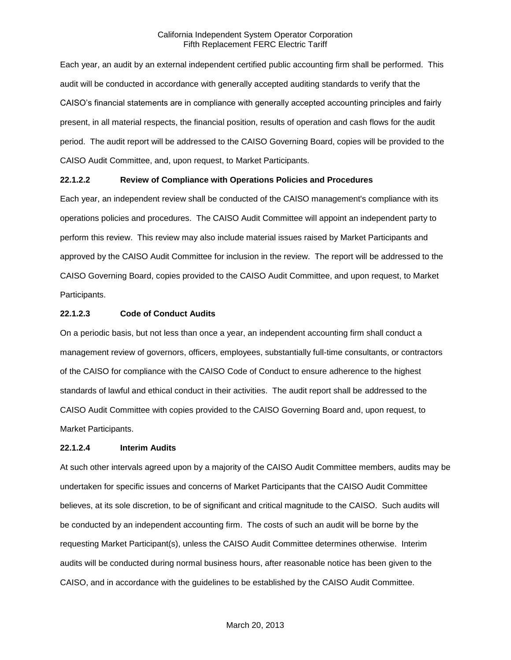Each year, an audit by an external independent certified public accounting firm shall be performed. This audit will be conducted in accordance with generally accepted auditing standards to verify that the CAISO's financial statements are in compliance with generally accepted accounting principles and fairly present, in all material respects, the financial position, results of operation and cash flows for the audit period. The audit report will be addressed to the CAISO Governing Board, copies will be provided to the CAISO Audit Committee, and, upon request, to Market Participants.

## **22.1.2.2 Review of Compliance with Operations Policies and Procedures**

Each year, an independent review shall be conducted of the CAISO management's compliance with its operations policies and procedures. The CAISO Audit Committee will appoint an independent party to perform this review. This review may also include material issues raised by Market Participants and approved by the CAISO Audit Committee for inclusion in the review. The report will be addressed to the CAISO Governing Board, copies provided to the CAISO Audit Committee, and upon request, to Market Participants.

### **22.1.2.3 Code of Conduct Audits**

On a periodic basis, but not less than once a year, an independent accounting firm shall conduct a management review of governors, officers, employees, substantially full-time consultants, or contractors of the CAISO for compliance with the CAISO Code of Conduct to ensure adherence to the highest standards of lawful and ethical conduct in their activities. The audit report shall be addressed to the CAISO Audit Committee with copies provided to the CAISO Governing Board and, upon request, to Market Participants.

### **22.1.2.4 Interim Audits**

At such other intervals agreed upon by a majority of the CAISO Audit Committee members, audits may be undertaken for specific issues and concerns of Market Participants that the CAISO Audit Committee believes, at its sole discretion, to be of significant and critical magnitude to the CAISO. Such audits will be conducted by an independent accounting firm. The costs of such an audit will be borne by the requesting Market Participant(s), unless the CAISO Audit Committee determines otherwise. Interim audits will be conducted during normal business hours, after reasonable notice has been given to the CAISO, and in accordance with the guidelines to be established by the CAISO Audit Committee.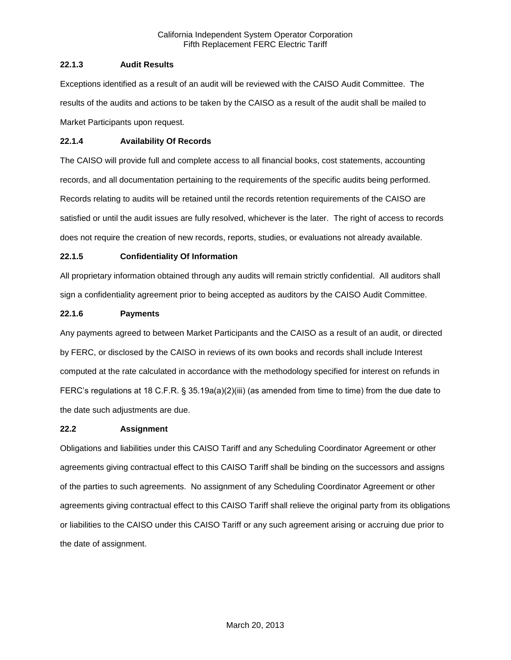# **22.1.3 Audit Results**

Exceptions identified as a result of an audit will be reviewed with the CAISO Audit Committee. The results of the audits and actions to be taken by the CAISO as a result of the audit shall be mailed to Market Participants upon request.

# **22.1.4 Availability Of Records**

The CAISO will provide full and complete access to all financial books, cost statements, accounting records, and all documentation pertaining to the requirements of the specific audits being performed. Records relating to audits will be retained until the records retention requirements of the CAISO are satisfied or until the audit issues are fully resolved, whichever is the later. The right of access to records does not require the creation of new records, reports, studies, or evaluations not already available.

# **22.1.5 Confidentiality Of Information**

All proprietary information obtained through any audits will remain strictly confidential. All auditors shall sign a confidentiality agreement prior to being accepted as auditors by the CAISO Audit Committee.

# **22.1.6 Payments**

Any payments agreed to between Market Participants and the CAISO as a result of an audit, or directed by FERC, or disclosed by the CAISO in reviews of its own books and records shall include Interest computed at the rate calculated in accordance with the methodology specified for interest on refunds in FERC's regulations at 18 C.F.R. § 35.19a(a)(2)(iii) (as amended from time to time) from the due date to the date such adjustments are due.

## **22.2 Assignment**

Obligations and liabilities under this CAISO Tariff and any Scheduling Coordinator Agreement or other agreements giving contractual effect to this CAISO Tariff shall be binding on the successors and assigns of the parties to such agreements. No assignment of any Scheduling Coordinator Agreement or other agreements giving contractual effect to this CAISO Tariff shall relieve the original party from its obligations or liabilities to the CAISO under this CAISO Tariff or any such agreement arising or accruing due prior to the date of assignment.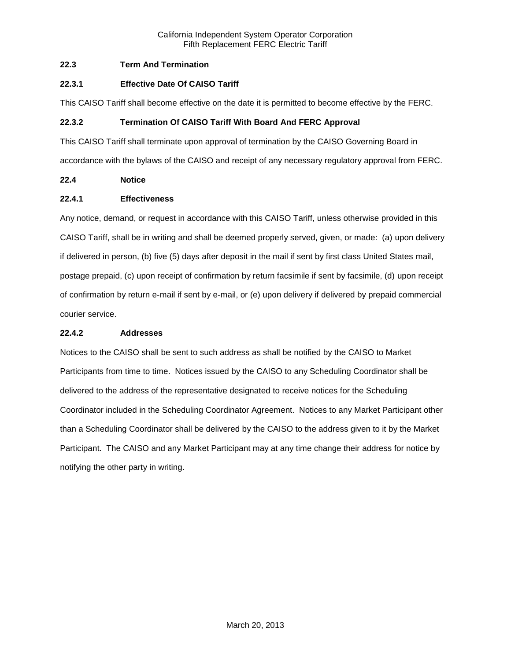# **22.3 Term And Termination**

# **22.3.1 Effective Date Of CAISO Tariff**

This CAISO Tariff shall become effective on the date it is permitted to become effective by the FERC.

# **22.3.2 Termination Of CAISO Tariff With Board And FERC Approval**

This CAISO Tariff shall terminate upon approval of termination by the CAISO Governing Board in accordance with the bylaws of the CAISO and receipt of any necessary regulatory approval from FERC.

# **22.4 Notice**

# **22.4.1 Effectiveness**

Any notice, demand, or request in accordance with this CAISO Tariff, unless otherwise provided in this CAISO Tariff, shall be in writing and shall be deemed properly served, given, or made: (a) upon delivery if delivered in person, (b) five (5) days after deposit in the mail if sent by first class United States mail, postage prepaid, (c) upon receipt of confirmation by return facsimile if sent by facsimile, (d) upon receipt of confirmation by return e-mail if sent by e-mail, or (e) upon delivery if delivered by prepaid commercial courier service.

## **22.4.2 Addresses**

Notices to the CAISO shall be sent to such address as shall be notified by the CAISO to Market Participants from time to time. Notices issued by the CAISO to any Scheduling Coordinator shall be delivered to the address of the representative designated to receive notices for the Scheduling Coordinator included in the Scheduling Coordinator Agreement. Notices to any Market Participant other than a Scheduling Coordinator shall be delivered by the CAISO to the address given to it by the Market Participant. The CAISO and any Market Participant may at any time change their address for notice by notifying the other party in writing.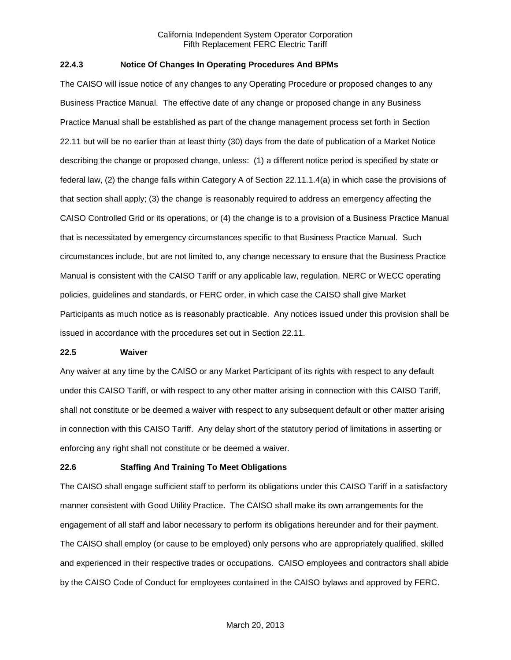## **22.4.3 Notice Of Changes In Operating Procedures And BPMs**

The CAISO will issue notice of any changes to any Operating Procedure or proposed changes to any Business Practice Manual. The effective date of any change or proposed change in any Business Practice Manual shall be established as part of the change management process set forth in Section 22.11 but will be no earlier than at least thirty (30) days from the date of publication of a Market Notice describing the change or proposed change, unless: (1) a different notice period is specified by state or federal law, (2) the change falls within Category A of Section 22.11.1.4(a) in which case the provisions of that section shall apply; (3) the change is reasonably required to address an emergency affecting the CAISO Controlled Grid or its operations, or (4) the change is to a provision of a Business Practice Manual that is necessitated by emergency circumstances specific to that Business Practice Manual. Such circumstances include, but are not limited to, any change necessary to ensure that the Business Practice Manual is consistent with the CAISO Tariff or any applicable law, regulation, NERC or WECC operating policies, guidelines and standards, or FERC order, in which case the CAISO shall give Market Participants as much notice as is reasonably practicable. Any notices issued under this provision shall be issued in accordance with the procedures set out in Section 22.11.

#### **22.5 Waiver**

Any waiver at any time by the CAISO or any Market Participant of its rights with respect to any default under this CAISO Tariff, or with respect to any other matter arising in connection with this CAISO Tariff, shall not constitute or be deemed a waiver with respect to any subsequent default or other matter arising in connection with this CAISO Tariff. Any delay short of the statutory period of limitations in asserting or enforcing any right shall not constitute or be deemed a waiver.

## **22.6 Staffing And Training To Meet Obligations**

The CAISO shall engage sufficient staff to perform its obligations under this CAISO Tariff in a satisfactory manner consistent with Good Utility Practice. The CAISO shall make its own arrangements for the engagement of all staff and labor necessary to perform its obligations hereunder and for their payment. The CAISO shall employ (or cause to be employed) only persons who are appropriately qualified, skilled and experienced in their respective trades or occupations. CAISO employees and contractors shall abide by the CAISO Code of Conduct for employees contained in the CAISO bylaws and approved by FERC.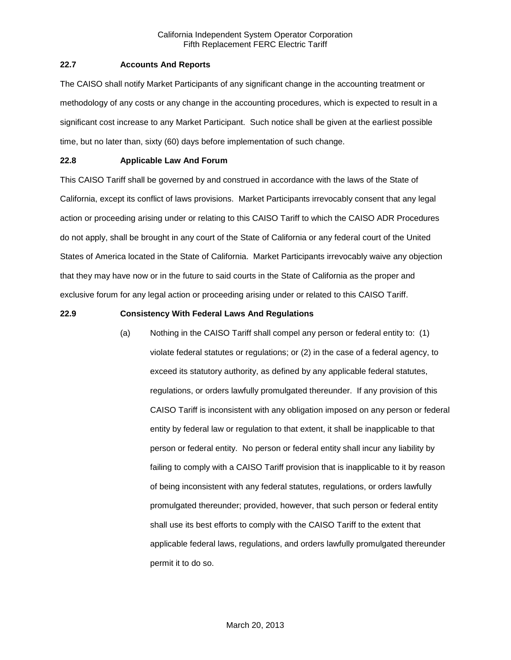# **22.7 Accounts And Reports**

The CAISO shall notify Market Participants of any significant change in the accounting treatment or methodology of any costs or any change in the accounting procedures, which is expected to result in a significant cost increase to any Market Participant. Such notice shall be given at the earliest possible time, but no later than, sixty (60) days before implementation of such change.

# **22.8 Applicable Law And Forum**

This CAISO Tariff shall be governed by and construed in accordance with the laws of the State of California, except its conflict of laws provisions. Market Participants irrevocably consent that any legal action or proceeding arising under or relating to this CAISO Tariff to which the CAISO ADR Procedures do not apply, shall be brought in any court of the State of California or any federal court of the United States of America located in the State of California. Market Participants irrevocably waive any objection that they may have now or in the future to said courts in the State of California as the proper and exclusive forum for any legal action or proceeding arising under or related to this CAISO Tariff.

# **22.9 Consistency With Federal Laws And Regulations**

(a) Nothing in the CAISO Tariff shall compel any person or federal entity to: (1) violate federal statutes or regulations; or (2) in the case of a federal agency, to exceed its statutory authority, as defined by any applicable federal statutes, regulations, or orders lawfully promulgated thereunder. If any provision of this CAISO Tariff is inconsistent with any obligation imposed on any person or federal entity by federal law or regulation to that extent, it shall be inapplicable to that person or federal entity. No person or federal entity shall incur any liability by failing to comply with a CAISO Tariff provision that is inapplicable to it by reason of being inconsistent with any federal statutes, regulations, or orders lawfully promulgated thereunder; provided, however, that such person or federal entity shall use its best efforts to comply with the CAISO Tariff to the extent that applicable federal laws, regulations, and orders lawfully promulgated thereunder permit it to do so.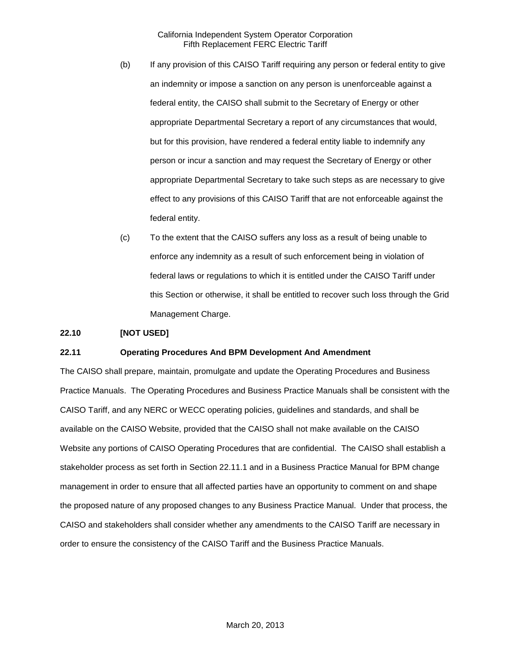- (b) If any provision of this CAISO Tariff requiring any person or federal entity to give an indemnity or impose a sanction on any person is unenforceable against a federal entity, the CAISO shall submit to the Secretary of Energy or other appropriate Departmental Secretary a report of any circumstances that would, but for this provision, have rendered a federal entity liable to indemnify any person or incur a sanction and may request the Secretary of Energy or other appropriate Departmental Secretary to take such steps as are necessary to give effect to any provisions of this CAISO Tariff that are not enforceable against the federal entity.
- (c) To the extent that the CAISO suffers any loss as a result of being unable to enforce any indemnity as a result of such enforcement being in violation of federal laws or regulations to which it is entitled under the CAISO Tariff under this Section or otherwise, it shall be entitled to recover such loss through the Grid Management Charge.

## **22.10 [NOT USED]**

## **22.11 Operating Procedures And BPM Development And Amendment**

The CAISO shall prepare, maintain, promulgate and update the Operating Procedures and Business Practice Manuals. The Operating Procedures and Business Practice Manuals shall be consistent with the CAISO Tariff, and any NERC or WECC operating policies, guidelines and standards, and shall be available on the CAISO Website, provided that the CAISO shall not make available on the CAISO Website any portions of CAISO Operating Procedures that are confidential. The CAISO shall establish a stakeholder process as set forth in Section 22.11.1 and in a Business Practice Manual for BPM change management in order to ensure that all affected parties have an opportunity to comment on and shape the proposed nature of any proposed changes to any Business Practice Manual. Under that process, the CAISO and stakeholders shall consider whether any amendments to the CAISO Tariff are necessary in order to ensure the consistency of the CAISO Tariff and the Business Practice Manuals.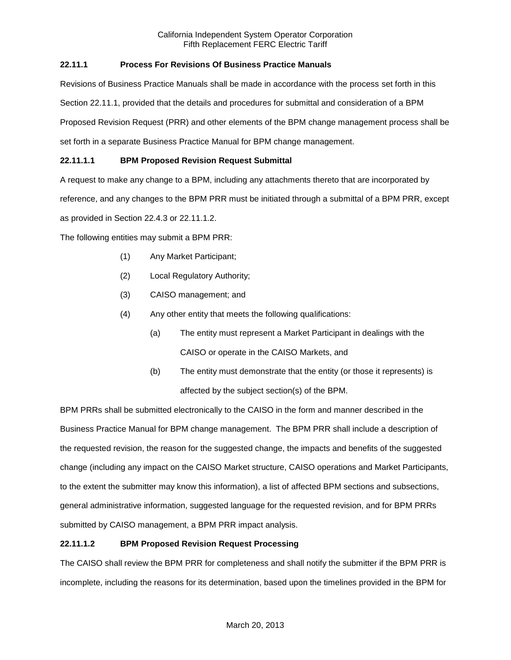# **22.11.1 Process For Revisions Of Business Practice Manuals**

Revisions of Business Practice Manuals shall be made in accordance with the process set forth in this Section 22.11.1, provided that the details and procedures for submittal and consideration of a BPM Proposed Revision Request (PRR) and other elements of the BPM change management process shall be set forth in a separate Business Practice Manual for BPM change management.

# **22.11.1.1 BPM Proposed Revision Request Submittal**

A request to make any change to a BPM, including any attachments thereto that are incorporated by

reference, and any changes to the BPM PRR must be initiated through a submittal of a BPM PRR, except

as provided in Section 22.4.3 or 22.11.1.2.

The following entities may submit a BPM PRR:

- (1) Any Market Participant;
- (2) Local Regulatory Authority;
- (3) CAISO management; and
- (4) Any other entity that meets the following qualifications:
	- (a) The entity must represent a Market Participant in dealings with the CAISO or operate in the CAISO Markets, and
	- (b) The entity must demonstrate that the entity (or those it represents) is affected by the subject section(s) of the BPM.

BPM PRRs shall be submitted electronically to the CAISO in the form and manner described in the Business Practice Manual for BPM change management. The BPM PRR shall include a description of the requested revision, the reason for the suggested change, the impacts and benefits of the suggested change (including any impact on the CAISO Market structure, CAISO operations and Market Participants, to the extent the submitter may know this information), a list of affected BPM sections and subsections, general administrative information, suggested language for the requested revision, and for BPM PRRs submitted by CAISO management, a BPM PRR impact analysis.

# **22.11.1.2 BPM Proposed Revision Request Processing**

The CAISO shall review the BPM PRR for completeness and shall notify the submitter if the BPM PRR is incomplete, including the reasons for its determination, based upon the timelines provided in the BPM for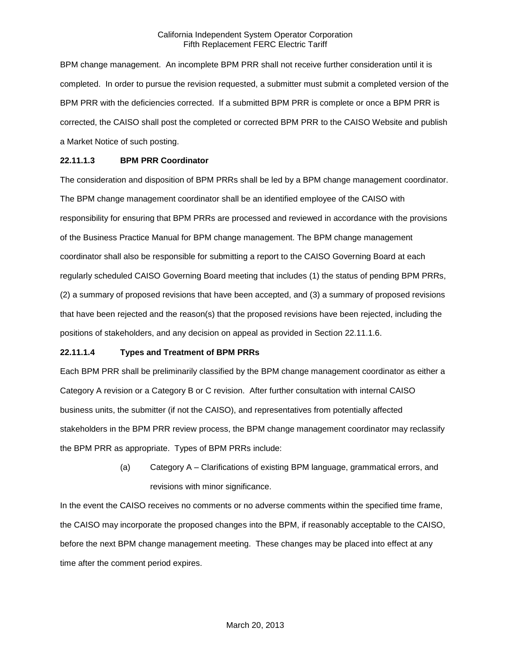BPM change management. An incomplete BPM PRR shall not receive further consideration until it is completed. In order to pursue the revision requested, a submitter must submit a completed version of the BPM PRR with the deficiencies corrected. If a submitted BPM PRR is complete or once a BPM PRR is corrected, the CAISO shall post the completed or corrected BPM PRR to the CAISO Website and publish a Market Notice of such posting.

# **22.11.1.3 BPM PRR Coordinator**

The consideration and disposition of BPM PRRs shall be led by a BPM change management coordinator. The BPM change management coordinator shall be an identified employee of the CAISO with responsibility for ensuring that BPM PRRs are processed and reviewed in accordance with the provisions of the Business Practice Manual for BPM change management. The BPM change management coordinator shall also be responsible for submitting a report to the CAISO Governing Board at each regularly scheduled CAISO Governing Board meeting that includes (1) the status of pending BPM PRRs, (2) a summary of proposed revisions that have been accepted, and (3) a summary of proposed revisions that have been rejected and the reason(s) that the proposed revisions have been rejected, including the positions of stakeholders, and any decision on appeal as provided in Section 22.11.1.6.

## **22.11.1.4 Types and Treatment of BPM PRRs**

Each BPM PRR shall be preliminarily classified by the BPM change management coordinator as either a Category A revision or a Category B or C revision. After further consultation with internal CAISO business units, the submitter (if not the CAISO), and representatives from potentially affected stakeholders in the BPM PRR review process, the BPM change management coordinator may reclassify the BPM PRR as appropriate. Types of BPM PRRs include:

> (a) Category A – Clarifications of existing BPM language, grammatical errors, and revisions with minor significance.

In the event the CAISO receives no comments or no adverse comments within the specified time frame, the CAISO may incorporate the proposed changes into the BPM, if reasonably acceptable to the CAISO, before the next BPM change management meeting. These changes may be placed into effect at any time after the comment period expires.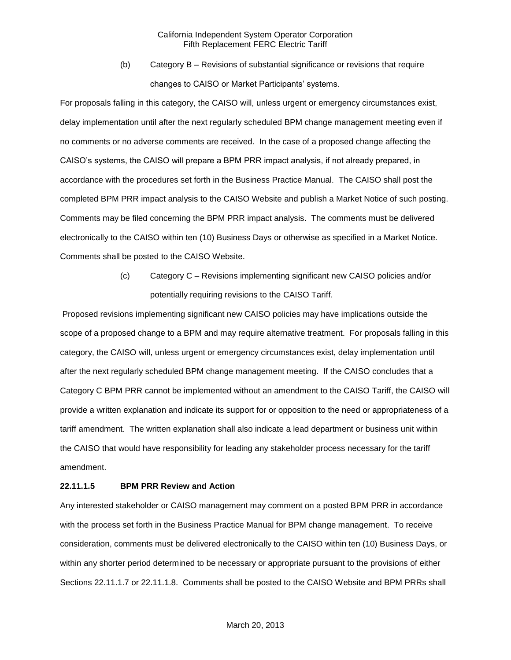(b) Category B – Revisions of substantial significance or revisions that require changes to CAISO or Market Participants' systems.

For proposals falling in this category, the CAISO will, unless urgent or emergency circumstances exist, delay implementation until after the next regularly scheduled BPM change management meeting even if no comments or no adverse comments are received. In the case of a proposed change affecting the CAISO's systems, the CAISO will prepare a BPM PRR impact analysis, if not already prepared, in accordance with the procedures set forth in the Business Practice Manual. The CAISO shall post the completed BPM PRR impact analysis to the CAISO Website and publish a Market Notice of such posting. Comments may be filed concerning the BPM PRR impact analysis. The comments must be delivered electronically to the CAISO within ten (10) Business Days or otherwise as specified in a Market Notice. Comments shall be posted to the CAISO Website.

> (c) Category C – Revisions implementing significant new CAISO policies and/or potentially requiring revisions to the CAISO Tariff.

Proposed revisions implementing significant new CAISO policies may have implications outside the scope of a proposed change to a BPM and may require alternative treatment. For proposals falling in this category, the CAISO will, unless urgent or emergency circumstances exist, delay implementation until after the next regularly scheduled BPM change management meeting. If the CAISO concludes that a Category C BPM PRR cannot be implemented without an amendment to the CAISO Tariff, the CAISO will provide a written explanation and indicate its support for or opposition to the need or appropriateness of a tariff amendment. The written explanation shall also indicate a lead department or business unit within the CAISO that would have responsibility for leading any stakeholder process necessary for the tariff amendment.

## **22.11.1.5 BPM PRR Review and Action**

Any interested stakeholder or CAISO management may comment on a posted BPM PRR in accordance with the process set forth in the Business Practice Manual for BPM change management. To receive consideration, comments must be delivered electronically to the CAISO within ten (10) Business Days, or within any shorter period determined to be necessary or appropriate pursuant to the provisions of either Sections 22.11.1.7 or 22.11.1.8. Comments shall be posted to the CAISO Website and BPM PRRs shall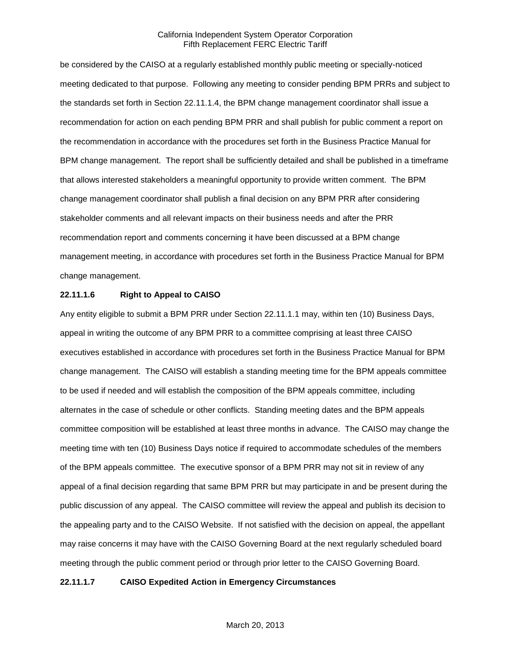be considered by the CAISO at a regularly established monthly public meeting or specially-noticed meeting dedicated to that purpose. Following any meeting to consider pending BPM PRRs and subject to the standards set forth in Section 22.11.1.4, the BPM change management coordinator shall issue a recommendation for action on each pending BPM PRR and shall publish for public comment a report on the recommendation in accordance with the procedures set forth in the Business Practice Manual for BPM change management. The report shall be sufficiently detailed and shall be published in a timeframe that allows interested stakeholders a meaningful opportunity to provide written comment. The BPM change management coordinator shall publish a final decision on any BPM PRR after considering stakeholder comments and all relevant impacts on their business needs and after the PRR recommendation report and comments concerning it have been discussed at a BPM change management meeting, in accordance with procedures set forth in the Business Practice Manual for BPM change management.

## **22.11.1.6 Right to Appeal to CAISO**

Any entity eligible to submit a BPM PRR under Section 22.11.1.1 may, within ten (10) Business Days, appeal in writing the outcome of any BPM PRR to a committee comprising at least three CAISO executives established in accordance with procedures set forth in the Business Practice Manual for BPM change management. The CAISO will establish a standing meeting time for the BPM appeals committee to be used if needed and will establish the composition of the BPM appeals committee, including alternates in the case of schedule or other conflicts. Standing meeting dates and the BPM appeals committee composition will be established at least three months in advance. The CAISO may change the meeting time with ten (10) Business Days notice if required to accommodate schedules of the members of the BPM appeals committee. The executive sponsor of a BPM PRR may not sit in review of any appeal of a final decision regarding that same BPM PRR but may participate in and be present during the public discussion of any appeal. The CAISO committee will review the appeal and publish its decision to the appealing party and to the CAISO Website. If not satisfied with the decision on appeal, the appellant may raise concerns it may have with the CAISO Governing Board at the next regularly scheduled board meeting through the public comment period or through prior letter to the CAISO Governing Board.

## **22.11.1.7 CAISO Expedited Action in Emergency Circumstances**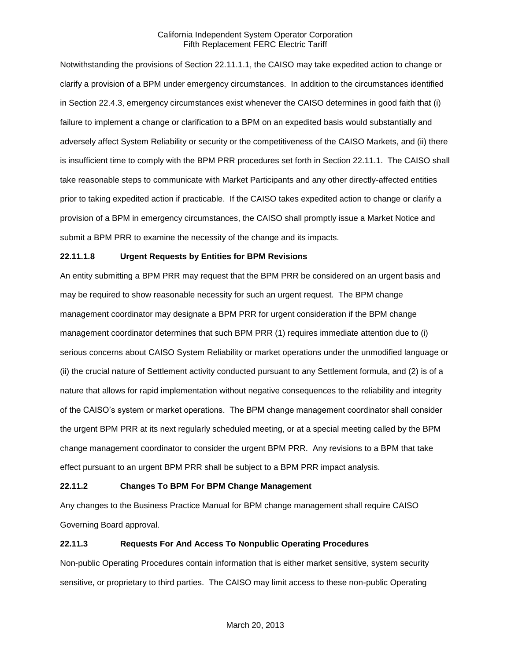Notwithstanding the provisions of Section 22.11.1.1, the CAISO may take expedited action to change or clarify a provision of a BPM under emergency circumstances. In addition to the circumstances identified in Section 22.4.3, emergency circumstances exist whenever the CAISO determines in good faith that (i) failure to implement a change or clarification to a BPM on an expedited basis would substantially and adversely affect System Reliability or security or the competitiveness of the CAISO Markets, and (ii) there is insufficient time to comply with the BPM PRR procedures set forth in Section 22.11.1. The CAISO shall take reasonable steps to communicate with Market Participants and any other directly-affected entities prior to taking expedited action if practicable. If the CAISO takes expedited action to change or clarify a provision of a BPM in emergency circumstances, the CAISO shall promptly issue a Market Notice and submit a BPM PRR to examine the necessity of the change and its impacts.

# **22.11.1.8 Urgent Requests by Entities for BPM Revisions**

An entity submitting a BPM PRR may request that the BPM PRR be considered on an urgent basis and may be required to show reasonable necessity for such an urgent request. The BPM change management coordinator may designate a BPM PRR for urgent consideration if the BPM change management coordinator determines that such BPM PRR (1) requires immediate attention due to (i) serious concerns about CAISO System Reliability or market operations under the unmodified language or (ii) the crucial nature of Settlement activity conducted pursuant to any Settlement formula, and (2) is of a nature that allows for rapid implementation without negative consequences to the reliability and integrity of the CAISO's system or market operations. The BPM change management coordinator shall consider the urgent BPM PRR at its next regularly scheduled meeting, or at a special meeting called by the BPM change management coordinator to consider the urgent BPM PRR. Any revisions to a BPM that take effect pursuant to an urgent BPM PRR shall be subject to a BPM PRR impact analysis.

## **22.11.2 Changes To BPM For BPM Change Management**

Any changes to the Business Practice Manual for BPM change management shall require CAISO Governing Board approval.

## **22.11.3 Requests For And Access To Nonpublic Operating Procedures**

Non-public Operating Procedures contain information that is either market sensitive, system security sensitive, or proprietary to third parties. The CAISO may limit access to these non-public Operating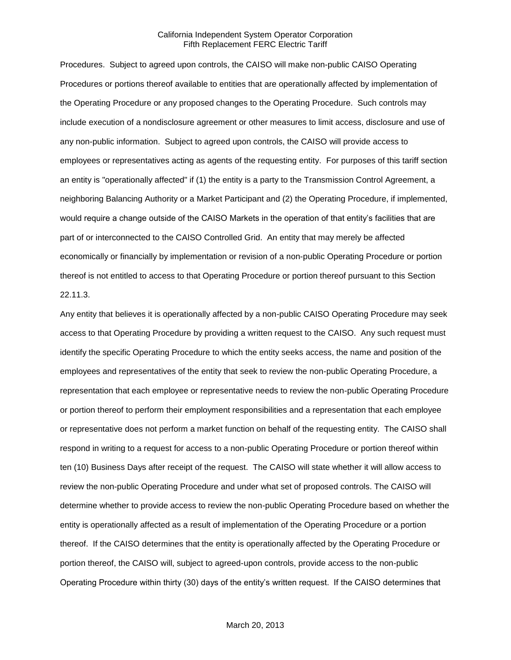Procedures. Subject to agreed upon controls, the CAISO will make non-public CAISO Operating Procedures or portions thereof available to entities that are operationally affected by implementation of the Operating Procedure or any proposed changes to the Operating Procedure. Such controls may include execution of a nondisclosure agreement or other measures to limit access, disclosure and use of any non-public information. Subject to agreed upon controls, the CAISO will provide access to employees or representatives acting as agents of the requesting entity. For purposes of this tariff section an entity is "operationally affected" if (1) the entity is a party to the Transmission Control Agreement, a neighboring Balancing Authority or a Market Participant and (2) the Operating Procedure, if implemented, would require a change outside of the CAISO Markets in the operation of that entity's facilities that are part of or interconnected to the CAISO Controlled Grid. An entity that may merely be affected economically or financially by implementation or revision of a non-public Operating Procedure or portion thereof is not entitled to access to that Operating Procedure or portion thereof pursuant to this Section 22.11.3.

Any entity that believes it is operationally affected by a non-public CAISO Operating Procedure may seek access to that Operating Procedure by providing a written request to the CAISO. Any such request must identify the specific Operating Procedure to which the entity seeks access, the name and position of the employees and representatives of the entity that seek to review the non-public Operating Procedure, a representation that each employee or representative needs to review the non-public Operating Procedure or portion thereof to perform their employment responsibilities and a representation that each employee or representative does not perform a market function on behalf of the requesting entity. The CAISO shall respond in writing to a request for access to a non-public Operating Procedure or portion thereof within ten (10) Business Days after receipt of the request. The CAISO will state whether it will allow access to review the non-public Operating Procedure and under what set of proposed controls. The CAISO will determine whether to provide access to review the non-public Operating Procedure based on whether the entity is operationally affected as a result of implementation of the Operating Procedure or a portion thereof. If the CAISO determines that the entity is operationally affected by the Operating Procedure or portion thereof, the CAISO will, subject to agreed-upon controls, provide access to the non-public Operating Procedure within thirty (30) days of the entity's written request. If the CAISO determines that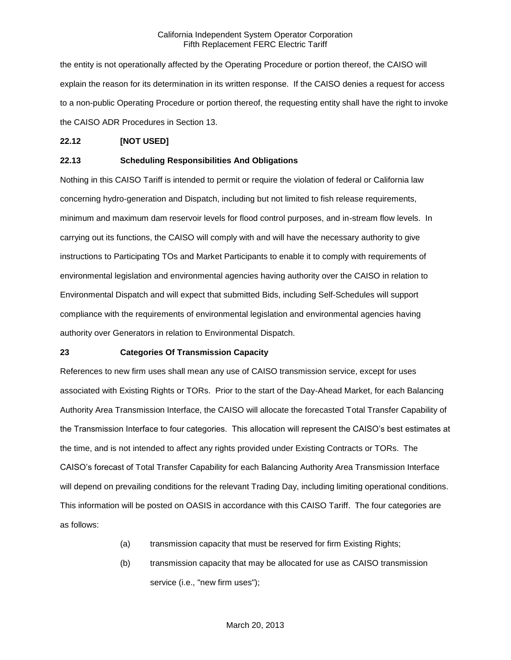the entity is not operationally affected by the Operating Procedure or portion thereof, the CAISO will explain the reason for its determination in its written response. If the CAISO denies a request for access to a non-public Operating Procedure or portion thereof, the requesting entity shall have the right to invoke the CAISO ADR Procedures in Section 13.

## **22.12 [NOT USED]**

# **22.13 Scheduling Responsibilities And Obligations**

Nothing in this CAISO Tariff is intended to permit or require the violation of federal or California law concerning hydro-generation and Dispatch, including but not limited to fish release requirements, minimum and maximum dam reservoir levels for flood control purposes, and in-stream flow levels. In carrying out its functions, the CAISO will comply with and will have the necessary authority to give instructions to Participating TOs and Market Participants to enable it to comply with requirements of environmental legislation and environmental agencies having authority over the CAISO in relation to Environmental Dispatch and will expect that submitted Bids, including Self-Schedules will support compliance with the requirements of environmental legislation and environmental agencies having authority over Generators in relation to Environmental Dispatch.

## **23 Categories Of Transmission Capacity**

References to new firm uses shall mean any use of CAISO transmission service, except for uses associated with Existing Rights or TORs. Prior to the start of the Day-Ahead Market, for each Balancing Authority Area Transmission Interface, the CAISO will allocate the forecasted Total Transfer Capability of the Transmission Interface to four categories. This allocation will represent the CAISO's best estimates at the time, and is not intended to affect any rights provided under Existing Contracts or TORs. The CAISO's forecast of Total Transfer Capability for each Balancing Authority Area Transmission Interface will depend on prevailing conditions for the relevant Trading Day, including limiting operational conditions. This information will be posted on OASIS in accordance with this CAISO Tariff. The four categories are as follows:

- (a) transmission capacity that must be reserved for firm Existing Rights;
- (b) transmission capacity that may be allocated for use as CAISO transmission service (i.e., "new firm uses");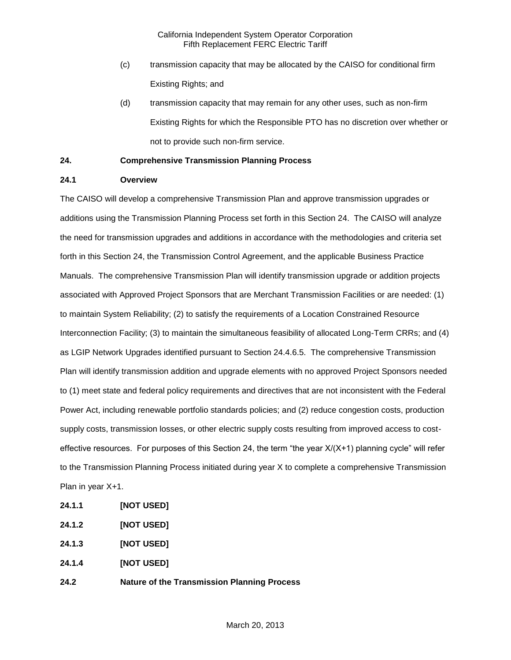- (c) transmission capacity that may be allocated by the CAISO for conditional firm Existing Rights; and
- (d) transmission capacity that may remain for any other uses, such as non-firm Existing Rights for which the Responsible PTO has no discretion over whether or not to provide such non-firm service.

# **24. Comprehensive Transmission Planning Process**

# **24.1 Overview**

The CAISO will develop a comprehensive Transmission Plan and approve transmission upgrades or additions using the Transmission Planning Process set forth in this Section 24. The CAISO will analyze the need for transmission upgrades and additions in accordance with the methodologies and criteria set forth in this Section 24, the Transmission Control Agreement, and the applicable Business Practice Manuals. The comprehensive Transmission Plan will identify transmission upgrade or addition projects associated with Approved Project Sponsors that are Merchant Transmission Facilities or are needed: (1) to maintain System Reliability; (2) to satisfy the requirements of a Location Constrained Resource Interconnection Facility; (3) to maintain the simultaneous feasibility of allocated Long-Term CRRs; and (4) as LGIP Network Upgrades identified pursuant to Section 24.4.6.5. The comprehensive Transmission Plan will identify transmission addition and upgrade elements with no approved Project Sponsors needed to (1) meet state and federal policy requirements and directives that are not inconsistent with the Federal Power Act, including renewable portfolio standards policies; and (2) reduce congestion costs, production supply costs, transmission losses, or other electric supply costs resulting from improved access to costeffective resources. For purposes of this Section 24, the term "the year X/(X+1) planning cycle" will refer to the Transmission Planning Process initiated during year X to complete a comprehensive Transmission Plan in year X+1.

- **24.1.1 [NOT USED]**
- **24.1.2 [NOT USED]**
- **24.1.3 [NOT USED]**
- **24.1.4 [NOT USED]**
- **24.2 Nature of the Transmission Planning Process**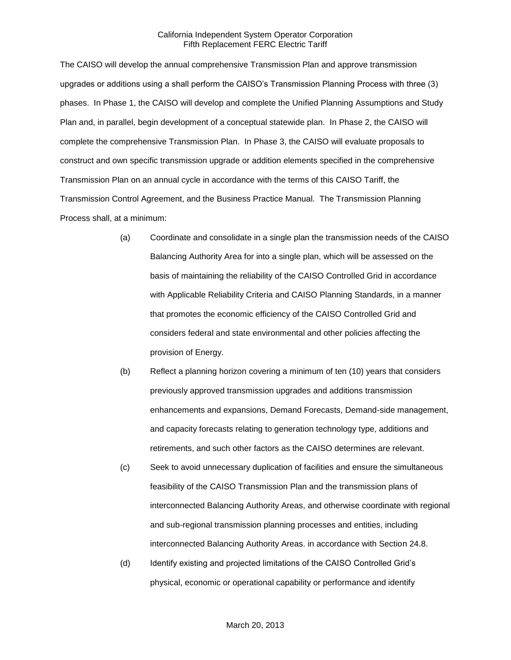The CAISO will develop the annual comprehensive Transmission Plan and approve transmission upgrades or additions using a shall perform the CAISO's Transmission Planning Process with three (3) phases. In Phase 1, the CAISO will develop and complete the Unified Planning Assumptions and Study Plan and, in parallel, begin development of a conceptual statewide plan. In Phase 2, the CAISO will complete the comprehensive Transmission Plan. In Phase 3, the CAISO will evaluate proposals to construct and own specific transmission upgrade or addition elements specified in the comprehensive Transmission Plan on an annual cycle in accordance with the terms of this CAISO Tariff, the Transmission Control Agreement, and the Business Practice Manual. The Transmission Planning Process shall, at a minimum:

- (a) Coordinate and consolidate in a single plan the transmission needs of the CAISO Balancing Authority Area for into a single plan, which will be assessed on the basis of maintaining the reliability of the CAISO Controlled Grid in accordance with Applicable Reliability Criteria and CAISO Planning Standards, in a manner that promotes the economic efficiency of the CAISO Controlled Grid and considers federal and state environmental and other policies affecting the provision of Energy.
- (b) Reflect a planning horizon covering a minimum of ten (10) years that considers previously approved transmission upgrades and additions transmission enhancements and expansions, Demand Forecasts, Demand-side management, and capacity forecasts relating to generation technology type, additions and retirements, and such other factors as the CAISO determines are relevant.
- (c) Seek to avoid unnecessary duplication of facilities and ensure the simultaneous feasibility of the CAISO Transmission Plan and the transmission plans of interconnected Balancing Authority Areas, and otherwise coordinate with regional and sub-regional transmission planning processes and entities, including interconnected Balancing Authority Areas. in accordance with Section 24.8.
- (d) Identify existing and projected limitations of the CAISO Controlled Grid's physical, economic or operational capability or performance and identify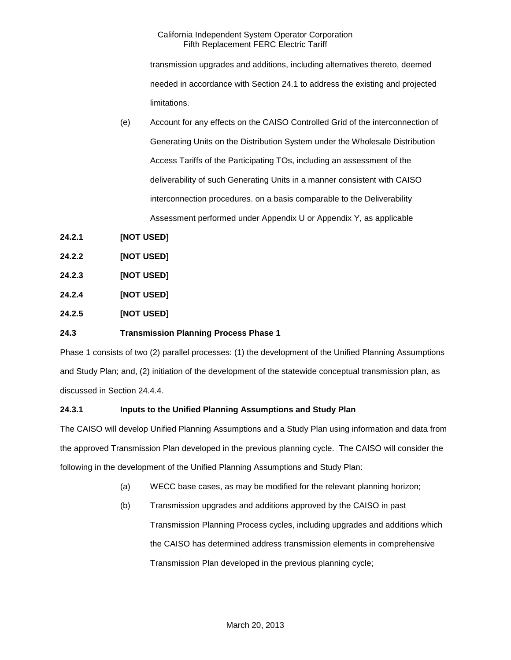transmission upgrades and additions, including alternatives thereto, deemed needed in accordance with Section 24.1 to address the existing and projected limitations.

- (e) Account for any effects on the CAISO Controlled Grid of the interconnection of Generating Units on the Distribution System under the Wholesale Distribution Access Tariffs of the Participating TOs, including an assessment of the deliverability of such Generating Units in a manner consistent with CAISO interconnection procedures. on a basis comparable to the Deliverability Assessment performed under Appendix U or Appendix Y, as applicable
- **24.2.1 [NOT USED]**
- **24.2.2 [NOT USED]**
- **24.2.3 [NOT USED]**
- **24.2.4 [NOT USED]**
- **24.2.5 [NOT USED]**

# **24.3 Transmission Planning Process Phase 1**

Phase 1 consists of two (2) parallel processes: (1) the development of the Unified Planning Assumptions and Study Plan; and, (2) initiation of the development of the statewide conceptual transmission plan, as discussed in Section 24.4.4.

# **24.3.1 Inputs to the Unified Planning Assumptions and Study Plan**

The CAISO will develop Unified Planning Assumptions and a Study Plan using information and data from the approved Transmission Plan developed in the previous planning cycle. The CAISO will consider the following in the development of the Unified Planning Assumptions and Study Plan:

- (a) WECC base cases, as may be modified for the relevant planning horizon;
- (b) Transmission upgrades and additions approved by the CAISO in past Transmission Planning Process cycles, including upgrades and additions which the CAISO has determined address transmission elements in comprehensive Transmission Plan developed in the previous planning cycle;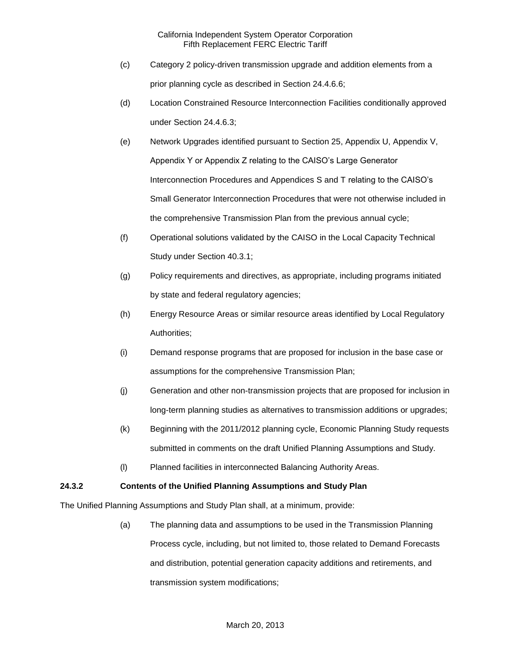- (c) Category 2 policy-driven transmission upgrade and addition elements from a prior planning cycle as described in Section 24.4.6.6;
- (d) Location Constrained Resource Interconnection Facilities conditionally approved under Section 24.4.6.3;
- (e) Network Upgrades identified pursuant to Section 25, Appendix U, Appendix V, Appendix Y or Appendix Z relating to the CAISO's Large Generator Interconnection Procedures and Appendices S and T relating to the CAISO's Small Generator Interconnection Procedures that were not otherwise included in the comprehensive Transmission Plan from the previous annual cycle;
- (f) Operational solutions validated by the CAISO in the Local Capacity Technical Study under Section 40.3.1;
- (g) Policy requirements and directives, as appropriate, including programs initiated by state and federal regulatory agencies;
- (h) Energy Resource Areas or similar resource areas identified by Local Regulatory Authorities;
- (i) Demand response programs that are proposed for inclusion in the base case or assumptions for the comprehensive Transmission Plan;
- (j) Generation and other non-transmission projects that are proposed for inclusion in long-term planning studies as alternatives to transmission additions or upgrades;
- (k) Beginning with the 2011/2012 planning cycle, Economic Planning Study requests submitted in comments on the draft Unified Planning Assumptions and Study.
- (l) Planned facilities in interconnected Balancing Authority Areas.

# **24.3.2 Contents of the Unified Planning Assumptions and Study Plan**

The Unified Planning Assumptions and Study Plan shall, at a minimum, provide:

(a) The planning data and assumptions to be used in the Transmission Planning Process cycle, including, but not limited to, those related to Demand Forecasts and distribution, potential generation capacity additions and retirements, and transmission system modifications;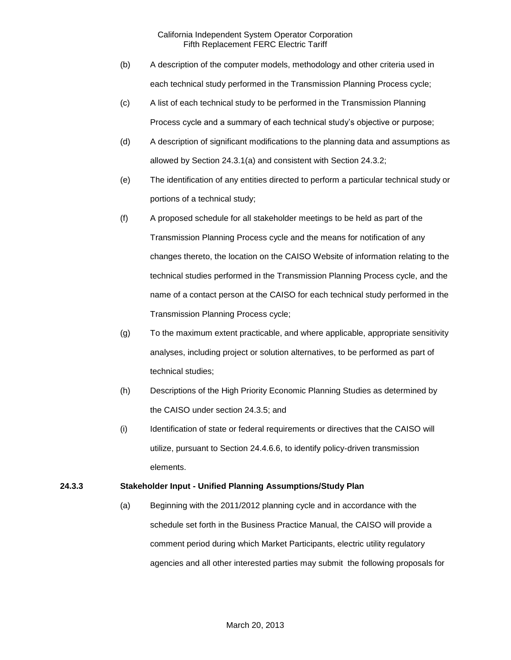- (b) A description of the computer models, methodology and other criteria used in each technical study performed in the Transmission Planning Process cycle;
- (c) A list of each technical study to be performed in the Transmission Planning Process cycle and a summary of each technical study's objective or purpose;
- (d) A description of significant modifications to the planning data and assumptions as allowed by Section 24.3.1(a) and consistent with Section 24.3.2;
- (e) The identification of any entities directed to perform a particular technical study or portions of a technical study;
- (f) A proposed schedule for all stakeholder meetings to be held as part of the Transmission Planning Process cycle and the means for notification of any changes thereto, the location on the CAISO Website of information relating to the technical studies performed in the Transmission Planning Process cycle, and the name of a contact person at the CAISO for each technical study performed in the Transmission Planning Process cycle;
- (g) To the maximum extent practicable, and where applicable, appropriate sensitivity analyses, including project or solution alternatives, to be performed as part of technical studies;
- (h) Descriptions of the High Priority Economic Planning Studies as determined by the CAISO under section 24.3.5; and
- (i) Identification of state or federal requirements or directives that the CAISO will utilize, pursuant to Section 24.4.6.6, to identify policy-driven transmission elements.

# **24.3.3 Stakeholder Input - Unified Planning Assumptions/Study Plan**

(a) Beginning with the 2011/2012 planning cycle and in accordance with the schedule set forth in the Business Practice Manual, the CAISO will provide a comment period during which Market Participants, electric utility regulatory agencies and all other interested parties may submit the following proposals for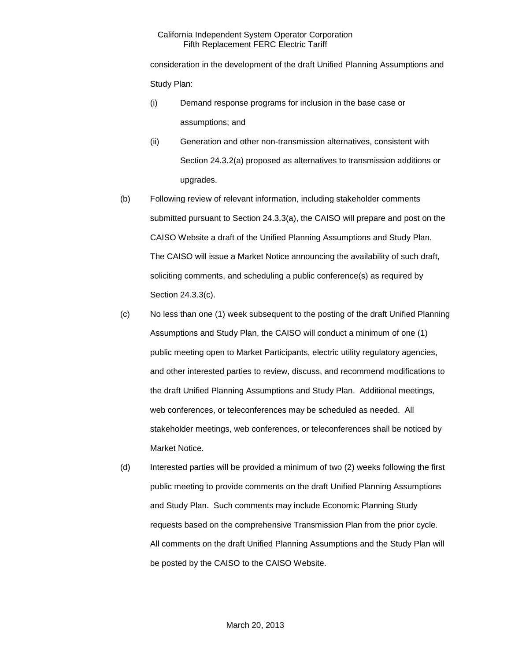consideration in the development of the draft Unified Planning Assumptions and Study Plan:

- (i) Demand response programs for inclusion in the base case or assumptions; and
- (ii) Generation and other non-transmission alternatives, consistent with Section 24.3.2(a) proposed as alternatives to transmission additions or upgrades.
- (b) Following review of relevant information, including stakeholder comments submitted pursuant to Section 24.3.3(a), the CAISO will prepare and post on the CAISO Website a draft of the Unified Planning Assumptions and Study Plan. The CAISO will issue a Market Notice announcing the availability of such draft, soliciting comments, and scheduling a public conference(s) as required by Section 24.3.3(c).
- (c) No less than one (1) week subsequent to the posting of the draft Unified Planning Assumptions and Study Plan, the CAISO will conduct a minimum of one (1) public meeting open to Market Participants, electric utility regulatory agencies, and other interested parties to review, discuss, and recommend modifications to the draft Unified Planning Assumptions and Study Plan. Additional meetings, web conferences, or teleconferences may be scheduled as needed. All stakeholder meetings, web conferences, or teleconferences shall be noticed by Market Notice.
- (d) Interested parties will be provided a minimum of two (2) weeks following the first public meeting to provide comments on the draft Unified Planning Assumptions and Study Plan. Such comments may include Economic Planning Study requests based on the comprehensive Transmission Plan from the prior cycle. All comments on the draft Unified Planning Assumptions and the Study Plan will be posted by the CAISO to the CAISO Website.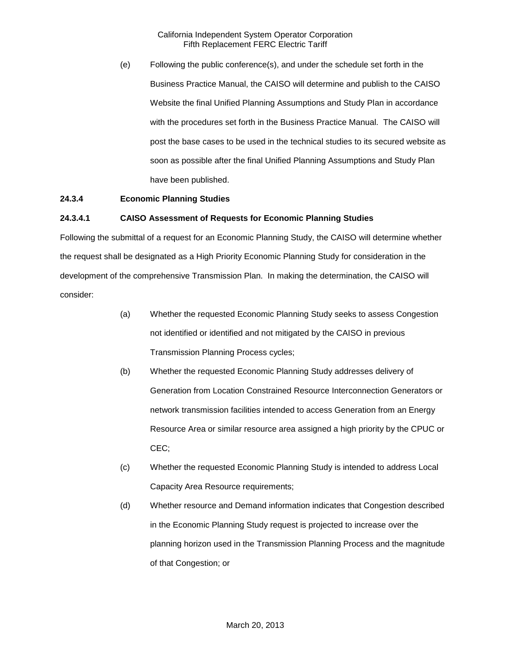(e) Following the public conference(s), and under the schedule set forth in the Business Practice Manual, the CAISO will determine and publish to the CAISO Website the final Unified Planning Assumptions and Study Plan in accordance with the procedures set forth in the Business Practice Manual. The CAISO will post the base cases to be used in the technical studies to its secured website as soon as possible after the final Unified Planning Assumptions and Study Plan have been published.

# **24.3.4 Economic Planning Studies**

## **24.3.4.1 CAISO Assessment of Requests for Economic Planning Studies**

Following the submittal of a request for an Economic Planning Study, the CAISO will determine whether the request shall be designated as a High Priority Economic Planning Study for consideration in the development of the comprehensive Transmission Plan. In making the determination, the CAISO will consider:

- (a) Whether the requested Economic Planning Study seeks to assess Congestion not identified or identified and not mitigated by the CAISO in previous Transmission Planning Process cycles;
- (b) Whether the requested Economic Planning Study addresses delivery of Generation from Location Constrained Resource Interconnection Generators or network transmission facilities intended to access Generation from an Energy Resource Area or similar resource area assigned a high priority by the CPUC or CEC;
- (c) Whether the requested Economic Planning Study is intended to address Local Capacity Area Resource requirements;
- (d) Whether resource and Demand information indicates that Congestion described in the Economic Planning Study request is projected to increase over the planning horizon used in the Transmission Planning Process and the magnitude of that Congestion; or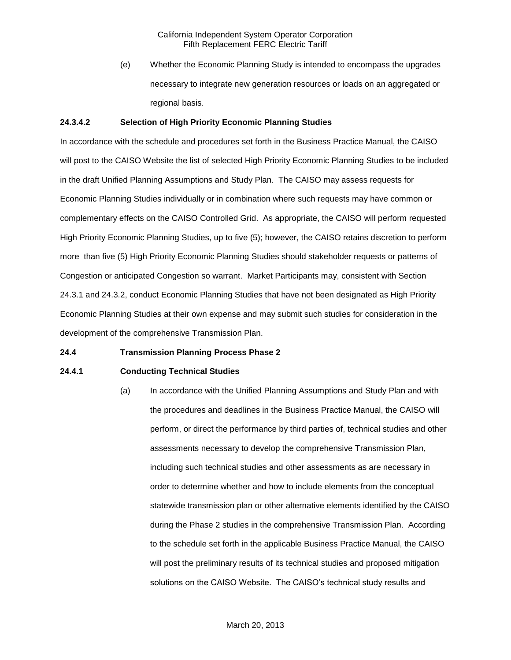(e) Whether the Economic Planning Study is intended to encompass the upgrades necessary to integrate new generation resources or loads on an aggregated or regional basis.

## **24.3.4.2 Selection of High Priority Economic Planning Studies**

In accordance with the schedule and procedures set forth in the Business Practice Manual, the CAISO will post to the CAISO Website the list of selected High Priority Economic Planning Studies to be included in the draft Unified Planning Assumptions and Study Plan. The CAISO may assess requests for Economic Planning Studies individually or in combination where such requests may have common or complementary effects on the CAISO Controlled Grid. As appropriate, the CAISO will perform requested High Priority Economic Planning Studies, up to five (5); however, the CAISO retains discretion to perform more than five (5) High Priority Economic Planning Studies should stakeholder requests or patterns of Congestion or anticipated Congestion so warrant. Market Participants may, consistent with Section 24.3.1 and 24.3.2, conduct Economic Planning Studies that have not been designated as High Priority Economic Planning Studies at their own expense and may submit such studies for consideration in the development of the comprehensive Transmission Plan.

## **24.4 Transmission Planning Process Phase 2**

## **24.4.1 Conducting Technical Studies**

(a) In accordance with the Unified Planning Assumptions and Study Plan and with the procedures and deadlines in the Business Practice Manual, the CAISO will perform, or direct the performance by third parties of, technical studies and other assessments necessary to develop the comprehensive Transmission Plan, including such technical studies and other assessments as are necessary in order to determine whether and how to include elements from the conceptual statewide transmission plan or other alternative elements identified by the CAISO during the Phase 2 studies in the comprehensive Transmission Plan. According to the schedule set forth in the applicable Business Practice Manual, the CAISO will post the preliminary results of its technical studies and proposed mitigation solutions on the CAISO Website. The CAISO's technical study results and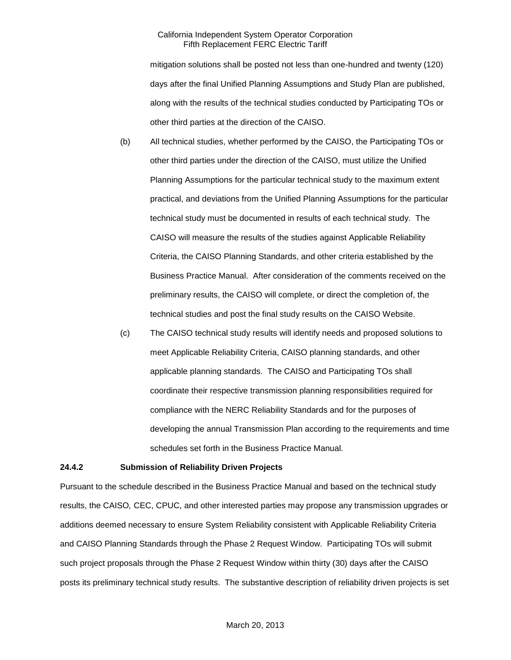mitigation solutions shall be posted not less than one-hundred and twenty (120) days after the final Unified Planning Assumptions and Study Plan are published, along with the results of the technical studies conducted by Participating TOs or other third parties at the direction of the CAISO.

- (b) All technical studies, whether performed by the CAISO, the Participating TOs or other third parties under the direction of the CAISO, must utilize the Unified Planning Assumptions for the particular technical study to the maximum extent practical, and deviations from the Unified Planning Assumptions for the particular technical study must be documented in results of each technical study. The CAISO will measure the results of the studies against Applicable Reliability Criteria, the CAISO Planning Standards, and other criteria established by the Business Practice Manual. After consideration of the comments received on the preliminary results, the CAISO will complete, or direct the completion of, the technical studies and post the final study results on the CAISO Website.
- (c) The CAISO technical study results will identify needs and proposed solutions to meet Applicable Reliability Criteria, CAISO planning standards, and other applicable planning standards. The CAISO and Participating TOs shall coordinate their respective transmission planning responsibilities required for compliance with the NERC Reliability Standards and for the purposes of developing the annual Transmission Plan according to the requirements and time schedules set forth in the Business Practice Manual.

#### **24.4.2 Submission of Reliability Driven Projects**

Pursuant to the schedule described in the Business Practice Manual and based on the technical study results, the CAISO*,* CEC, CPUC, and other interested parties may propose any transmission upgrades or additions deemed necessary to ensure System Reliability consistent with Applicable Reliability Criteria and CAISO Planning Standards through the Phase 2 Request Window. Participating TOs will submit such project proposals through the Phase 2 Request Window within thirty (30) days after the CAISO posts its preliminary technical study results. The substantive description of reliability driven projects is set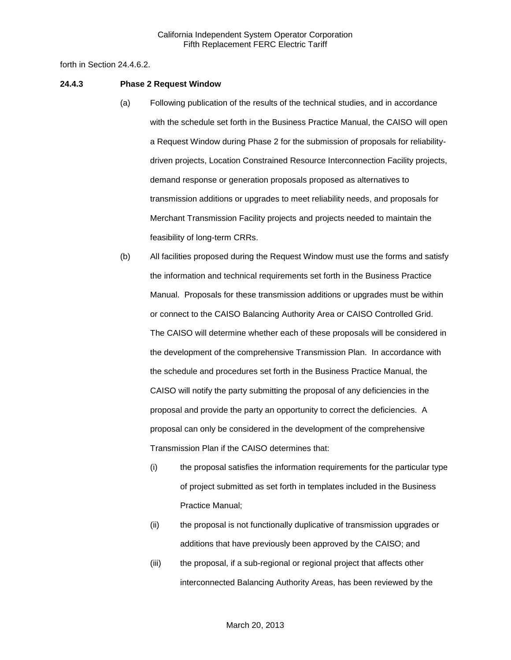forth in Section 24.4.6.2.

#### **24.4.3 Phase 2 Request Window**

- (a) Following publication of the results of the technical studies, and in accordance with the schedule set forth in the Business Practice Manual, the CAISO will open a Request Window during Phase 2 for the submission of proposals for reliabilitydriven projects, Location Constrained Resource Interconnection Facility projects, demand response or generation proposals proposed as alternatives to transmission additions or upgrades to meet reliability needs, and proposals for Merchant Transmission Facility projects and projects needed to maintain the feasibility of long-term CRRs.
- (b) All facilities proposed during the Request Window must use the forms and satisfy the information and technical requirements set forth in the Business Practice Manual. Proposals for these transmission additions or upgrades must be within or connect to the CAISO Balancing Authority Area or CAISO Controlled Grid. The CAISO will determine whether each of these proposals will be considered in the development of the comprehensive Transmission Plan. In accordance with the schedule and procedures set forth in the Business Practice Manual, the CAISO will notify the party submitting the proposal of any deficiencies in the proposal and provide the party an opportunity to correct the deficiencies. A proposal can only be considered in the development of the comprehensive Transmission Plan if the CAISO determines that:
	- (i) the proposal satisfies the information requirements for the particular type of project submitted as set forth in templates included in the Business Practice Manual;
	- (ii) the proposal is not functionally duplicative of transmission upgrades or additions that have previously been approved by the CAISO; and
	- (iii) the proposal, if a sub-regional or regional project that affects other interconnected Balancing Authority Areas, has been reviewed by the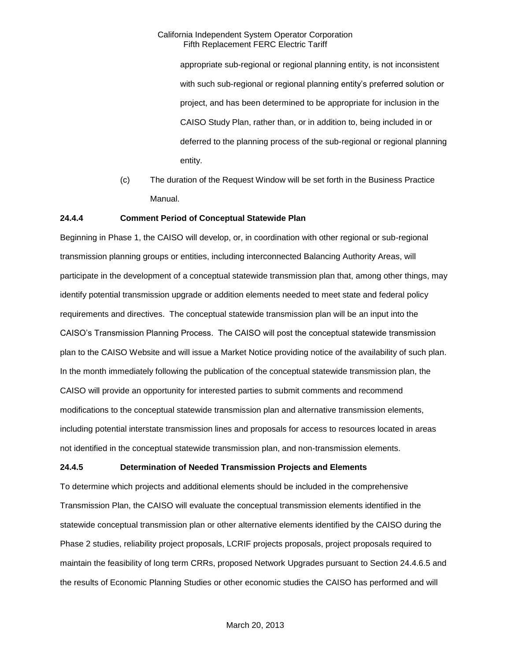appropriate sub-regional or regional planning entity, is not inconsistent with such sub-regional or regional planning entity's preferred solution or project, and has been determined to be appropriate for inclusion in the CAISO Study Plan, rather than, or in addition to, being included in or deferred to the planning process of the sub-regional or regional planning entity.

(c) The duration of the Request Window will be set forth in the Business Practice Manual.

### **24.4.4 Comment Period of Conceptual Statewide Plan**

Beginning in Phase 1, the CAISO will develop, or, in coordination with other regional or sub-regional transmission planning groups or entities, including interconnected Balancing Authority Areas, will participate in the development of a conceptual statewide transmission plan that, among other things, may identify potential transmission upgrade or addition elements needed to meet state and federal policy requirements and directives. The conceptual statewide transmission plan will be an input into the CAISO's Transmission Planning Process. The CAISO will post the conceptual statewide transmission plan to the CAISO Website and will issue a Market Notice providing notice of the availability of such plan. In the month immediately following the publication of the conceptual statewide transmission plan, the CAISO will provide an opportunity for interested parties to submit comments and recommend modifications to the conceptual statewide transmission plan and alternative transmission elements, including potential interstate transmission lines and proposals for access to resources located in areas not identified in the conceptual statewide transmission plan, and non-transmission elements.

### **24.4.5 Determination of Needed Transmission Projects and Elements**

To determine which projects and additional elements should be included in the comprehensive Transmission Plan, the CAISO will evaluate the conceptual transmission elements identified in the statewide conceptual transmission plan or other alternative elements identified by the CAISO during the Phase 2 studies, reliability project proposals, LCRIF projects proposals, project proposals required to maintain the feasibility of long term CRRs, proposed Network Upgrades pursuant to Section 24.4.6.5 and the results of Economic Planning Studies or other economic studies the CAISO has performed and will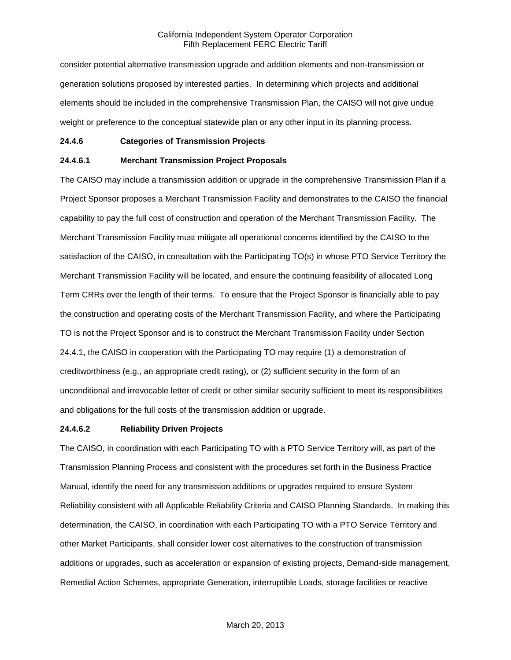consider potential alternative transmission upgrade and addition elements and non-transmission or generation solutions proposed by interested parties. In determining which projects and additional elements should be included in the comprehensive Transmission Plan, the CAISO will not give undue weight or preference to the conceptual statewide plan or any other input in its planning process.

#### **24.4.6 Categories of Transmission Projects**

#### **24.4.6.1 Merchant Transmission Project Proposals**

The CAISO may include a transmission addition or upgrade in the comprehensive Transmission Plan if a Project Sponsor proposes a Merchant Transmission Facility and demonstrates to the CAISO the financial capability to pay the full cost of construction and operation of the Merchant Transmission Facility. The Merchant Transmission Facility must mitigate all operational concerns identified by the CAISO to the satisfaction of the CAISO, in consultation with the Participating TO(s) in whose PTO Service Territory the Merchant Transmission Facility will be located, and ensure the continuing feasibility of allocated Long Term CRRs over the length of their terms. To ensure that the Project Sponsor is financially able to pay the construction and operating costs of the Merchant Transmission Facility, and where the Participating TO is not the Project Sponsor and is to construct the Merchant Transmission Facility under Section 24.4.1, the CAISO in cooperation with the Participating TO may require (1) a demonstration of creditworthiness (e.g., an appropriate credit rating), or (2) sufficient security in the form of an unconditional and irrevocable letter of credit or other similar security sufficient to meet its responsibilities and obligations for the full costs of the transmission addition or upgrade.

#### **24.4.6.2 Reliability Driven Projects**

The CAISO, in coordination with each Participating TO with a PTO Service Territory will, as part of the Transmission Planning Process and consistent with the procedures set forth in the Business Practice Manual, identify the need for any transmission additions or upgrades required to ensure System Reliability consistent with all Applicable Reliability Criteria and CAISO Planning Standards. In making this determination, the CAISO, in coordination with each Participating TO with a PTO Service Territory and other Market Participants, shall consider lower cost alternatives to the construction of transmission additions or upgrades, such as acceleration or expansion of existing projects, Demand-side management, Remedial Action Schemes, appropriate Generation, interruptible Loads, storage facilities or reactive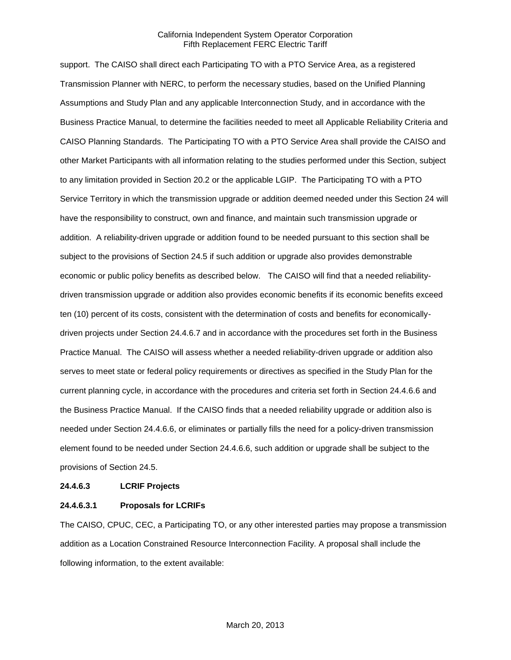support. The CAISO shall direct each Participating TO with a PTO Service Area, as a registered Transmission Planner with NERC, to perform the necessary studies, based on the Unified Planning Assumptions and Study Plan and any applicable Interconnection Study, and in accordance with the Business Practice Manual, to determine the facilities needed to meet all Applicable Reliability Criteria and CAISO Planning Standards. The Participating TO with a PTO Service Area shall provide the CAISO and other Market Participants with all information relating to the studies performed under this Section, subject to any limitation provided in Section 20.2 or the applicable LGIP. The Participating TO with a PTO Service Territory in which the transmission upgrade or addition deemed needed under this Section 24 will have the responsibility to construct, own and finance, and maintain such transmission upgrade or addition. A reliability-driven upgrade or addition found to be needed pursuant to this section shall be subject to the provisions of Section 24.5 if such addition or upgrade also provides demonstrable economic or public policy benefits as described below. The CAISO will find that a needed reliabilitydriven transmission upgrade or addition also provides economic benefits if its economic benefits exceed ten (10) percent of its costs, consistent with the determination of costs and benefits for economicallydriven projects under Section 24.4.6.7 and in accordance with the procedures set forth in the Business Practice Manual. The CAISO will assess whether a needed reliability-driven upgrade or addition also serves to meet state or federal policy requirements or directives as specified in the Study Plan for the current planning cycle, in accordance with the procedures and criteria set forth in Section 24.4.6.6 and the Business Practice Manual. If the CAISO finds that a needed reliability upgrade or addition also is needed under Section 24.4.6.6, or eliminates or partially fills the need for a policy-driven transmission element found to be needed under Section 24.4.6.6, such addition or upgrade shall be subject to the provisions of Section 24.5.

#### **24.4.6.3 LCRIF Projects**

#### **24.4.6.3.1 Proposals for LCRIFs**

The CAISO, CPUC, CEC, a Participating TO, or any other interested parties may propose a transmission addition as a Location Constrained Resource Interconnection Facility. A proposal shall include the following information, to the extent available: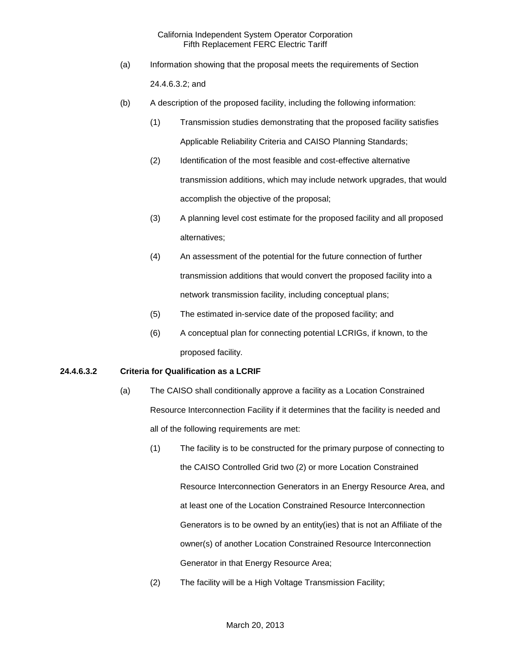- (a) Information showing that the proposal meets the requirements of Section 24.4.6.3.2; and
- (b) A description of the proposed facility, including the following information:
	- (1) Transmission studies demonstrating that the proposed facility satisfies Applicable Reliability Criteria and CAISO Planning Standards;
	- (2) Identification of the most feasible and cost-effective alternative transmission additions, which may include network upgrades, that would accomplish the objective of the proposal;
	- (3) A planning level cost estimate for the proposed facility and all proposed alternatives;
	- (4) An assessment of the potential for the future connection of further transmission additions that would convert the proposed facility into a network transmission facility, including conceptual plans;
	- (5) The estimated in-service date of the proposed facility; and
	- (6) A conceptual plan for connecting potential LCRIGs, if known, to the proposed facility.

### **24.4.6.3.2 Criteria for Qualification as a LCRIF**

- (a) The CAISO shall conditionally approve a facility as a Location Constrained Resource Interconnection Facility if it determines that the facility is needed and all of the following requirements are met:
	- (1) The facility is to be constructed for the primary purpose of connecting to the CAISO Controlled Grid two (2) or more Location Constrained Resource Interconnection Generators in an Energy Resource Area, and at least one of the Location Constrained Resource Interconnection Generators is to be owned by an entity(ies) that is not an Affiliate of the owner(s) of another Location Constrained Resource Interconnection Generator in that Energy Resource Area;
	- (2) The facility will be a High Voltage Transmission Facility;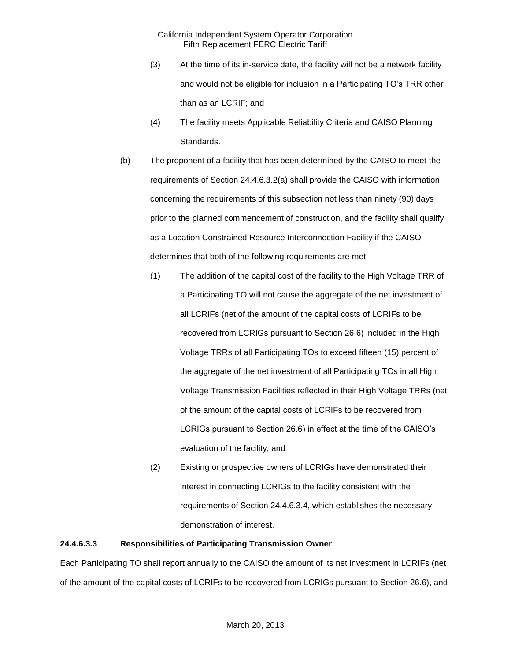- (3) At the time of its in-service date, the facility will not be a network facility and would not be eligible for inclusion in a Participating TO's TRR other than as an LCRIF; and
- (4) The facility meets Applicable Reliability Criteria and CAISO Planning Standards.
- (b) The proponent of a facility that has been determined by the CAISO to meet the requirements of Section 24.4.6.3.2(a) shall provide the CAISO with information concerning the requirements of this subsection not less than ninety (90) days prior to the planned commencement of construction, and the facility shall qualify as a Location Constrained Resource Interconnection Facility if the CAISO determines that both of the following requirements are met:
	- (1) The addition of the capital cost of the facility to the High Voltage TRR of a Participating TO will not cause the aggregate of the net investment of all LCRIFs (net of the amount of the capital costs of LCRIFs to be recovered from LCRIGs pursuant to Section 26.6) included in the High Voltage TRRs of all Participating TOs to exceed fifteen (15) percent of the aggregate of the net investment of all Participating TOs in all High Voltage Transmission Facilities reflected in their High Voltage TRRs (net of the amount of the capital costs of LCRIFs to be recovered from LCRIGs pursuant to Section 26.6) in effect at the time of the CAISO's evaluation of the facility; and
	- (2) Existing or prospective owners of LCRIGs have demonstrated their interest in connecting LCRIGs to the facility consistent with the requirements of Section 24.4.6.3.4, which establishes the necessary demonstration of interest.

### **24.4.6.3.3 Responsibilities of Participating Transmission Owner**

Each Participating TO shall report annually to the CAISO the amount of its net investment in LCRIFs (net of the amount of the capital costs of LCRIFs to be recovered from LCRIGs pursuant to Section 26.6), and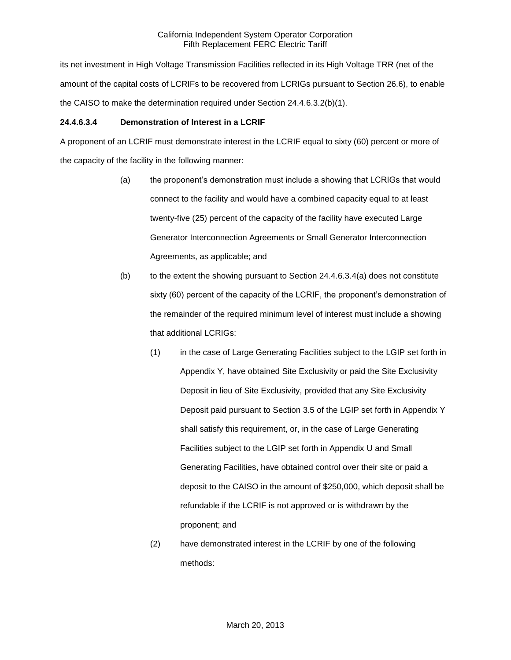its net investment in High Voltage Transmission Facilities reflected in its High Voltage TRR (net of the amount of the capital costs of LCRIFs to be recovered from LCRIGs pursuant to Section 26.6), to enable the CAISO to make the determination required under Section 24.4.6.3.2(b)(1).

## **24.4.6.3.4 Demonstration of Interest in a LCRIF**

A proponent of an LCRIF must demonstrate interest in the LCRIF equal to sixty (60) percent or more of the capacity of the facility in the following manner:

- (a) the proponent's demonstration must include a showing that LCRIGs that would connect to the facility and would have a combined capacity equal to at least twenty-five (25) percent of the capacity of the facility have executed Large Generator Interconnection Agreements or Small Generator Interconnection Agreements, as applicable; and
- $(b)$  to the extent the showing pursuant to Section 24.4.6.3.4(a) does not constitute sixty (60) percent of the capacity of the LCRIF, the proponent's demonstration of the remainder of the required minimum level of interest must include a showing that additional LCRIGs:
	- (1) in the case of Large Generating Facilities subject to the LGIP set forth in Appendix Y, have obtained Site Exclusivity or paid the Site Exclusivity Deposit in lieu of Site Exclusivity, provided that any Site Exclusivity Deposit paid pursuant to Section 3.5 of the LGIP set forth in Appendix Y shall satisfy this requirement, or, in the case of Large Generating Facilities subject to the LGIP set forth in Appendix U and Small Generating Facilities, have obtained control over their site or paid a deposit to the CAISO in the amount of \$250,000, which deposit shall be refundable if the LCRIF is not approved or is withdrawn by the proponent; and
	- (2) have demonstrated interest in the LCRIF by one of the following methods: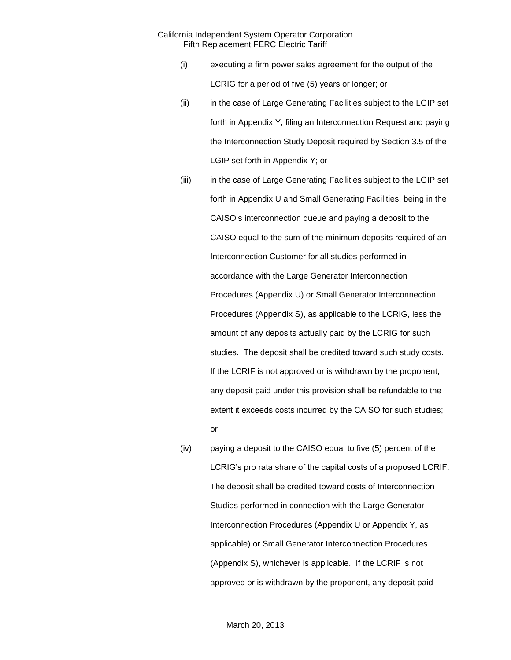- (i) executing a firm power sales agreement for the output of the LCRIG for a period of five (5) years or longer; or
- (ii) in the case of Large Generating Facilities subject to the LGIP set forth in Appendix Y, filing an Interconnection Request and paying the Interconnection Study Deposit required by Section 3.5 of the LGIP set forth in Appendix Y; or
- (iii) in the case of Large Generating Facilities subject to the LGIP set forth in Appendix U and Small Generating Facilities, being in the CAISO's interconnection queue and paying a deposit to the CAISO equal to the sum of the minimum deposits required of an Interconnection Customer for all studies performed in accordance with the Large Generator Interconnection Procedures (Appendix U) or Small Generator Interconnection Procedures (Appendix S), as applicable to the LCRIG, less the amount of any deposits actually paid by the LCRIG for such studies. The deposit shall be credited toward such study costs. If the LCRIF is not approved or is withdrawn by the proponent, any deposit paid under this provision shall be refundable to the extent it exceeds costs incurred by the CAISO for such studies; or
- (iv) paying a deposit to the CAISO equal to five (5) percent of the LCRIG's pro rata share of the capital costs of a proposed LCRIF. The deposit shall be credited toward costs of Interconnection Studies performed in connection with the Large Generator Interconnection Procedures (Appendix U or Appendix Y, as applicable) or Small Generator Interconnection Procedures (Appendix S), whichever is applicable. If the LCRIF is not approved or is withdrawn by the proponent, any deposit paid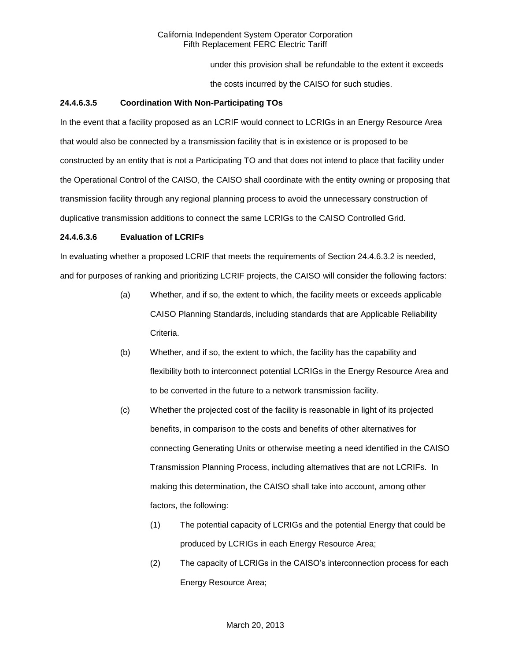under this provision shall be refundable to the extent it exceeds

the costs incurred by the CAISO for such studies.

### **24.4.6.3.5 Coordination With Non-Participating TOs**

In the event that a facility proposed as an LCRIF would connect to LCRIGs in an Energy Resource Area that would also be connected by a transmission facility that is in existence or is proposed to be constructed by an entity that is not a Participating TO and that does not intend to place that facility under the Operational Control of the CAISO, the CAISO shall coordinate with the entity owning or proposing that transmission facility through any regional planning process to avoid the unnecessary construction of duplicative transmission additions to connect the same LCRIGs to the CAISO Controlled Grid.

### **24.4.6.3.6 Evaluation of LCRIFs**

In evaluating whether a proposed LCRIF that meets the requirements of Section 24.4.6.3.2 is needed, and for purposes of ranking and prioritizing LCRIF projects, the CAISO will consider the following factors:

- (a) Whether, and if so, the extent to which, the facility meets or exceeds applicable CAISO Planning Standards, including standards that are Applicable Reliability Criteria.
- (b) Whether, and if so, the extent to which, the facility has the capability and flexibility both to interconnect potential LCRIGs in the Energy Resource Area and to be converted in the future to a network transmission facility.
- (c) Whether the projected cost of the facility is reasonable in light of its projected benefits, in comparison to the costs and benefits of other alternatives for connecting Generating Units or otherwise meeting a need identified in the CAISO Transmission Planning Process, including alternatives that are not LCRIFs. In making this determination, the CAISO shall take into account, among other factors, the following:
	- (1) The potential capacity of LCRIGs and the potential Energy that could be produced by LCRIGs in each Energy Resource Area;
	- (2) The capacity of LCRIGs in the CAISO's interconnection process for each Energy Resource Area;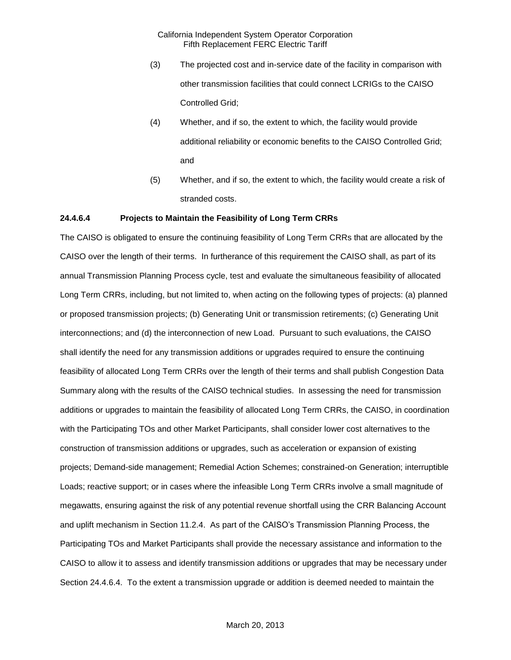- (3) The projected cost and in-service date of the facility in comparison with other transmission facilities that could connect LCRIGs to the CAISO Controlled Grid;
- (4) Whether, and if so, the extent to which, the facility would provide additional reliability or economic benefits to the CAISO Controlled Grid; and
- (5) Whether, and if so, the extent to which, the facility would create a risk of stranded costs.

#### **24.4.6.4 Projects to Maintain the Feasibility of Long Term CRRs**

The CAISO is obligated to ensure the continuing feasibility of Long Term CRRs that are allocated by the CAISO over the length of their terms. In furtherance of this requirement the CAISO shall, as part of its annual Transmission Planning Process cycle, test and evaluate the simultaneous feasibility of allocated Long Term CRRs, including, but not limited to, when acting on the following types of projects: (a) planned or proposed transmission projects; (b) Generating Unit or transmission retirements; (c) Generating Unit interconnections; and (d) the interconnection of new Load. Pursuant to such evaluations, the CAISO shall identify the need for any transmission additions or upgrades required to ensure the continuing feasibility of allocated Long Term CRRs over the length of their terms and shall publish Congestion Data Summary along with the results of the CAISO technical studies. In assessing the need for transmission additions or upgrades to maintain the feasibility of allocated Long Term CRRs, the CAISO, in coordination with the Participating TOs and other Market Participants, shall consider lower cost alternatives to the construction of transmission additions or upgrades, such as acceleration or expansion of existing projects; Demand-side management; Remedial Action Schemes; constrained-on Generation; interruptible Loads; reactive support; or in cases where the infeasible Long Term CRRs involve a small magnitude of megawatts, ensuring against the risk of any potential revenue shortfall using the CRR Balancing Account and uplift mechanism in Section 11.2.4. As part of the CAISO's Transmission Planning Process, the Participating TOs and Market Participants shall provide the necessary assistance and information to the CAISO to allow it to assess and identify transmission additions or upgrades that may be necessary under Section 24.4.6.4. To the extent a transmission upgrade or addition is deemed needed to maintain the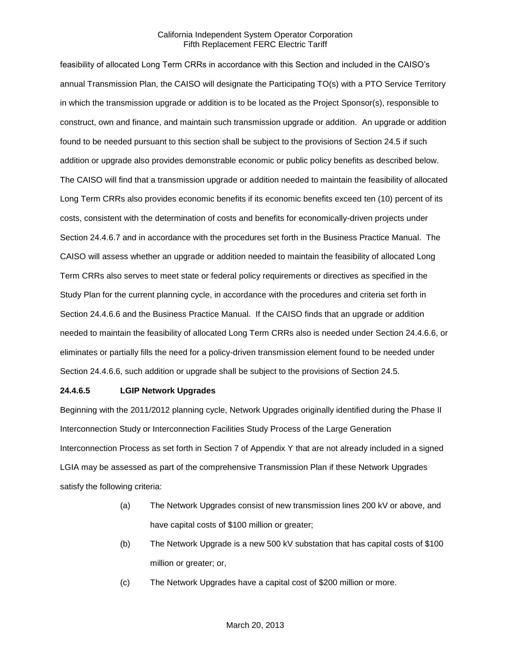feasibility of allocated Long Term CRRs in accordance with this Section and included in the CAISO's annual Transmission Plan, the CAISO will designate the Participating TO(s) with a PTO Service Territory in which the transmission upgrade or addition is to be located as the Project Sponsor(s), responsible to construct, own and finance, and maintain such transmission upgrade or addition. An upgrade or addition found to be needed pursuant to this section shall be subject to the provisions of Section 24.5 if such addition or upgrade also provides demonstrable economic or public policy benefits as described below. The CAISO will find that a transmission upgrade or addition needed to maintain the feasibility of allocated Long Term CRRs also provides economic benefits if its economic benefits exceed ten (10) percent of its costs, consistent with the determination of costs and benefits for economically-driven projects under Section 24.4.6.7 and in accordance with the procedures set forth in the Business Practice Manual. The CAISO will assess whether an upgrade or addition needed to maintain the feasibility of allocated Long Term CRRs also serves to meet state or federal policy requirements or directives as specified in the Study Plan for the current planning cycle, in accordance with the procedures and criteria set forth in Section 24.4.6.6 and the Business Practice Manual. If the CAISO finds that an upgrade or addition needed to maintain the feasibility of allocated Long Term CRRs also is needed under Section 24.4.6.6, or eliminates or partially fills the need for a policy-driven transmission element found to be needed under Section 24.4.6.6, such addition or upgrade shall be subject to the provisions of Section 24.5.

### **24.4.6.5 LGIP Network Upgrades**

Beginning with the 2011/2012 planning cycle, Network Upgrades originally identified during the Phase II Interconnection Study or Interconnection Facilities Study Process of the Large Generation Interconnection Process as set forth in Section 7 of Appendix Y that are not already included in a signed LGIA may be assessed as part of the comprehensive Transmission Plan if these Network Upgrades satisfy the following criteria:

- (a) The Network Upgrades consist of new transmission lines 200 kV or above, and have capital costs of \$100 million or greater;
- (b) The Network Upgrade is a new 500 kV substation that has capital costs of \$100 million or greater; or,
- (c) The Network Upgrades have a capital cost of \$200 million or more.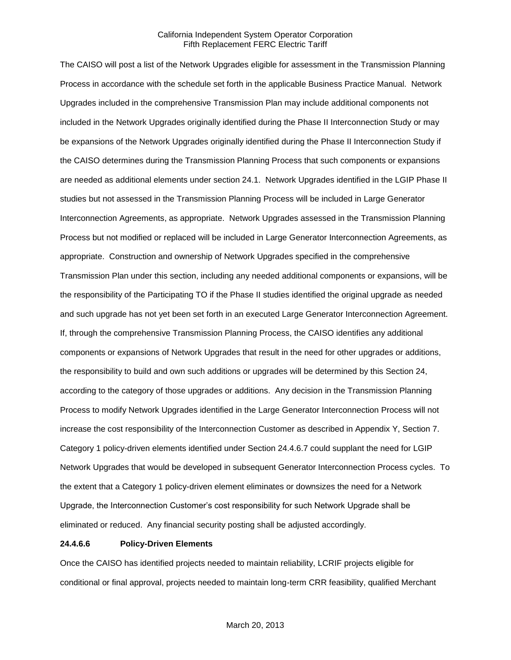The CAISO will post a list of the Network Upgrades eligible for assessment in the Transmission Planning Process in accordance with the schedule set forth in the applicable Business Practice Manual. Network Upgrades included in the comprehensive Transmission Plan may include additional components not included in the Network Upgrades originally identified during the Phase II Interconnection Study or may be expansions of the Network Upgrades originally identified during the Phase II Interconnection Study if the CAISO determines during the Transmission Planning Process that such components or expansions are needed as additional elements under section 24.1. Network Upgrades identified in the LGIP Phase II studies but not assessed in the Transmission Planning Process will be included in Large Generator Interconnection Agreements, as appropriate. Network Upgrades assessed in the Transmission Planning Process but not modified or replaced will be included in Large Generator Interconnection Agreements, as appropriate. Construction and ownership of Network Upgrades specified in the comprehensive Transmission Plan under this section, including any needed additional components or expansions, will be the responsibility of the Participating TO if the Phase II studies identified the original upgrade as needed and such upgrade has not yet been set forth in an executed Large Generator Interconnection Agreement. If, through the comprehensive Transmission Planning Process, the CAISO identifies any additional components or expansions of Network Upgrades that result in the need for other upgrades or additions, the responsibility to build and own such additions or upgrades will be determined by this Section 24, according to the category of those upgrades or additions. Any decision in the Transmission Planning Process to modify Network Upgrades identified in the Large Generator Interconnection Process will not increase the cost responsibility of the Interconnection Customer as described in Appendix Y, Section 7. Category 1 policy-driven elements identified under Section 24.4.6.7 could supplant the need for LGIP Network Upgrades that would be developed in subsequent Generator Interconnection Process cycles. To the extent that a Category 1 policy-driven element eliminates or downsizes the need for a Network Upgrade, the Interconnection Customer's cost responsibility for such Network Upgrade shall be eliminated or reduced. Any financial security posting shall be adjusted accordingly.

#### **24.4.6.6 Policy-Driven Elements**

Once the CAISO has identified projects needed to maintain reliability, LCRIF projects eligible for conditional or final approval, projects needed to maintain long-term CRR feasibility, qualified Merchant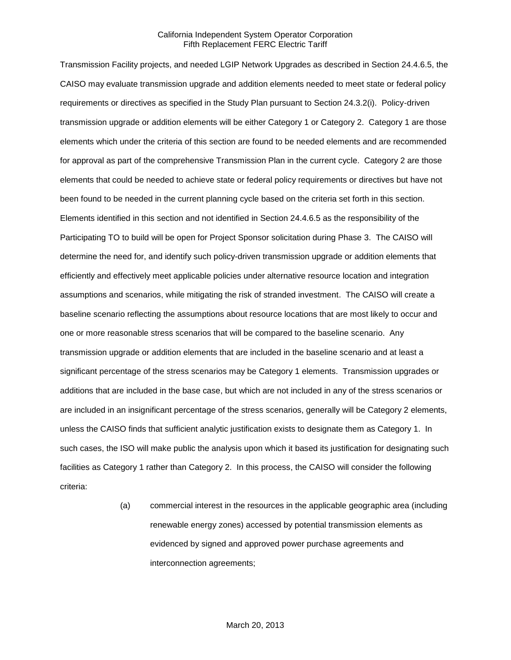Transmission Facility projects, and needed LGIP Network Upgrades as described in Section 24.4.6.5, the CAISO may evaluate transmission upgrade and addition elements needed to meet state or federal policy requirements or directives as specified in the Study Plan pursuant to Section 24.3.2(i). Policy-driven transmission upgrade or addition elements will be either Category 1 or Category 2. Category 1 are those elements which under the criteria of this section are found to be needed elements and are recommended for approval as part of the comprehensive Transmission Plan in the current cycle. Category 2 are those elements that could be needed to achieve state or federal policy requirements or directives but have not been found to be needed in the current planning cycle based on the criteria set forth in this section. Elements identified in this section and not identified in Section 24.4.6.5 as the responsibility of the Participating TO to build will be open for Project Sponsor solicitation during Phase 3. The CAISO will determine the need for, and identify such policy-driven transmission upgrade or addition elements that efficiently and effectively meet applicable policies under alternative resource location and integration assumptions and scenarios, while mitigating the risk of stranded investment. The CAISO will create a baseline scenario reflecting the assumptions about resource locations that are most likely to occur and one or more reasonable stress scenarios that will be compared to the baseline scenario. Any transmission upgrade or addition elements that are included in the baseline scenario and at least a significant percentage of the stress scenarios may be Category 1 elements. Transmission upgrades or additions that are included in the base case, but which are not included in any of the stress scenarios or are included in an insignificant percentage of the stress scenarios, generally will be Category 2 elements, unless the CAISO finds that sufficient analytic justification exists to designate them as Category 1. In such cases, the ISO will make public the analysis upon which it based its justification for designating such facilities as Category 1 rather than Category 2. In this process, the CAISO will consider the following criteria:

> (a) commercial interest in the resources in the applicable geographic area (including renewable energy zones) accessed by potential transmission elements as evidenced by signed and approved power purchase agreements and interconnection agreements;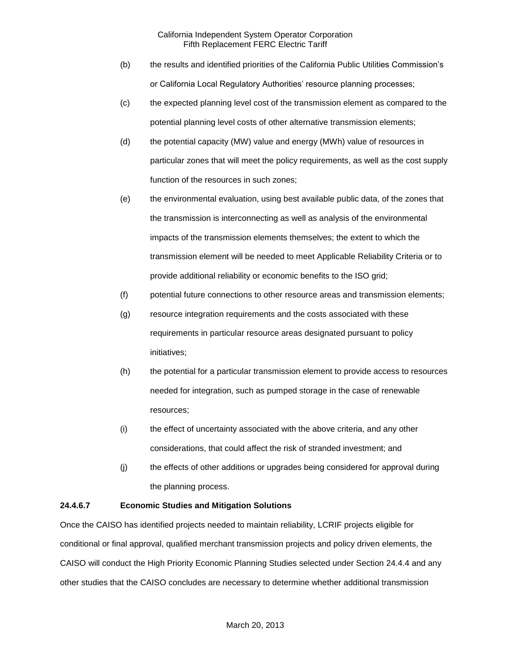- (b) the results and identified priorities of the California Public Utilities Commission's or California Local Regulatory Authorities' resource planning processes;
- (c) the expected planning level cost of the transmission element as compared to the potential planning level costs of other alternative transmission elements;
- (d) the potential capacity (MW) value and energy (MWh) value of resources in particular zones that will meet the policy requirements, as well as the cost supply function of the resources in such zones;
- (e) the environmental evaluation, using best available public data, of the zones that the transmission is interconnecting as well as analysis of the environmental impacts of the transmission elements themselves; the extent to which the transmission element will be needed to meet Applicable Reliability Criteria or to provide additional reliability or economic benefits to the ISO grid;
- (f) potential future connections to other resource areas and transmission elements;
- (g) resource integration requirements and the costs associated with these requirements in particular resource areas designated pursuant to policy initiatives;
- (h) the potential for a particular transmission element to provide access to resources needed for integration, such as pumped storage in the case of renewable resources;
- (i) the effect of uncertainty associated with the above criteria, and any other considerations, that could affect the risk of stranded investment; and
- (j) the effects of other additions or upgrades being considered for approval during the planning process.

## **24.4.6.7 Economic Studies and Mitigation Solutions**

Once the CAISO has identified projects needed to maintain reliability, LCRIF projects eligible for conditional or final approval, qualified merchant transmission projects and policy driven elements, the CAISO will conduct the High Priority Economic Planning Studies selected under Section 24.4.4 and any other studies that the CAISO concludes are necessary to determine whether additional transmission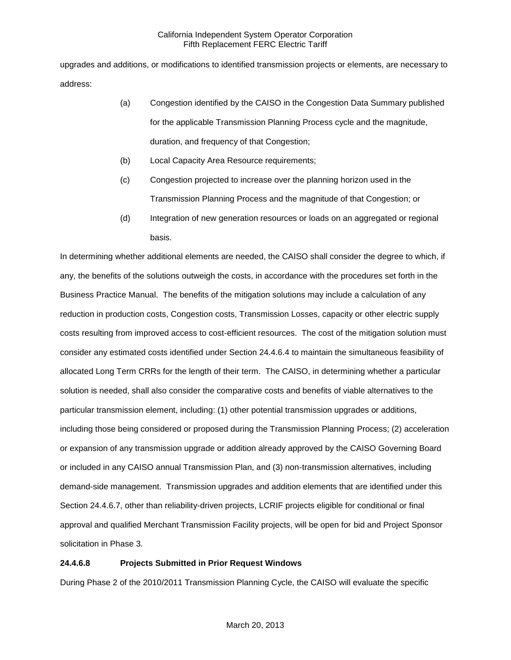upgrades and additions, or modifications to identified transmission projects or elements, are necessary to address:

- (a) Congestion identified by the CAISO in the Congestion Data Summary published for the applicable Transmission Planning Process cycle and the magnitude, duration, and frequency of that Congestion;
- (b) Local Capacity Area Resource requirements;
- (c) Congestion projected to increase over the planning horizon used in the Transmission Planning Process and the magnitude of that Congestion; or
- (d) Integration of new generation resources or loads on an aggregated or regional basis.

In determining whether additional elements are needed, the CAISO shall consider the degree to which, if any, the benefits of the solutions outweigh the costs, in accordance with the procedures set forth in the Business Practice Manual. The benefits of the mitigation solutions may include a calculation of any reduction in production costs, Congestion costs, Transmission Losses, capacity or other electric supply costs resulting from improved access to cost-efficient resources. The cost of the mitigation solution must consider any estimated costs identified under Section 24.4.6.4 to maintain the simultaneous feasibility of allocated Long Term CRRs for the length of their term. The CAISO, in determining whether a particular solution is needed, shall also consider the comparative costs and benefits of viable alternatives to the particular transmission element, including: (1) other potential transmission upgrades or additions, including those being considered or proposed during the Transmission Planning Process; (2) acceleration or expansion of any transmission upgrade or addition already approved by the CAISO Governing Board or included in any CAISO annual Transmission Plan, and (3) non-transmission alternatives, including demand-side management. Transmission upgrades and addition elements that are identified under this Section 24.4.6.7, other than reliability-driven projects, LCRIF projects eligible for conditional or final approval and qualified Merchant Transmission Facility projects, will be open for bid and Project Sponsor solicitation in Phase 3.

## **24.4.6.8 Projects Submitted in Prior Request Windows**

During Phase 2 of the 2010/2011 Transmission Planning Cycle, the CAISO will evaluate the specific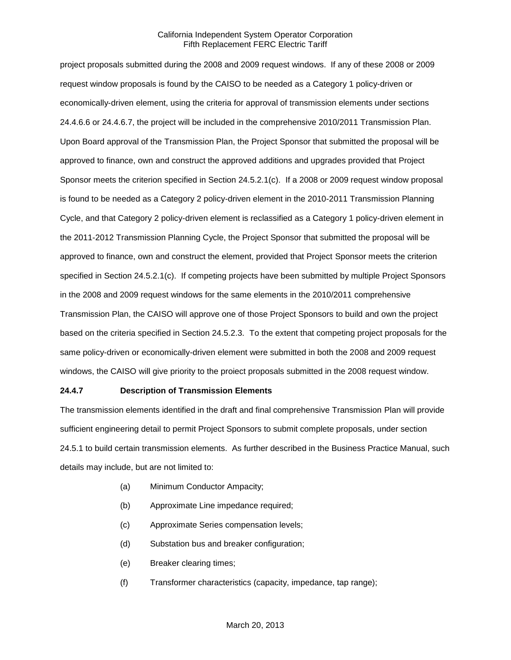project proposals submitted during the 2008 and 2009 request windows. If any of these 2008 or 2009 request window proposals is found by the CAISO to be needed as a Category 1 policy-driven or economically-driven element, using the criteria for approval of transmission elements under sections 24.4.6.6 or 24.4.6.7, the project will be included in the comprehensive 2010/2011 Transmission Plan. Upon Board approval of the Transmission Plan, the Project Sponsor that submitted the proposal will be approved to finance, own and construct the approved additions and upgrades provided that Project Sponsor meets the criterion specified in Section 24.5.2.1(c). If a 2008 or 2009 request window proposal is found to be needed as a Category 2 policy-driven element in the 2010-2011 Transmission Planning Cycle, and that Category 2 policy-driven element is reclassified as a Category 1 policy-driven element in the 2011-2012 Transmission Planning Cycle, the Project Sponsor that submitted the proposal will be approved to finance, own and construct the element, provided that Project Sponsor meets the criterion specified in Section 24.5.2.1(c). If competing projects have been submitted by multiple Project Sponsors in the 2008 and 2009 request windows for the same elements in the 2010/2011 comprehensive Transmission Plan, the CAISO will approve one of those Project Sponsors to build and own the project based on the criteria specified in Section 24.5.2.3. To the extent that competing project proposals for the same policy-driven or economically-driven element were submitted in both the 2008 and 2009 request windows, the CAISO will give priority to the proiect proposals submitted in the 2008 request window.

### **24.4.7 Description of Transmission Elements**

The transmission elements identified in the draft and final comprehensive Transmission Plan will provide sufficient engineering detail to permit Project Sponsors to submit complete proposals, under section 24.5.1 to build certain transmission elements. As further described in the Business Practice Manual, such details may include, but are not limited to:

- (a) Minimum Conductor Ampacity;
- (b) Approximate Line impedance required;
- (c) Approximate Series compensation levels;
- (d) Substation bus and breaker configuration;
- (e) Breaker clearing times;
- (f) Transformer characteristics (capacity, impedance, tap range);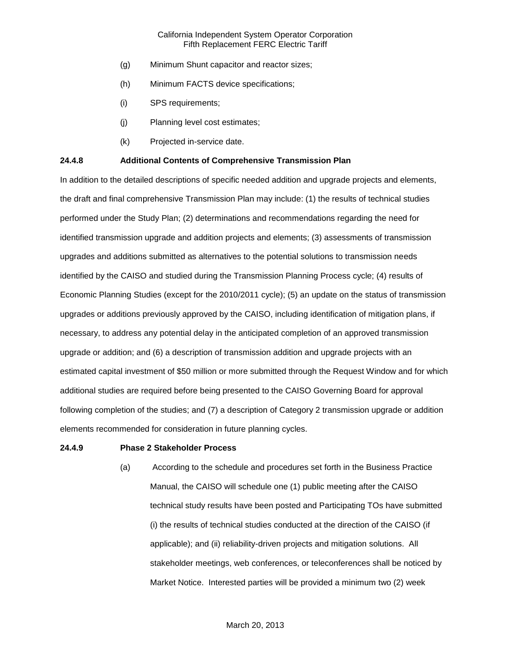- (g) Minimum Shunt capacitor and reactor sizes;
- (h) Minimum FACTS device specifications;
- (i) SPS requirements;
- (j) Planning level cost estimates;
- (k) Projected in-service date.

#### **24.4.8 Additional Contents of Comprehensive Transmission Plan**

In addition to the detailed descriptions of specific needed addition and upgrade projects and elements, the draft and final comprehensive Transmission Plan may include: (1) the results of technical studies performed under the Study Plan; (2) determinations and recommendations regarding the need for identified transmission upgrade and addition projects and elements; (3) assessments of transmission upgrades and additions submitted as alternatives to the potential solutions to transmission needs identified by the CAISO and studied during the Transmission Planning Process cycle; (4) results of Economic Planning Studies (except for the 2010/2011 cycle); (5) an update on the status of transmission upgrades or additions previously approved by the CAISO, including identification of mitigation plans, if necessary, to address any potential delay in the anticipated completion of an approved transmission upgrade or addition; and (6) a description of transmission addition and upgrade projects with an estimated capital investment of \$50 million or more submitted through the Request Window and for which additional studies are required before being presented to the CAISO Governing Board for approval following completion of the studies; and (7) a description of Category 2 transmission upgrade or addition elements recommended for consideration in future planning cycles.

#### **24.4.9 Phase 2 Stakeholder Process**

(a) According to the schedule and procedures set forth in the Business Practice Manual, the CAISO will schedule one (1) public meeting after the CAISO technical study results have been posted and Participating TOs have submitted (i) the results of technical studies conducted at the direction of the CAISO (if applicable); and (ii) reliability-driven projects and mitigation solutions. All stakeholder meetings, web conferences, or teleconferences shall be noticed by Market Notice. Interested parties will be provided a minimum two (2) week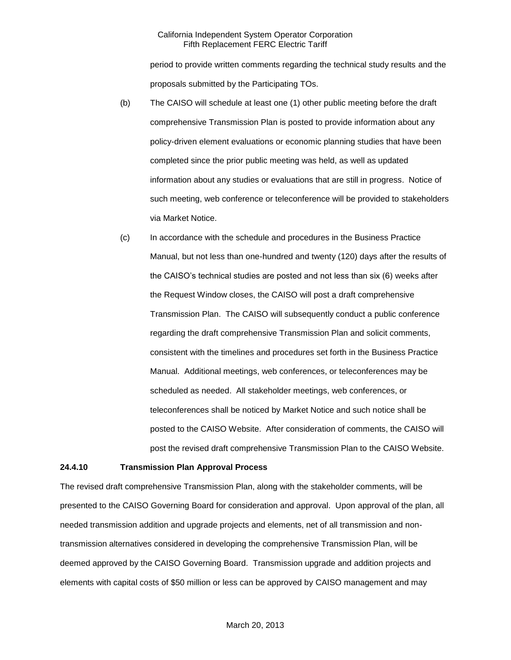period to provide written comments regarding the technical study results and the proposals submitted by the Participating TOs.

- (b) The CAISO will schedule at least one (1) other public meeting before the draft comprehensive Transmission Plan is posted to provide information about any policy-driven element evaluations or economic planning studies that have been completed since the prior public meeting was held, as well as updated information about any studies or evaluations that are still in progress. Notice of such meeting, web conference or teleconference will be provided to stakeholders via Market Notice.
- (c) In accordance with the schedule and procedures in the Business Practice Manual, but not less than one-hundred and twenty (120) days after the results of the CAISO's technical studies are posted and not less than six (6) weeks after the Request Window closes, the CAISO will post a draft comprehensive Transmission Plan. The CAISO will subsequently conduct a public conference regarding the draft comprehensive Transmission Plan and solicit comments, consistent with the timelines and procedures set forth in the Business Practice Manual. Additional meetings, web conferences, or teleconferences may be scheduled as needed. All stakeholder meetings, web conferences, or teleconferences shall be noticed by Market Notice and such notice shall be posted to the CAISO Website. After consideration of comments, the CAISO will post the revised draft comprehensive Transmission Plan to the CAISO Website.

#### **24.4.10 Transmission Plan Approval Process**

The revised draft comprehensive Transmission Plan, along with the stakeholder comments, will be presented to the CAISO Governing Board for consideration and approval. Upon approval of the plan, all needed transmission addition and upgrade projects and elements, net of all transmission and nontransmission alternatives considered in developing the comprehensive Transmission Plan, will be deemed approved by the CAISO Governing Board. Transmission upgrade and addition projects and elements with capital costs of \$50 million or less can be approved by CAISO management and may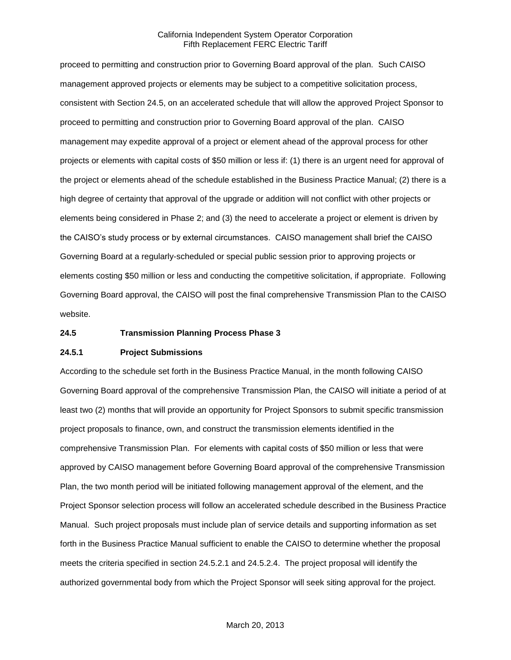proceed to permitting and construction prior to Governing Board approval of the plan. Such CAISO management approved projects or elements may be subject to a competitive solicitation process, consistent with Section 24.5, on an accelerated schedule that will allow the approved Project Sponsor to proceed to permitting and construction prior to Governing Board approval of the plan. CAISO management may expedite approval of a project or element ahead of the approval process for other projects or elements with capital costs of \$50 million or less if: (1) there is an urgent need for approval of the project or elements ahead of the schedule established in the Business Practice Manual; (2) there is a high degree of certainty that approval of the upgrade or addition will not conflict with other projects or elements being considered in Phase 2; and (3) the need to accelerate a project or element is driven by the CAISO's study process or by external circumstances. CAISO management shall brief the CAISO Governing Board at a regularly-scheduled or special public session prior to approving projects or elements costing \$50 million or less and conducting the competitive solicitation, if appropriate. Following Governing Board approval, the CAISO will post the final comprehensive Transmission Plan to the CAISO website.

#### **24.5 Transmission Planning Process Phase 3**

#### **24.5.1 Project Submissions**

According to the schedule set forth in the Business Practice Manual, in the month following CAISO Governing Board approval of the comprehensive Transmission Plan, the CAISO will initiate a period of at least two (2) months that will provide an opportunity for Project Sponsors to submit specific transmission project proposals to finance, own, and construct the transmission elements identified in the comprehensive Transmission Plan. For elements with capital costs of \$50 million or less that were approved by CAISO management before Governing Board approval of the comprehensive Transmission Plan, the two month period will be initiated following management approval of the element, and the Project Sponsor selection process will follow an accelerated schedule described in the Business Practice Manual. Such project proposals must include plan of service details and supporting information as set forth in the Business Practice Manual sufficient to enable the CAISO to determine whether the proposal meets the criteria specified in section 24.5.2.1 and 24.5.2.4. The project proposal will identify the authorized governmental body from which the Project Sponsor will seek siting approval for the project.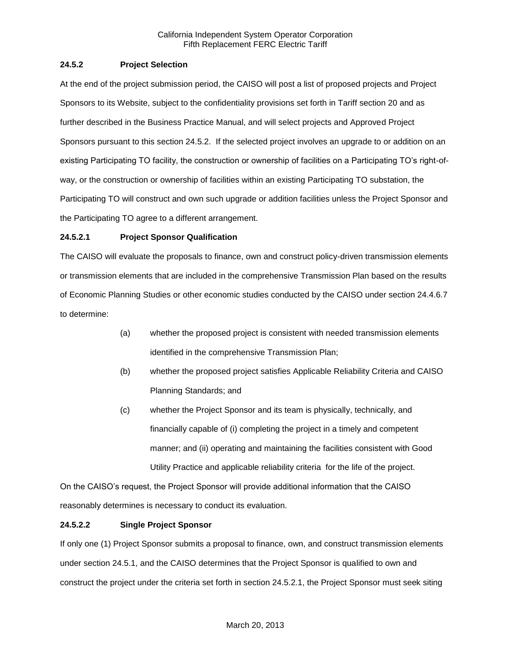## **24.5.2 Project Selection**

At the end of the project submission period, the CAISO will post a list of proposed projects and Project Sponsors to its Website, subject to the confidentiality provisions set forth in Tariff section 20 and as further described in the Business Practice Manual, and will select projects and Approved Project Sponsors pursuant to this section 24.5.2. If the selected project involves an upgrade to or addition on an existing Participating TO facility, the construction or ownership of facilities on a Participating TO's right-ofway, or the construction or ownership of facilities within an existing Participating TO substation, the Participating TO will construct and own such upgrade or addition facilities unless the Project Sponsor and the Participating TO agree to a different arrangement.

### **24.5.2.1 Project Sponsor Qualification**

The CAISO will evaluate the proposals to finance, own and construct policy-driven transmission elements or transmission elements that are included in the comprehensive Transmission Plan based on the results of Economic Planning Studies or other economic studies conducted by the CAISO under section 24.4.6.7 to determine:

- (a) whether the proposed project is consistent with needed transmission elements identified in the comprehensive Transmission Plan;
- (b) whether the proposed project satisfies Applicable Reliability Criteria and CAISO Planning Standards; and
- (c) whether the Project Sponsor and its team is physically, technically, and financially capable of (i) completing the project in a timely and competent manner; and (ii) operating and maintaining the facilities consistent with Good Utility Practice and applicable reliability criteria for the life of the project.

On the CAISO's request, the Project Sponsor will provide additional information that the CAISO reasonably determines is necessary to conduct its evaluation.

## **24.5.2.2 Single Project Sponsor**

If only one (1) Project Sponsor submits a proposal to finance, own, and construct transmission elements under section 24.5.1, and the CAISO determines that the Project Sponsor is qualified to own and construct the project under the criteria set forth in section 24.5.2.1, the Project Sponsor must seek siting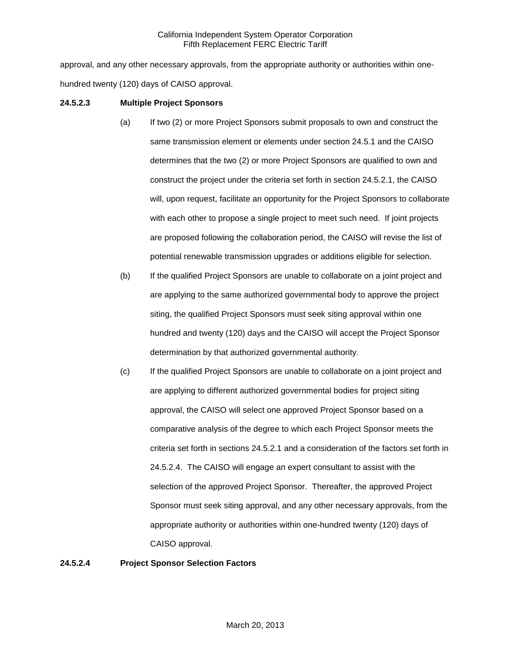approval, and any other necessary approvals, from the appropriate authority or authorities within onehundred twenty (120) days of CAISO approval.

### **24.5.2.3 Multiple Project Sponsors**

- (a) If two (2) or more Project Sponsors submit proposals to own and construct the same transmission element or elements under section 24.5.1 and the CAISO determines that the two (2) or more Project Sponsors are qualified to own and construct the project under the criteria set forth in section 24.5.2.1, the CAISO will, upon request, facilitate an opportunity for the Project Sponsors to collaborate with each other to propose a single project to meet such need. If joint projects are proposed following the collaboration period, the CAISO will revise the list of potential renewable transmission upgrades or additions eligible for selection.
- (b) If the qualified Project Sponsors are unable to collaborate on a joint project and are applying to the same authorized governmental body to approve the project siting, the qualified Project Sponsors must seek siting approval within one hundred and twenty (120) days and the CAISO will accept the Project Sponsor determination by that authorized governmental authority.
- (c) If the qualified Project Sponsors are unable to collaborate on a joint project and are applying to different authorized governmental bodies for project siting approval, the CAISO will select one approved Project Sponsor based on a comparative analysis of the degree to which each Project Sponsor meets the criteria set forth in sections 24.5.2.1 and a consideration of the factors set forth in 24.5.2.4. The CAISO will engage an expert consultant to assist with the selection of the approved Project Sponsor. Thereafter, the approved Project Sponsor must seek siting approval, and any other necessary approvals, from the appropriate authority or authorities within one-hundred twenty (120) days of CAISO approval.

### **24.5.2.4 Project Sponsor Selection Factors**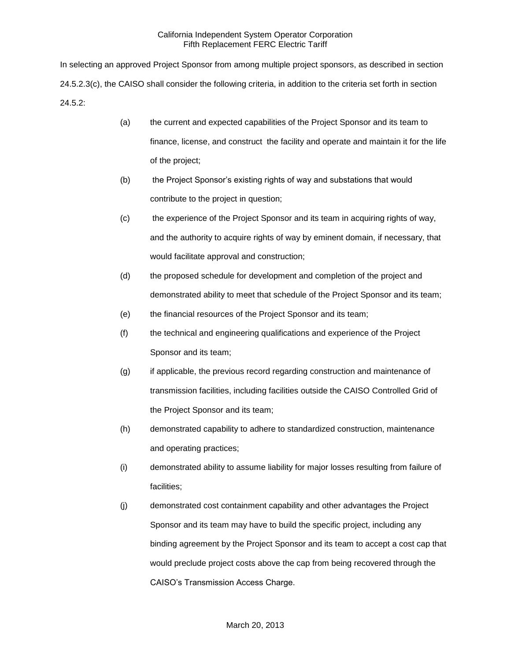In selecting an approved Project Sponsor from among multiple project sponsors, as described in section 24.5.2.3(c), the CAISO shall consider the following criteria, in addition to the criteria set forth in section 24.5.2:

- (a) the current and expected capabilities of the Project Sponsor and its team to finance, license, and construct the facility and operate and maintain it for the life of the project;
- (b) the Project Sponsor's existing rights of way and substations that would contribute to the project in question;
- (c) the experience of the Project Sponsor and its team in acquiring rights of way, and the authority to acquire rights of way by eminent domain, if necessary, that would facilitate approval and construction;
- (d) the proposed schedule for development and completion of the project and demonstrated ability to meet that schedule of the Project Sponsor and its team;
- (e) the financial resources of the Project Sponsor and its team;
- (f) the technical and engineering qualifications and experience of the Project Sponsor and its team;
- (g) if applicable, the previous record regarding construction and maintenance of transmission facilities, including facilities outside the CAISO Controlled Grid of the Project Sponsor and its team;
- (h) demonstrated capability to adhere to standardized construction, maintenance and operating practices;
- (i) demonstrated ability to assume liability for major losses resulting from failure of facilities;
- (j) demonstrated cost containment capability and other advantages the Project Sponsor and its team may have to build the specific project, including any binding agreement by the Project Sponsor and its team to accept a cost cap that would preclude project costs above the cap from being recovered through the CAISO's Transmission Access Charge.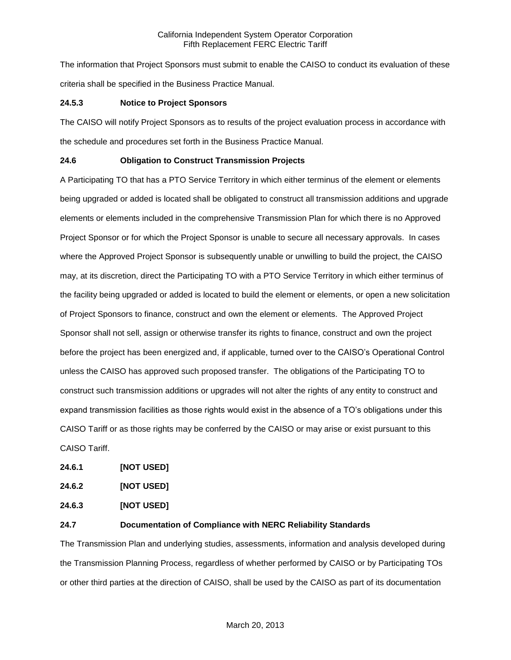The information that Project Sponsors must submit to enable the CAISO to conduct its evaluation of these criteria shall be specified in the Business Practice Manual.

### **24.5.3 Notice to Project Sponsors**

The CAISO will notify Project Sponsors as to results of the project evaluation process in accordance with the schedule and procedures set forth in the Business Practice Manual.

## **24.6 Obligation to Construct Transmission Projects**

A Participating TO that has a PTO Service Territory in which either terminus of the element or elements being upgraded or added is located shall be obligated to construct all transmission additions and upgrade elements or elements included in the comprehensive Transmission Plan for which there is no Approved Project Sponsor or for which the Project Sponsor is unable to secure all necessary approvals. In cases where the Approved Project Sponsor is subsequently unable or unwilling to build the project, the CAISO may, at its discretion, direct the Participating TO with a PTO Service Territory in which either terminus of the facility being upgraded or added is located to build the element or elements, or open a new solicitation of Project Sponsors to finance, construct and own the element or elements. The Approved Project Sponsor shall not sell, assign or otherwise transfer its rights to finance, construct and own the project before the project has been energized and, if applicable, turned over to the CAISO's Operational Control unless the CAISO has approved such proposed transfer. The obligations of the Participating TO to construct such transmission additions or upgrades will not alter the rights of any entity to construct and expand transmission facilities as those rights would exist in the absence of a TO's obligations under this CAISO Tariff or as those rights may be conferred by the CAISO or may arise or exist pursuant to this CAISO Tariff.

**24.6.1 [NOT USED]**

| 24.6.2 | [NOT USED] |
|--------|------------|
|        |            |

**24.6.3 [NOT USED]**

### **24.7 Documentation of Compliance with NERC Reliability Standards**

The Transmission Plan and underlying studies, assessments, information and analysis developed during the Transmission Planning Process, regardless of whether performed by CAISO or by Participating TOs or other third parties at the direction of CAISO, shall be used by the CAISO as part of its documentation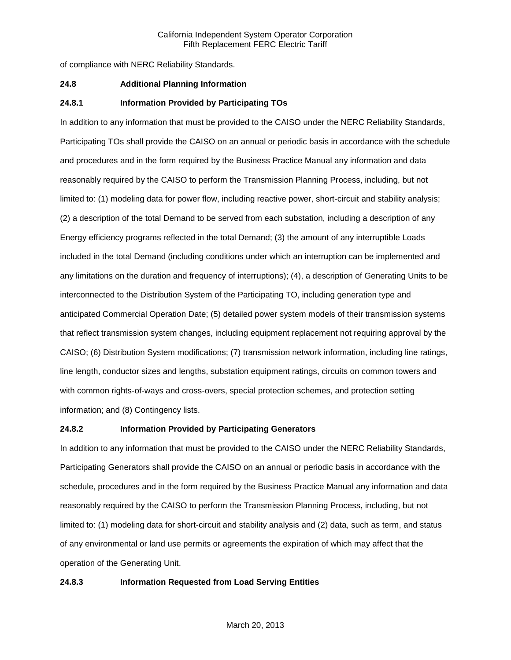of compliance with NERC Reliability Standards.

#### **24.8 Additional Planning Information**

#### **24.8.1 Information Provided by Participating TOs**

In addition to any information that must be provided to the CAISO under the NERC Reliability Standards, Participating TOs shall provide the CAISO on an annual or periodic basis in accordance with the schedule and procedures and in the form required by the Business Practice Manual any information and data reasonably required by the CAISO to perform the Transmission Planning Process, including, but not limited to: (1) modeling data for power flow, including reactive power, short-circuit and stability analysis; (2) a description of the total Demand to be served from each substation, including a description of any Energy efficiency programs reflected in the total Demand; (3) the amount of any interruptible Loads included in the total Demand (including conditions under which an interruption can be implemented and any limitations on the duration and frequency of interruptions); (4), a description of Generating Units to be interconnected to the Distribution System of the Participating TO, including generation type and anticipated Commercial Operation Date; (5) detailed power system models of their transmission systems that reflect transmission system changes, including equipment replacement not requiring approval by the CAISO; (6) Distribution System modifications; (7) transmission network information, including line ratings, line length, conductor sizes and lengths, substation equipment ratings, circuits on common towers and with common rights-of-ways and cross-overs, special protection schemes, and protection setting information; and (8) Contingency lists.

#### **24.8.2 Information Provided by Participating Generators**

In addition to any information that must be provided to the CAISO under the NERC Reliability Standards, Participating Generators shall provide the CAISO on an annual or periodic basis in accordance with the schedule, procedures and in the form required by the Business Practice Manual any information and data reasonably required by the CAISO to perform the Transmission Planning Process, including, but not limited to: (1) modeling data for short-circuit and stability analysis and (2) data, such as term, and status of any environmental or land use permits or agreements the expiration of which may affect that the operation of the Generating Unit.

#### **24.8.3 Information Requested from Load Serving Entities**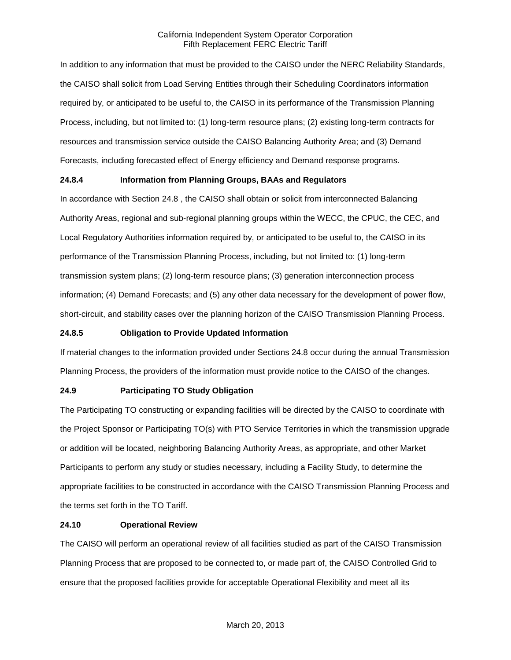In addition to any information that must be provided to the CAISO under the NERC Reliability Standards, the CAISO shall solicit from Load Serving Entities through their Scheduling Coordinators information required by, or anticipated to be useful to, the CAISO in its performance of the Transmission Planning Process, including, but not limited to: (1) long-term resource plans; (2) existing long-term contracts for resources and transmission service outside the CAISO Balancing Authority Area; and (3) Demand Forecasts, including forecasted effect of Energy efficiency and Demand response programs.

## **24.8.4 Information from Planning Groups, BAAs and Regulators**

In accordance with Section 24.8 , the CAISO shall obtain or solicit from interconnected Balancing Authority Areas, regional and sub-regional planning groups within the WECC, the CPUC, the CEC, and Local Regulatory Authorities information required by, or anticipated to be useful to, the CAISO in its performance of the Transmission Planning Process, including, but not limited to: (1) long-term transmission system plans; (2) long-term resource plans; (3) generation interconnection process information; (4) Demand Forecasts; and (5) any other data necessary for the development of power flow, short-circuit, and stability cases over the planning horizon of the CAISO Transmission Planning Process.

### **24.8.5 Obligation to Provide Updated Information**

If material changes to the information provided under Sections 24.8 occur during the annual Transmission Planning Process, the providers of the information must provide notice to the CAISO of the changes.

## **24.9 Participating TO Study Obligation**

The Participating TO constructing or expanding facilities will be directed by the CAISO to coordinate with the Project Sponsor or Participating TO(s) with PTO Service Territories in which the transmission upgrade or addition will be located, neighboring Balancing Authority Areas, as appropriate, and other Market Participants to perform any study or studies necessary, including a Facility Study, to determine the appropriate facilities to be constructed in accordance with the CAISO Transmission Planning Process and the terms set forth in the TO Tariff.

### **24.10 Operational Review**

The CAISO will perform an operational review of all facilities studied as part of the CAISO Transmission Planning Process that are proposed to be connected to, or made part of, the CAISO Controlled Grid to ensure that the proposed facilities provide for acceptable Operational Flexibility and meet all its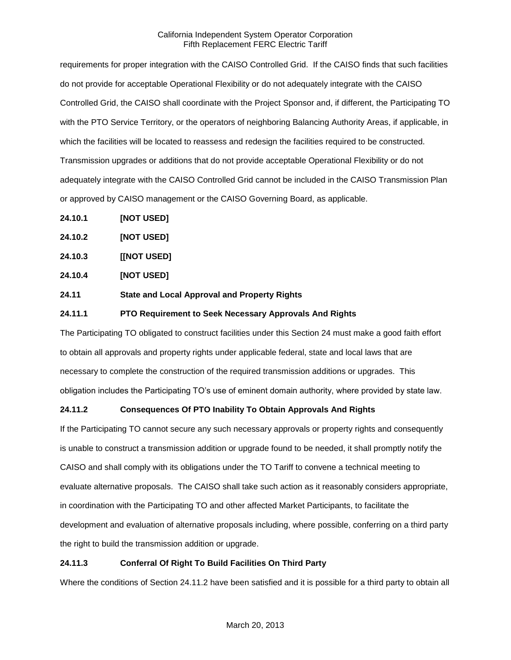requirements for proper integration with the CAISO Controlled Grid. If the CAISO finds that such facilities do not provide for acceptable Operational Flexibility or do not adequately integrate with the CAISO Controlled Grid, the CAISO shall coordinate with the Project Sponsor and, if different, the Participating TO with the PTO Service Territory, or the operators of neighboring Balancing Authority Areas, if applicable, in which the facilities will be located to reassess and redesign the facilities required to be constructed. Transmission upgrades or additions that do not provide acceptable Operational Flexibility or do not adequately integrate with the CAISO Controlled Grid cannot be included in the CAISO Transmission Plan or approved by CAISO management or the CAISO Governing Board, as applicable.

- **24.10.1 [NOT USED]**
- **24.10.2 [NOT USED]**
- **24.10.3 [[NOT USED]**
- **24.10.4 [NOT USED]**
- **24.11 State and Local Approval and Property Rights**

### **24.11.1 PTO Requirement to Seek Necessary Approvals And Rights**

The Participating TO obligated to construct facilities under this Section 24 must make a good faith effort to obtain all approvals and property rights under applicable federal, state and local laws that are necessary to complete the construction of the required transmission additions or upgrades. This obligation includes the Participating TO's use of eminent domain authority, where provided by state law.

## **24.11.2 Consequences Of PTO Inability To Obtain Approvals And Rights**

If the Participating TO cannot secure any such necessary approvals or property rights and consequently is unable to construct a transmission addition or upgrade found to be needed, it shall promptly notify the CAISO and shall comply with its obligations under the TO Tariff to convene a technical meeting to evaluate alternative proposals. The CAISO shall take such action as it reasonably considers appropriate, in coordination with the Participating TO and other affected Market Participants, to facilitate the development and evaluation of alternative proposals including, where possible, conferring on a third party the right to build the transmission addition or upgrade.

### **24.11.3 Conferral Of Right To Build Facilities On Third Party**

Where the conditions of Section 24.11.2 have been satisfied and it is possible for a third party to obtain all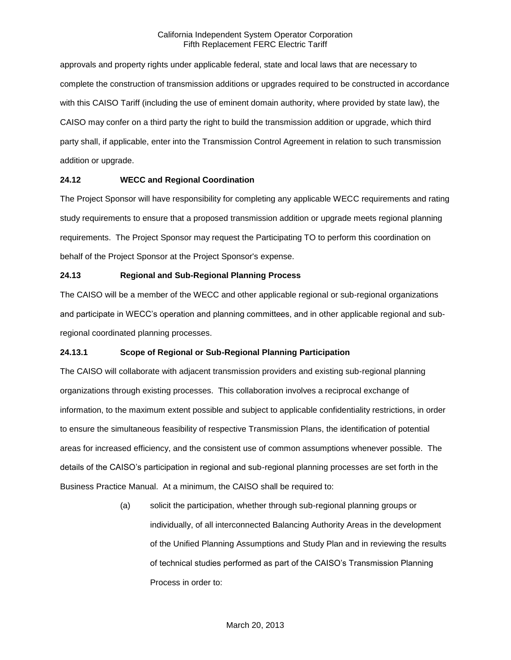approvals and property rights under applicable federal, state and local laws that are necessary to complete the construction of transmission additions or upgrades required to be constructed in accordance with this CAISO Tariff (including the use of eminent domain authority, where provided by state law), the CAISO may confer on a third party the right to build the transmission addition or upgrade, which third party shall, if applicable, enter into the Transmission Control Agreement in relation to such transmission addition or upgrade.

### **24.12 WECC and Regional Coordination**

The Project Sponsor will have responsibility for completing any applicable WECC requirements and rating study requirements to ensure that a proposed transmission addition or upgrade meets regional planning requirements. The Project Sponsor may request the Participating TO to perform this coordination on behalf of the Project Sponsor at the Project Sponsor's expense.

## **24.13 Regional and Sub-Regional Planning Process**

The CAISO will be a member of the WECC and other applicable regional or sub-regional organizations and participate in WECC's operation and planning committees, and in other applicable regional and subregional coordinated planning processes.

## **24.13.1 Scope of Regional or Sub-Regional Planning Participation**

The CAISO will collaborate with adjacent transmission providers and existing sub-regional planning organizations through existing processes. This collaboration involves a reciprocal exchange of information, to the maximum extent possible and subject to applicable confidentiality restrictions, in order to ensure the simultaneous feasibility of respective Transmission Plans, the identification of potential areas for increased efficiency, and the consistent use of common assumptions whenever possible. The details of the CAISO's participation in regional and sub-regional planning processes are set forth in the Business Practice Manual. At a minimum, the CAISO shall be required to:

> (a) solicit the participation, whether through sub-regional planning groups or individually, of all interconnected Balancing Authority Areas in the development of the Unified Planning Assumptions and Study Plan and in reviewing the results of technical studies performed as part of the CAISO's Transmission Planning Process in order to: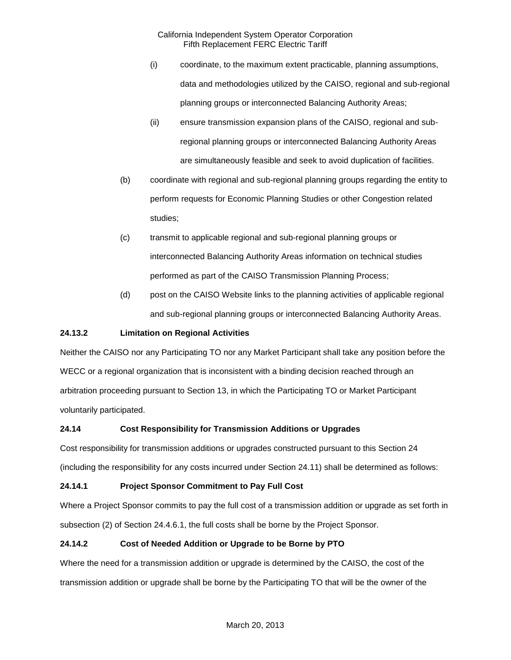- (i) coordinate, to the maximum extent practicable, planning assumptions, data and methodologies utilized by the CAISO, regional and sub-regional planning groups or interconnected Balancing Authority Areas;
- (ii) ensure transmission expansion plans of the CAISO, regional and subregional planning groups or interconnected Balancing Authority Areas are simultaneously feasible and seek to avoid duplication of facilities.
- (b) coordinate with regional and sub-regional planning groups regarding the entity to perform requests for Economic Planning Studies or other Congestion related studies;
- (c) transmit to applicable regional and sub-regional planning groups or interconnected Balancing Authority Areas information on technical studies performed as part of the CAISO Transmission Planning Process;
- (d) post on the CAISO Website links to the planning activities of applicable regional and sub-regional planning groups or interconnected Balancing Authority Areas.

# **24.13.2 Limitation on Regional Activities**

Neither the CAISO nor any Participating TO nor any Market Participant shall take any position before the WECC or a regional organization that is inconsistent with a binding decision reached through an arbitration proceeding pursuant to Section 13, in which the Participating TO or Market Participant voluntarily participated.

# **24.14 Cost Responsibility for Transmission Additions or Upgrades**

Cost responsibility for transmission additions or upgrades constructed pursuant to this Section 24 (including the responsibility for any costs incurred under Section 24.11) shall be determined as follows:

# **24.14.1 Project Sponsor Commitment to Pay Full Cost**

Where a Project Sponsor commits to pay the full cost of a transmission addition or upgrade as set forth in subsection (2) of Section 24.4.6.1, the full costs shall be borne by the Project Sponsor.

# **24.14.2 Cost of Needed Addition or Upgrade to be Borne by PTO**

Where the need for a transmission addition or upgrade is determined by the CAISO, the cost of the transmission addition or upgrade shall be borne by the Participating TO that will be the owner of the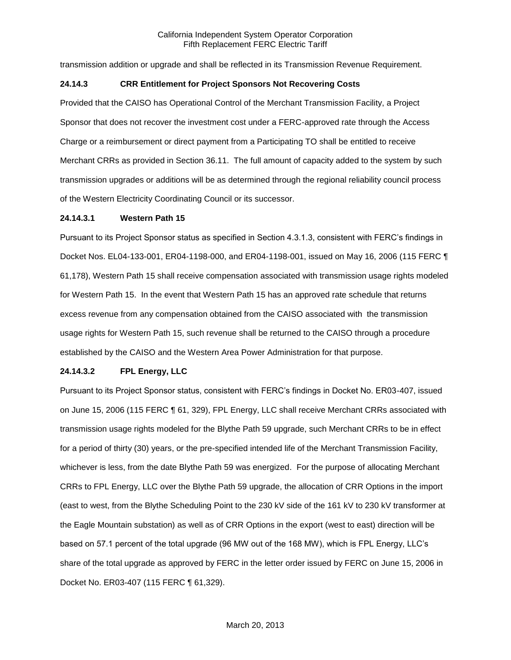transmission addition or upgrade and shall be reflected in its Transmission Revenue Requirement.

### **24.14.3 CRR Entitlement for Project Sponsors Not Recovering Costs**

Provided that the CAISO has Operational Control of the Merchant Transmission Facility, a Project Sponsor that does not recover the investment cost under a FERC-approved rate through the Access Charge or a reimbursement or direct payment from a Participating TO shall be entitled to receive Merchant CRRs as provided in Section 36.11. The full amount of capacity added to the system by such transmission upgrades or additions will be as determined through the regional reliability council process of the Western Electricity Coordinating Council or its successor.

### **24.14.3.1 Western Path 15**

Pursuant to its Project Sponsor status as specified in Section 4.3.1.3, consistent with FERC's findings in Docket Nos. EL04-133-001, ER04-1198-000, and ER04-1198-001, issued on May 16, 2006 (115 FERC ¶ 61,178), Western Path 15 shall receive compensation associated with transmission usage rights modeled for Western Path 15. In the event that Western Path 15 has an approved rate schedule that returns excess revenue from any compensation obtained from the CAISO associated with the transmission usage rights for Western Path 15, such revenue shall be returned to the CAISO through a procedure established by the CAISO and the Western Area Power Administration for that purpose.

### **24.14.3.2 FPL Energy, LLC**

Pursuant to its Project Sponsor status, consistent with FERC's findings in Docket No. ER03-407, issued on June 15, 2006 (115 FERC ¶ 61, 329), FPL Energy, LLC shall receive Merchant CRRs associated with transmission usage rights modeled for the Blythe Path 59 upgrade, such Merchant CRRs to be in effect for a period of thirty (30) years, or the pre-specified intended life of the Merchant Transmission Facility, whichever is less, from the date Blythe Path 59 was energized. For the purpose of allocating Merchant CRRs to FPL Energy, LLC over the Blythe Path 59 upgrade, the allocation of CRR Options in the import (east to west, from the Blythe Scheduling Point to the 230 kV side of the 161 kV to 230 kV transformer at the Eagle Mountain substation) as well as of CRR Options in the export (west to east) direction will be based on 57.1 percent of the total upgrade (96 MW out of the 168 MW), which is FPL Energy, LLC's share of the total upgrade as approved by FERC in the letter order issued by FERC on June 15, 2006 in Docket No. ER03-407 (115 FERC ¶ 61,329).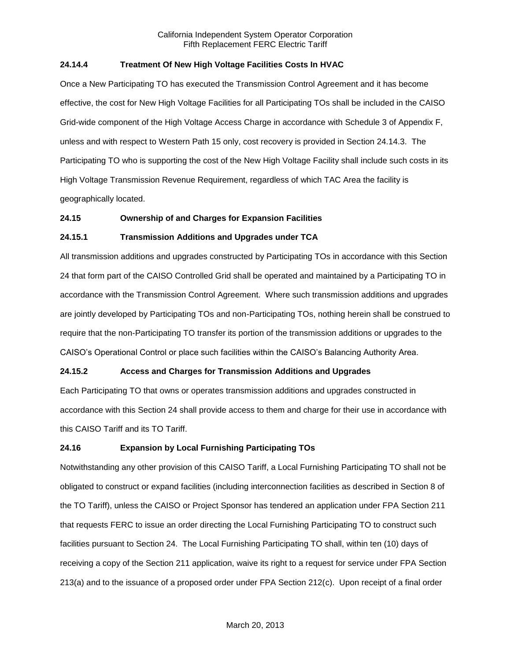## **24.14.4 Treatment Of New High Voltage Facilities Costs In HVAC**

Once a New Participating TO has executed the Transmission Control Agreement and it has become effective, the cost for New High Voltage Facilities for all Participating TOs shall be included in the CAISO Grid-wide component of the High Voltage Access Charge in accordance with Schedule 3 of Appendix F, unless and with respect to Western Path 15 only, cost recovery is provided in Section 24.14.3. The Participating TO who is supporting the cost of the New High Voltage Facility shall include such costs in its High Voltage Transmission Revenue Requirement, regardless of which TAC Area the facility is geographically located.

### **24.15 Ownership of and Charges for Expansion Facilities**

### **24.15.1 Transmission Additions and Upgrades under TCA**

All transmission additions and upgrades constructed by Participating TOs in accordance with this Section 24 that form part of the CAISO Controlled Grid shall be operated and maintained by a Participating TO in accordance with the Transmission Control Agreement. Where such transmission additions and upgrades are jointly developed by Participating TOs and non-Participating TOs, nothing herein shall be construed to require that the non-Participating TO transfer its portion of the transmission additions or upgrades to the CAISO's Operational Control or place such facilities within the CAISO's Balancing Authority Area.

## **24.15.2 Access and Charges for Transmission Additions and Upgrades**

Each Participating TO that owns or operates transmission additions and upgrades constructed in accordance with this Section 24 shall provide access to them and charge for their use in accordance with this CAISO Tariff and its TO Tariff.

### **24.16 Expansion by Local Furnishing Participating TOs**

Notwithstanding any other provision of this CAISO Tariff, a Local Furnishing Participating TO shall not be obligated to construct or expand facilities (including interconnection facilities as described in Section 8 of the TO Tariff), unless the CAISO or Project Sponsor has tendered an application under FPA Section 211 that requests FERC to issue an order directing the Local Furnishing Participating TO to construct such facilities pursuant to Section 24. The Local Furnishing Participating TO shall, within ten (10) days of receiving a copy of the Section 211 application, waive its right to a request for service under FPA Section 213(a) and to the issuance of a proposed order under FPA Section 212(c). Upon receipt of a final order